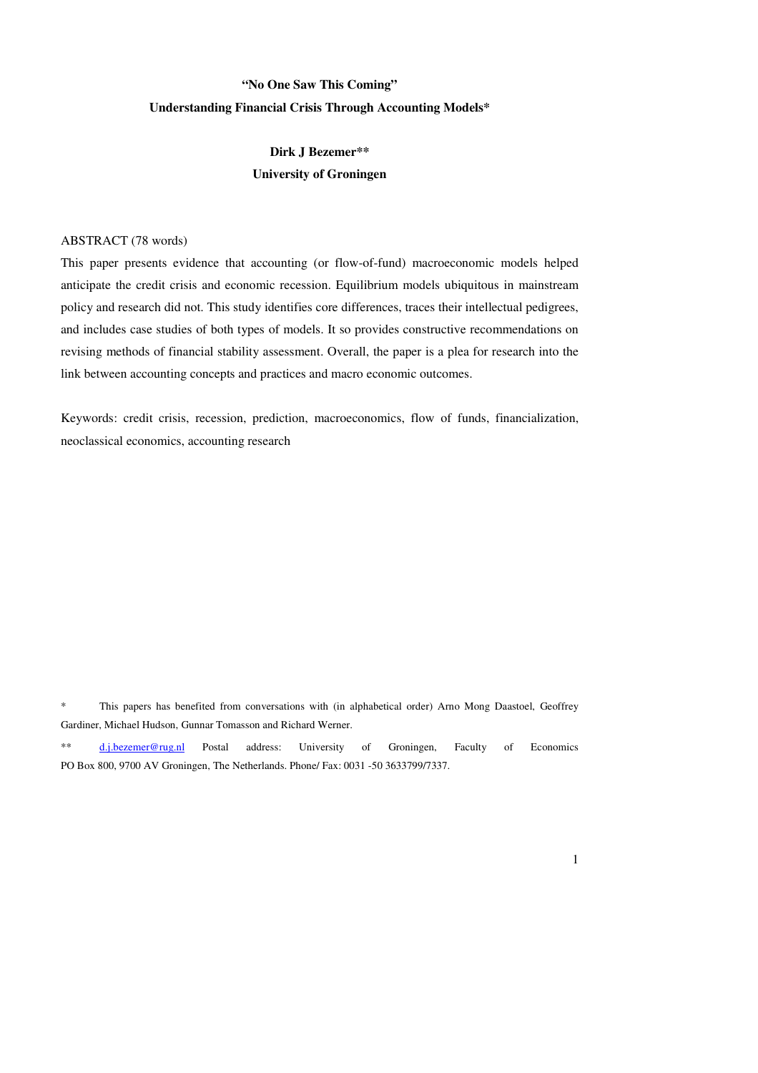# **"No One Saw This Coming" Understanding Financial Crisis Through Accounting Models\***

# **Dirk J Bezemer\*\* University of Groningen**

#### ABSTRACT (78 words)

This paper presents evidence that accounting (or flow-of-fund) macroeconomic models helped anticipate the credit crisis and economic recession. Equilibrium models ubiquitous in mainstream policy and research did not. This study identifies core differences, traces their intellectual pedigrees, and includes case studies of both types of models. It so provides constructive recommendations on revising methods of financial stability assessment. Overall, the paper is a plea for research into the link between accounting concepts and practices and macro economic outcomes.

Keywords: credit crisis, recession, prediction, macroeconomics, flow of funds, financialization, neoclassical economics, accounting research

\* This papers has benefited from conversations with (in alphabetical order) Arno Mong Daastoel, Geoffrey Gardiner, Michael Hudson, Gunnar Tomasson and Richard Werner.

\*\* d.j.bezemer@rug.nl Postal address: University of Groningen, Faculty of Economics PO Box 800, 9700 AV Groningen, The Netherlands. Phone/ Fax: 0031 -50 3633799/7337.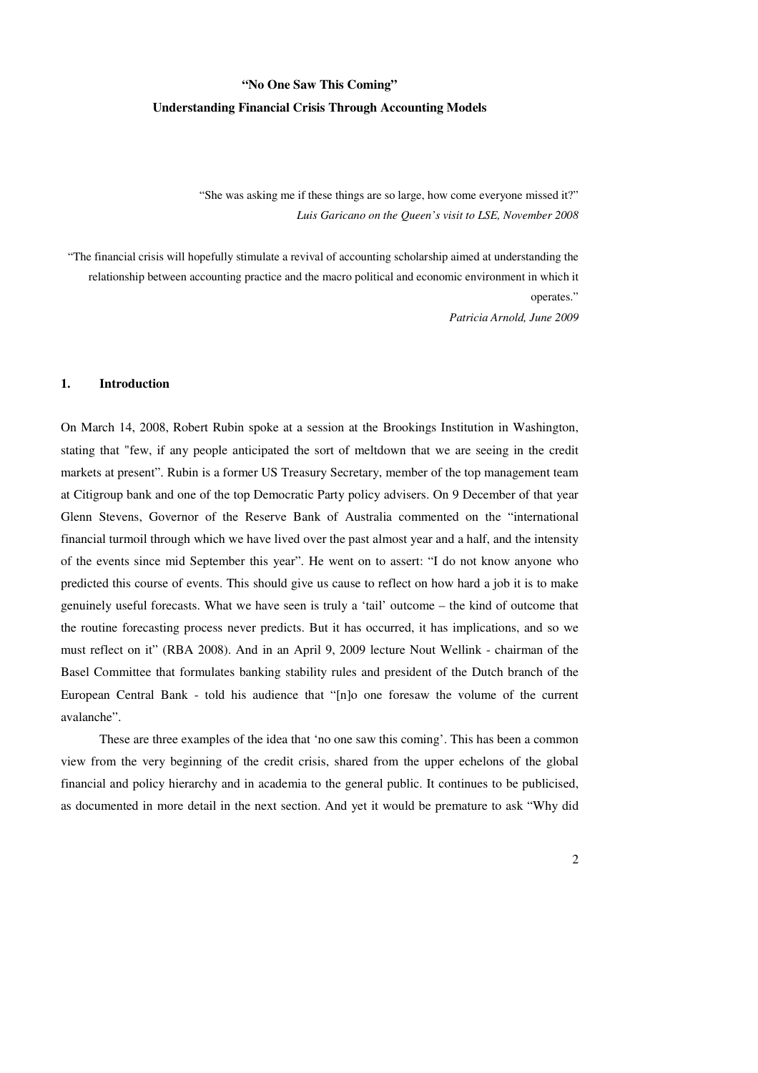#### **"No One Saw This Coming"**

#### **Understanding Financial Crisis Through Accounting Models**

"She was asking me if these things are so large, how come everyone missed it?" *Luis Garicano on the Queen's visit to LSE, November 2008*

"The financial crisis will hopefully stimulate a revival of accounting scholarship aimed at understanding the relationship between accounting practice and the macro political and economic environment in which it operates."

*Patricia Arnold, June 2009*

#### **1. Introduction**

On March 14, 2008, Robert Rubin spoke at a session at the Brookings Institution in Washington, stating that "few, if any people anticipated the sort of meltdown that we are seeing in the credit markets at present". Rubin is a former US Treasury Secretary, member of the top management team at Citigroup bank and one of the top Democratic Party policy advisers. On 9 December of that year Glenn Stevens, Governor of the Reserve Bank of Australia commented on the "international financial turmoil through which we have lived over the past almost year and a half, and the intensity of the events since mid September this year". He went on to assert: "I do not know anyone who predicted this course of events. This should give us cause to reflect on how hard a job it is to make genuinely useful forecasts. What we have seen is truly a 'tail' outcome – the kind of outcome that the routine forecasting process never predicts. But it has occurred, it has implications, and so we must reflect on it" (RBA 2008). And in an April 9, 2009 lecture Nout Wellink - chairman of the Basel Committee that formulates banking stability rules and president of the Dutch branch of the European Central Bank - told his audience that "[n]o one foresaw the volume of the current avalanche".

These are three examples of the idea that 'no one saw this coming'. This has been a common view from the very beginning of the credit crisis, shared from the upper echelons of the global financial and policy hierarchy and in academia to the general public. It continues to be publicised, as documented in more detail in the next section. And yet it would be premature to ask "Why did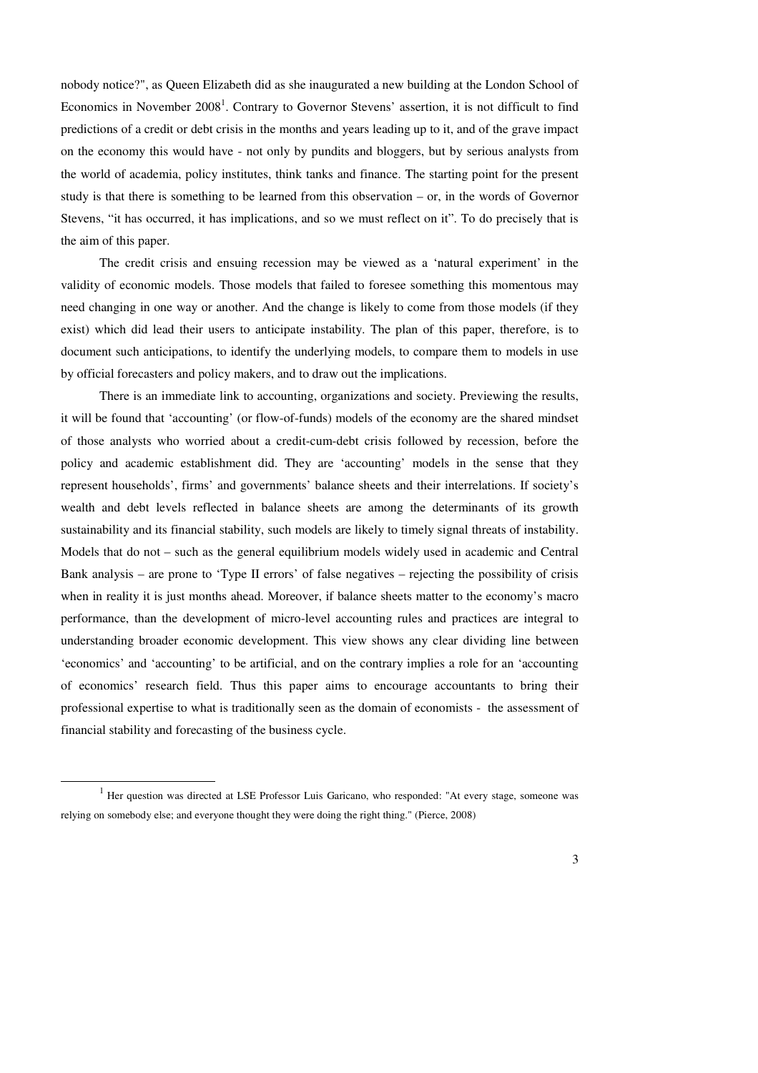nobody notice?", as Queen Elizabeth did as she inaugurated a new building at the London School of Economics in November 2008<sup>1</sup>. Contrary to Governor Stevens' assertion, it is not difficult to find predictions of a credit or debt crisis in the months and years leading up to it, and of the grave impact on the economy this would have - not only by pundits and bloggers, but by serious analysts from the world of academia, policy institutes, think tanks and finance. The starting point for the present study is that there is something to be learned from this observation – or, in the words of Governor Stevens, "it has occurred, it has implications, and so we must reflect on it". To do precisely that is the aim of this paper.

The credit crisis and ensuing recession may be viewed as a 'natural experiment' in the validity of economic models. Those models that failed to foresee something this momentous may need changing in one way or another. And the change is likely to come from those models (if they exist) which did lead their users to anticipate instability. The plan of this paper, therefore, is to document such anticipations, to identify the underlying models, to compare them to models in use by official forecasters and policy makers, and to draw out the implications.

There is an immediate link to accounting, organizations and society. Previewing the results, it will be found that 'accounting' (or flow-of-funds) models of the economy are the shared mindset of those analysts who worried about a credit-cum-debt crisis followed by recession, before the policy and academic establishment did. They are 'accounting' models in the sense that they represent households', firms' and governments' balance sheets and their interrelations. If society's wealth and debt levels reflected in balance sheets are among the determinants of its growth sustainability and its financial stability, such models are likely to timely signal threats of instability. Models that do not – such as the general equilibrium models widely used in academic and Central Bank analysis – are prone to 'Type II errors' of false negatives – rejecting the possibility of crisis when in reality it is just months ahead. Moreover, if balance sheets matter to the economy's macro performance, than the development of micro-level accounting rules and practices are integral to understanding broader economic development. This view shows any clear dividing line between 'economics' and 'accounting' to be artificial, and on the contrary implies a role for an 'accounting of economics' research field. Thus this paper aims to encourage accountants to bring their professional expertise to what is traditionally seen as the domain of economists - the assessment of financial stability and forecasting of the business cycle.

<sup>&</sup>lt;sup>1</sup> Her question was directed at LSE Professor Luis Garicano, who responded: "At every stage, someone was relying on somebody else; and everyone thought they were doing the right thing." (Pierce, 2008)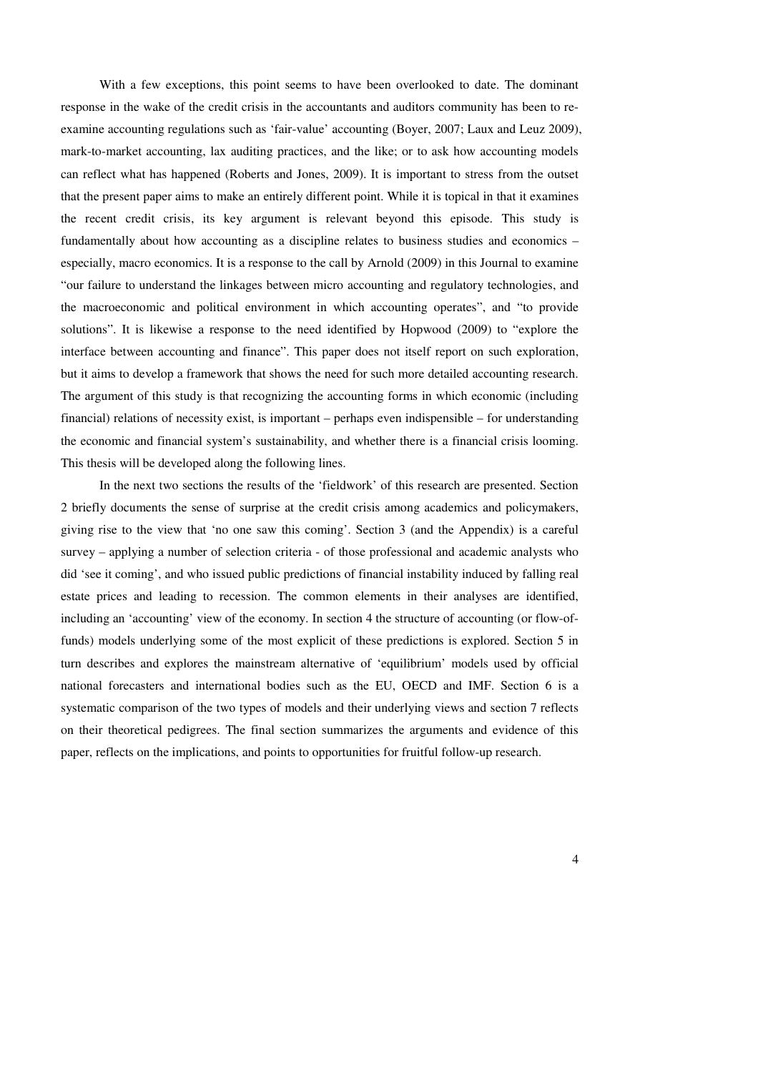With a few exceptions, this point seems to have been overlooked to date. The dominant response in the wake of the credit crisis in the accountants and auditors community has been to reexamine accounting regulations such as 'fair-value' accounting (Boyer, 2007; Laux and Leuz 2009), mark-to-market accounting, lax auditing practices, and the like; or to ask how accounting models can reflect what has happened (Roberts and Jones, 2009). It is important to stress from the outset that the present paper aims to make an entirely different point. While it is topical in that it examines the recent credit crisis, its key argument is relevant beyond this episode. This study is fundamentally about how accounting as a discipline relates to business studies and economics – especially, macro economics. It is a response to the call by Arnold (2009) in this Journal to examine "our failure to understand the linkages between micro accounting and regulatory technologies, and the macroeconomic and political environment in which accounting operates", and "to provide solutions". It is likewise a response to the need identified by Hopwood (2009) to "explore the interface between accounting and finance". This paper does not itself report on such exploration, but it aims to develop a framework that shows the need for such more detailed accounting research. The argument of this study is that recognizing the accounting forms in which economic (including financial) relations of necessity exist, is important – perhaps even indispensible – for understanding the economic and financial system's sustainability, and whether there is a financial crisis looming. This thesis will be developed along the following lines.

In the next two sections the results of the 'fieldwork' of this research are presented. Section 2 briefly documents the sense of surprise at the credit crisis among academics and policymakers, giving rise to the view that 'no one saw this coming'. Section 3 (and the Appendix) is a careful survey – applying a number of selection criteria - of those professional and academic analysts who did 'see it coming', and who issued public predictions of financial instability induced by falling real estate prices and leading to recession. The common elements in their analyses are identified, including an 'accounting' view of the economy. In section 4 the structure of accounting (or flow-offunds) models underlying some of the most explicit of these predictions is explored. Section 5 in turn describes and explores the mainstream alternative of 'equilibrium' models used by official national forecasters and international bodies such as the EU, OECD and IMF. Section 6 is a systematic comparison of the two types of models and their underlying views and section 7 reflects on their theoretical pedigrees. The final section summarizes the arguments and evidence of this paper, reflects on the implications, and points to opportunities for fruitful follow-up research.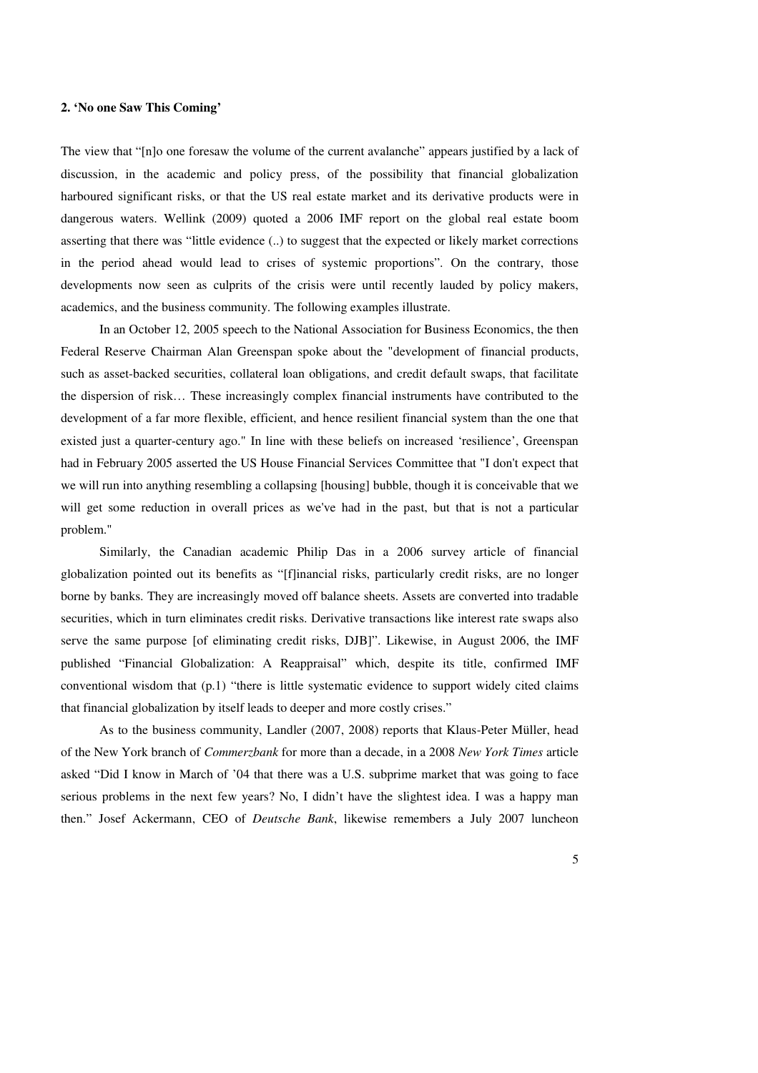#### **2. 'No one Saw This Coming'**

The view that "[n]o one foresaw the volume of the current avalanche" appears justified by a lack of discussion, in the academic and policy press, of the possibility that financial globalization harboured significant risks, or that the US real estate market and its derivative products were in dangerous waters. Wellink (2009) quoted a 2006 IMF report on the global real estate boom asserting that there was "little evidence (..) to suggest that the expected or likely market corrections in the period ahead would lead to crises of systemic proportions". On the contrary, those developments now seen as culprits of the crisis were until recently lauded by policy makers, academics, and the business community. The following examples illustrate.

In an October 12, 2005 speech to the National Association for Business Economics, the then Federal Reserve Chairman Alan Greenspan spoke about the "development of financial products, such as asset-backed securities, collateral loan obligations, and credit default swaps, that facilitate the dispersion of risk… These increasingly complex financial instruments have contributed to the development of a far more flexible, efficient, and hence resilient financial system than the one that existed just a quarter-century ago." In line with these beliefs on increased 'resilience', Greenspan had in February 2005 asserted the US House Financial Services Committee that "I don't expect that we will run into anything resembling a collapsing [housing] bubble, though it is conceivable that we will get some reduction in overall prices as we've had in the past, but that is not a particular problem."

Similarly, the Canadian academic Philip Das in a 2006 survey article of financial globalization pointed out its benefits as "[f]inancial risks, particularly credit risks, are no longer borne by banks. They are increasingly moved off balance sheets. Assets are converted into tradable securities, which in turn eliminates credit risks. Derivative transactions like interest rate swaps also serve the same purpose [of eliminating credit risks, DJB]". Likewise, in August 2006, the IMF published "Financial Globalization: A Reappraisal" which, despite its title, confirmed IMF conventional wisdom that (p.1) "there is little systematic evidence to support widely cited claims that financial globalization by itself leads to deeper and more costly crises."

As to the business community, Landler (2007, 2008) reports that Klaus-Peter Müller, head of the New York branch of *Commerzbank* for more than a decade, in a 2008 *New York Times* article asked "Did I know in March of '04 that there was a U.S. subprime market that was going to face serious problems in the next few years? No, I didn't have the slightest idea. I was a happy man then." Josef Ackermann, CEO of *Deutsche Bank*, likewise remembers a July 2007 luncheon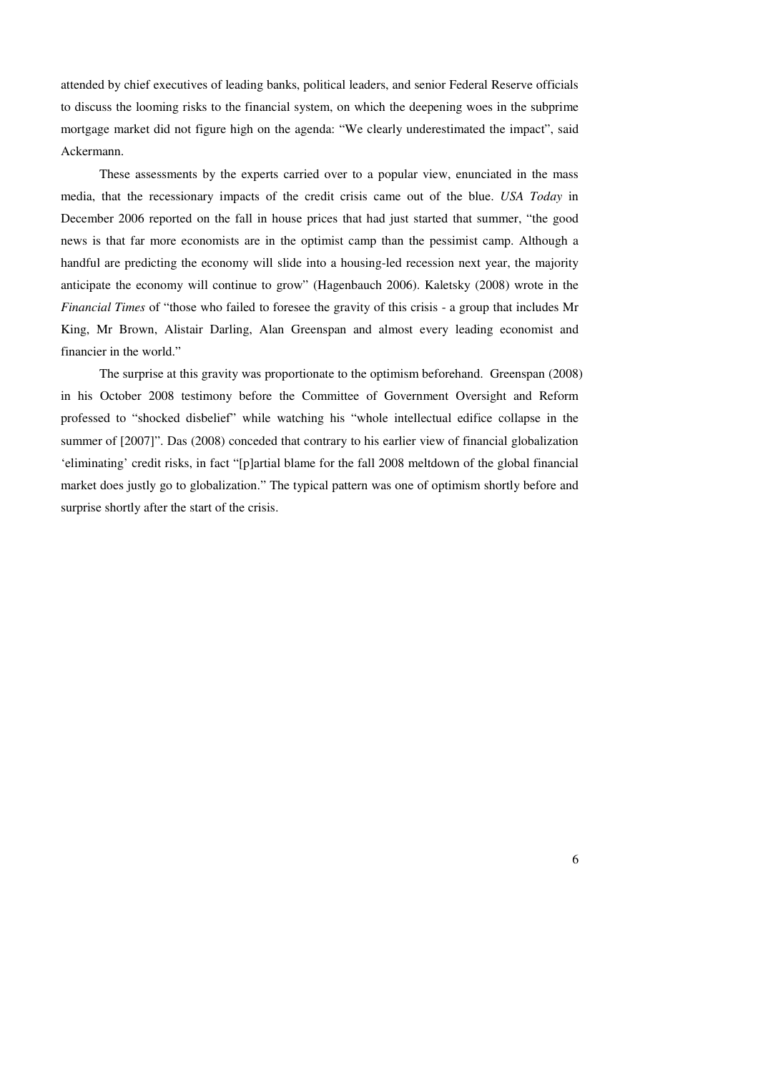attended by chief executives of leading banks, political leaders, and senior Federal Reserve officials to discuss the looming risks to the financial system, on which the deepening woes in the subprime mortgage market did not figure high on the agenda: "We clearly underestimated the impact", said Ackermann.

These assessments by the experts carried over to a popular view, enunciated in the mass media, that the recessionary impacts of the credit crisis came out of the blue. *USA Today* in December 2006 reported on the fall in house prices that had just started that summer, "the good news is that far more economists are in the optimist camp than the pessimist camp. Although a handful are predicting the economy will slide into a housing-led recession next year, the majority anticipate the economy will continue to grow" (Hagenbauch 2006). Kaletsky (2008) wrote in the *Financial Times* of "those who failed to foresee the gravity of this crisis - a group that includes Mr King, Mr Brown, Alistair Darling, Alan Greenspan and almost every leading economist and financier in the world."

The surprise at this gravity was proportionate to the optimism beforehand. Greenspan (2008) in his October 2008 testimony before the Committee of Government Oversight and Reform professed to "shocked disbelief" while watching his "whole intellectual edifice collapse in the summer of  $[2007]$ ". Das (2008) conceded that contrary to his earlier view of financial globalization 'eliminating' credit risks, in fact "[p]artial blame for the fall 2008 meltdown of the global financial market does justly go to globalization." The typical pattern was one of optimism shortly before and surprise shortly after the start of the crisis.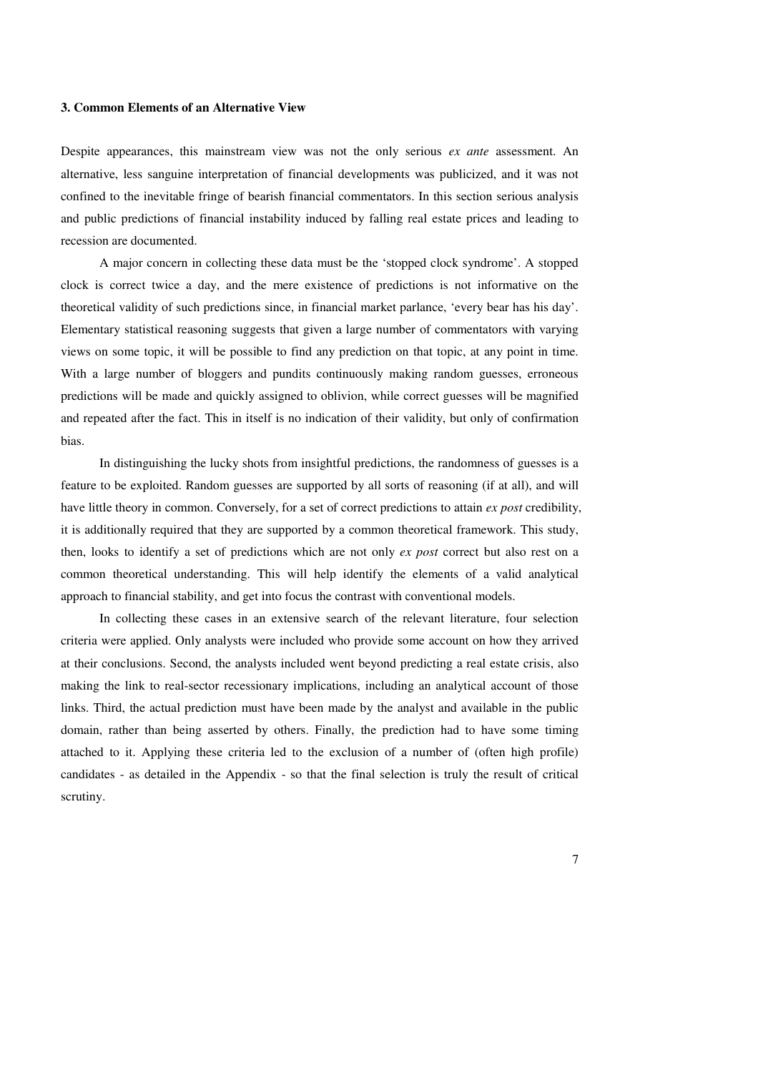#### **3. Common Elements of an Alternative View**

Despite appearances, this mainstream view was not the only serious *ex ante* assessment. An alternative, less sanguine interpretation of financial developments was publicized, and it was not confined to the inevitable fringe of bearish financial commentators. In this section serious analysis and public predictions of financial instability induced by falling real estate prices and leading to recession are documented.

A major concern in collecting these data must be the 'stopped clock syndrome'. A stopped clock is correct twice a day, and the mere existence of predictions is not informative on the theoretical validity of such predictions since, in financial market parlance, 'every bear has his day'. Elementary statistical reasoning suggests that given a large number of commentators with varying views on some topic, it will be possible to find any prediction on that topic, at any point in time. With a large number of bloggers and pundits continuously making random guesses, erroneous predictions will be made and quickly assigned to oblivion, while correct guesses will be magnified and repeated after the fact. This in itself is no indication of their validity, but only of confirmation bias.

In distinguishing the lucky shots from insightful predictions, the randomness of guesses is a feature to be exploited. Random guesses are supported by all sorts of reasoning (if at all), and will have little theory in common. Conversely, for a set of correct predictions to attain *ex post* credibility, it is additionally required that they are supported by a common theoretical framework. This study, then, looks to identify a set of predictions which are not only *ex post* correct but also rest on a common theoretical understanding. This will help identify the elements of a valid analytical approach to financial stability, and get into focus the contrast with conventional models.

In collecting these cases in an extensive search of the relevant literature, four selection criteria were applied. Only analysts were included who provide some account on how they arrived at their conclusions. Second, the analysts included went beyond predicting a real estate crisis, also making the link to real-sector recessionary implications, including an analytical account of those links. Third, the actual prediction must have been made by the analyst and available in the public domain, rather than being asserted by others. Finally, the prediction had to have some timing attached to it. Applying these criteria led to the exclusion of a number of (often high profile) candidates - as detailed in the Appendix - so that the final selection is truly the result of critical scrutiny.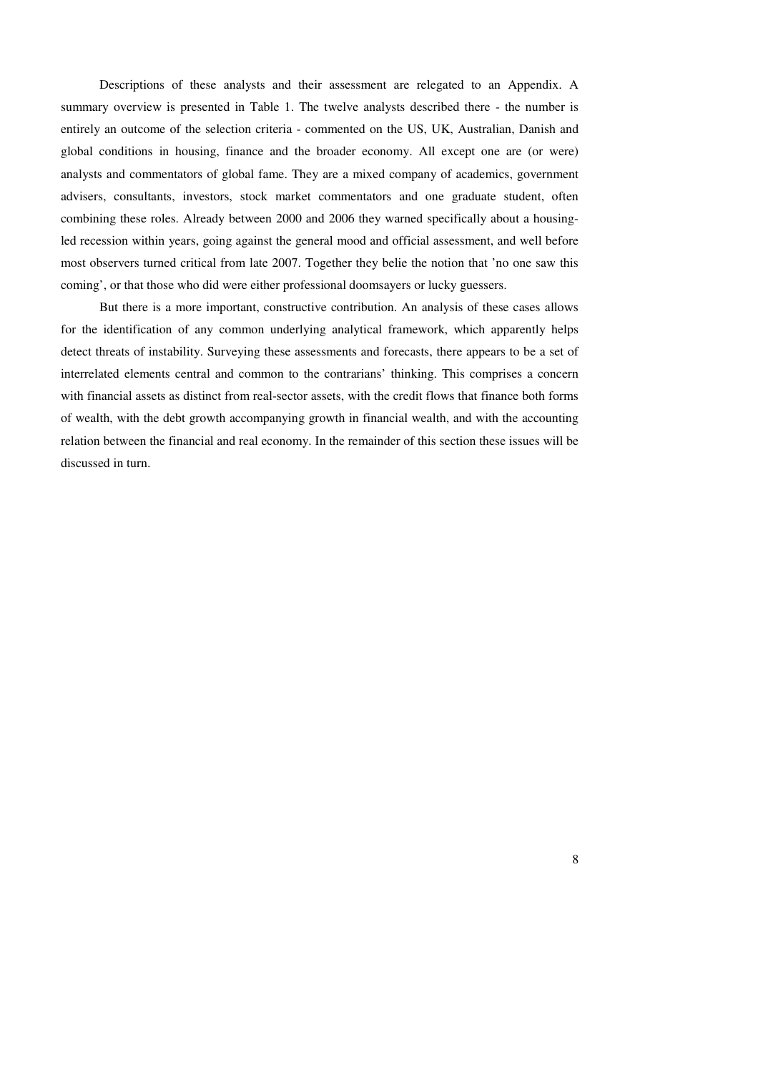Descriptions of these analysts and their assessment are relegated to an Appendix. A summary overview is presented in Table 1. The twelve analysts described there - the number is entirely an outcome of the selection criteria - commented on the US, UK, Australian, Danish and global conditions in housing, finance and the broader economy. All except one are (or were) analysts and commentators of global fame. They are a mixed company of academics, government advisers, consultants, investors, stock market commentators and one graduate student, often combining these roles. Already between 2000 and 2006 they warned specifically about a housingled recession within years, going against the general mood and official assessment, and well before most observers turned critical from late 2007. Together they belie the notion that 'no one saw this coming', or that those who did were either professional doomsayers or lucky guessers.

But there is a more important, constructive contribution. An analysis of these cases allows for the identification of any common underlying analytical framework, which apparently helps detect threats of instability. Surveying these assessments and forecasts, there appears to be a set of interrelated elements central and common to the contrarians' thinking. This comprises a concern with financial assets as distinct from real-sector assets, with the credit flows that finance both forms of wealth, with the debt growth accompanying growth in financial wealth, and with the accounting relation between the financial and real economy. In the remainder of this section these issues will be discussed in turn.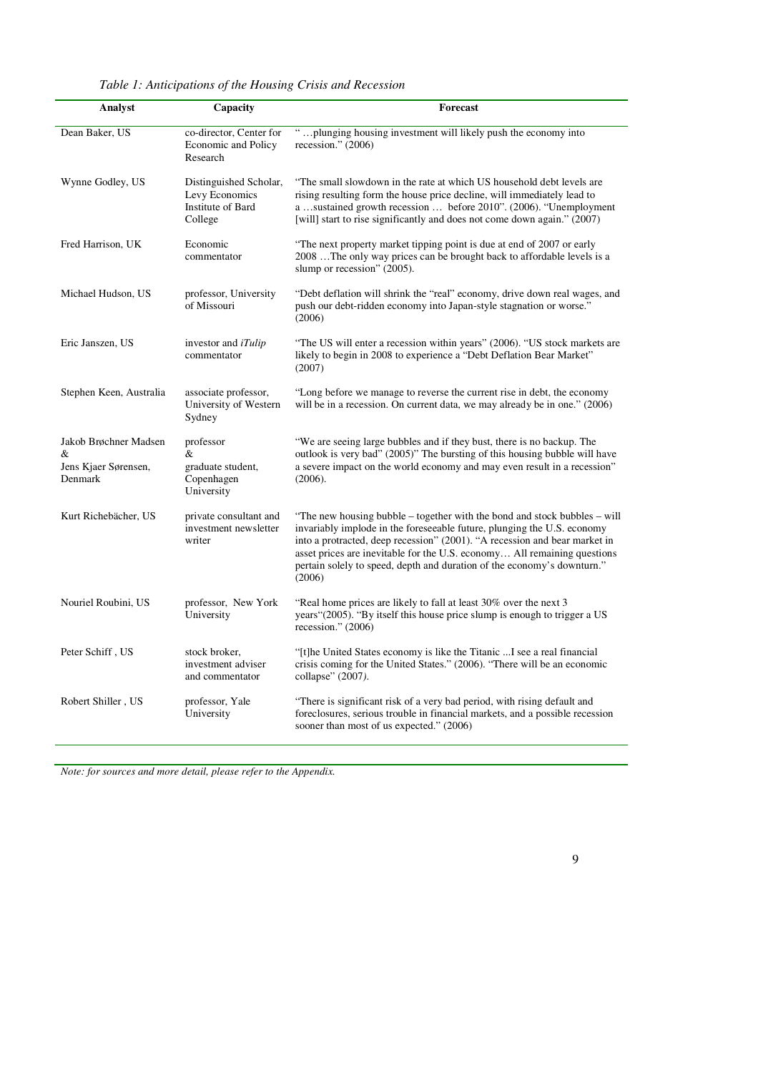| Analyst                                                       | Capacity                                                                 | <b>Forecast</b>                                                                                                                                                                                                                                                                                                                                                                                     |  |  |  |
|---------------------------------------------------------------|--------------------------------------------------------------------------|-----------------------------------------------------------------------------------------------------------------------------------------------------------------------------------------------------------------------------------------------------------------------------------------------------------------------------------------------------------------------------------------------------|--|--|--|
| Dean Baker, US                                                | co-director, Center for<br>Economic and Policy<br>Research               | "plunging housing investment will likely push the economy into<br>recession." $(2006)$                                                                                                                                                                                                                                                                                                              |  |  |  |
| Wynne Godley, US                                              | Distinguished Scholar,<br>Levy Economics<br>Institute of Bard<br>College | "The small slowdown in the rate at which US household debt levels are<br>rising resulting form the house price decline, will immediately lead to<br>a sustained growth recession  before 2010". (2006). "Unemployment<br>[will] start to rise significantly and does not come down again." (2007)                                                                                                   |  |  |  |
| Fred Harrison, UK                                             | Economic<br>commentator                                                  | "The next property market tipping point is due at end of 2007 or early<br>2008. The only way prices can be brought back to affordable levels is a<br>slump or recession" (2005).                                                                                                                                                                                                                    |  |  |  |
| Michael Hudson, US                                            | professor, University<br>of Missouri                                     | "Debt deflation will shrink the "real" economy, drive down real wages, and<br>push our debt-ridden economy into Japan-style stagnation or worse."<br>(2006)                                                                                                                                                                                                                                         |  |  |  |
| Eric Janszen, US                                              | investor and <i>iTulip</i><br>commentator                                | "The US will enter a recession within years" (2006). "US stock markets are<br>likely to begin in 2008 to experience a "Debt Deflation Bear Market"<br>(2007)                                                                                                                                                                                                                                        |  |  |  |
| Stephen Keen, Australia                                       | associate professor,<br>University of Western<br>Sydney                  | "Long before we manage to reverse the current rise in debt, the economy<br>will be in a recession. On current data, we may already be in one." (2006)                                                                                                                                                                                                                                               |  |  |  |
| Jakob Brøchner Madsen<br>&<br>Jens Kjaer Sørensen,<br>Denmark | professor<br>&<br>graduate student,<br>Copenhagen<br>University          | "We are seeing large bubbles and if they bust, there is no backup. The<br>outlook is very bad" (2005)" The bursting of this housing bubble will have<br>a severe impact on the world economy and may even result in a recession"<br>(2006).                                                                                                                                                         |  |  |  |
| Kurt Richebächer, US                                          | private consultant and<br>investment newsletter<br>writer                | "The new housing bubble – together with the bond and stock bubbles – will<br>invariably implode in the foreseeable future, plunging the U.S. economy<br>into a protracted, deep recession" (2001). "A recession and bear market in<br>asset prices are inevitable for the U.S. economy All remaining questions<br>pertain solely to speed, depth and duration of the economy's downturn."<br>(2006) |  |  |  |
| Nouriel Roubini, US                                           | professor, New York<br>University                                        | "Real home prices are likely to fall at least 30% over the next 3<br>years" (2005). "By itself this house price slump is enough to trigger a US<br>recession." (2006)                                                                                                                                                                                                                               |  |  |  |
| Peter Schiff, US                                              | stock broker,<br>investment adviser<br>and commentator                   | "[t]he United States economy is like the Titanic  I see a real financial<br>crisis coming for the United States." (2006). "There will be an economic<br>collapse" (2007).                                                                                                                                                                                                                           |  |  |  |
| Robert Shiller, US                                            | professor, Yale<br>University                                            | "There is significant risk of a very bad period, with rising default and<br>foreclosures, serious trouble in financial markets, and a possible recession<br>sooner than most of us expected." (2006)                                                                                                                                                                                                |  |  |  |

*Table 1: Anticipations of the Housing Crisis and Recession*

*Note: for sources and more detail, please refer to the Appendix.*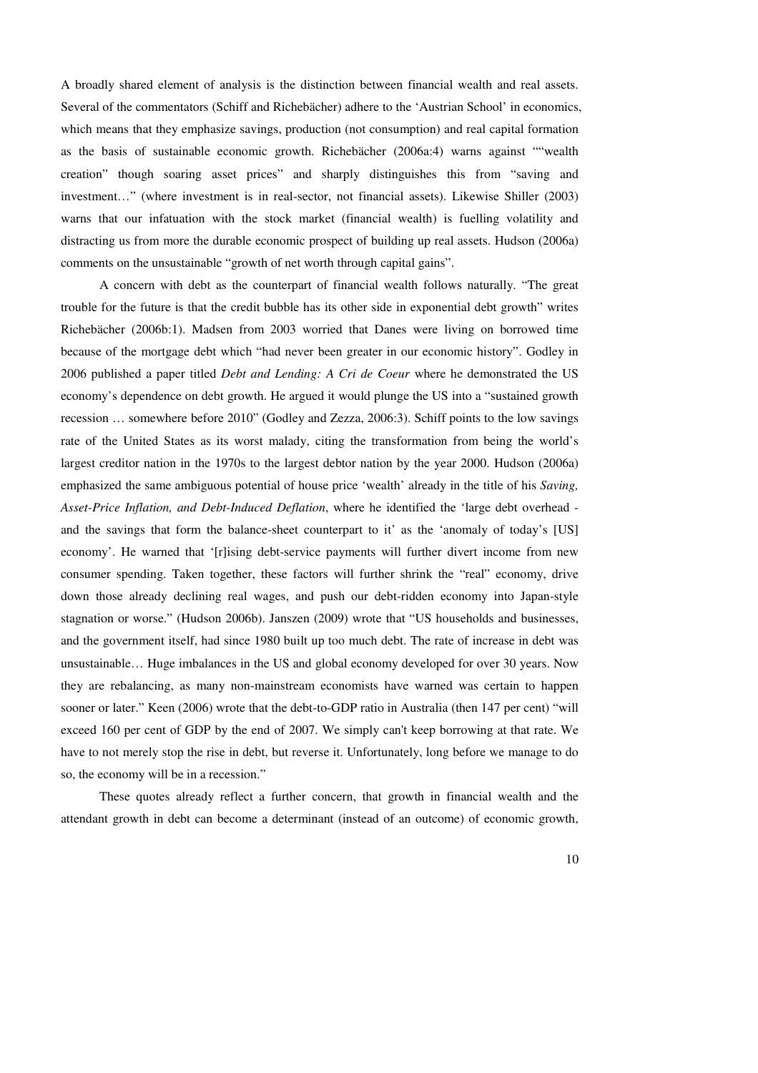A broadly shared element of analysis is the distinction between financial wealth and real assets. Several of the commentators (Schiff and Richebächer) adhere to the 'Austrian School' in economics, which means that they emphasize savings, production (not consumption) and real capital formation as the basis of sustainable economic growth. Richebächer (2006a:4) warns against ""wealth creation" though soaring asset prices" and sharply distinguishes this from "saving and investment…" (where investment is in real-sector, not financial assets). Likewise Shiller (2003) warns that our infatuation with the stock market (financial wealth) is fuelling volatility and distracting us from more the durable economic prospect of building up real assets. Hudson (2006a) comments on the unsustainable "growth of net worth through capital gains".

A concern with debt as the counterpart of financial wealth follows naturally. "The great trouble for the future is that the credit bubble has its other side in exponential debt growth" writes Richebächer (2006b:1). Madsen from 2003 worried that Danes were living on borrowed time because of the mortgage debt which "had never been greater in our economic history". Godley in 2006 published a paper titled *Debt and Lending: A Cri de Coeur* where he demonstrated the US economy's dependence on debt growth. He argued it would plunge the US into a "sustained growth recession … somewhere before 2010" (Godley and Zezza, 2006:3). Schiff points to the low savings rate of the United States as its worst malady, citing the transformation from being the world's largest creditor nation in the 1970s to the largest debtor nation by the year 2000. Hudson (2006a) emphasized the same ambiguous potential of house price 'wealth' already in the title of his *Saving, Asset-Price Inflation, and Debt-Induced Deflation*, where he identified the 'large debt overhead and the savings that form the balance-sheet counterpart to it' as the 'anomaly of today's [US] economy'. He warned that '[r]ising debt-service payments will further divert income from new consumer spending. Taken together, these factors will further shrink the "real" economy, drive down those already declining real wages, and push our debt-ridden economy into Japan-style stagnation or worse." (Hudson 2006b). Janszen (2009) wrote that "US households and businesses, and the government itself, had since 1980 built up too much debt. The rate of increase in debt was unsustainable… Huge imbalances in the US and global economy developed for over 30 years. Now they are rebalancing, as many non-mainstream economists have warned was certain to happen sooner or later." Keen (2006) wrote that the debt-to-GDP ratio in Australia (then 147 per cent) "will exceed 160 per cent of GDP by the end of 2007. We simply can't keep borrowing at that rate. We have to not merely stop the rise in debt, but reverse it. Unfortunately, long before we manage to do so, the economy will be in a recession."

These quotes already reflect a further concern, that growth in financial wealth and the attendant growth in debt can become a determinant (instead of an outcome) of economic growth,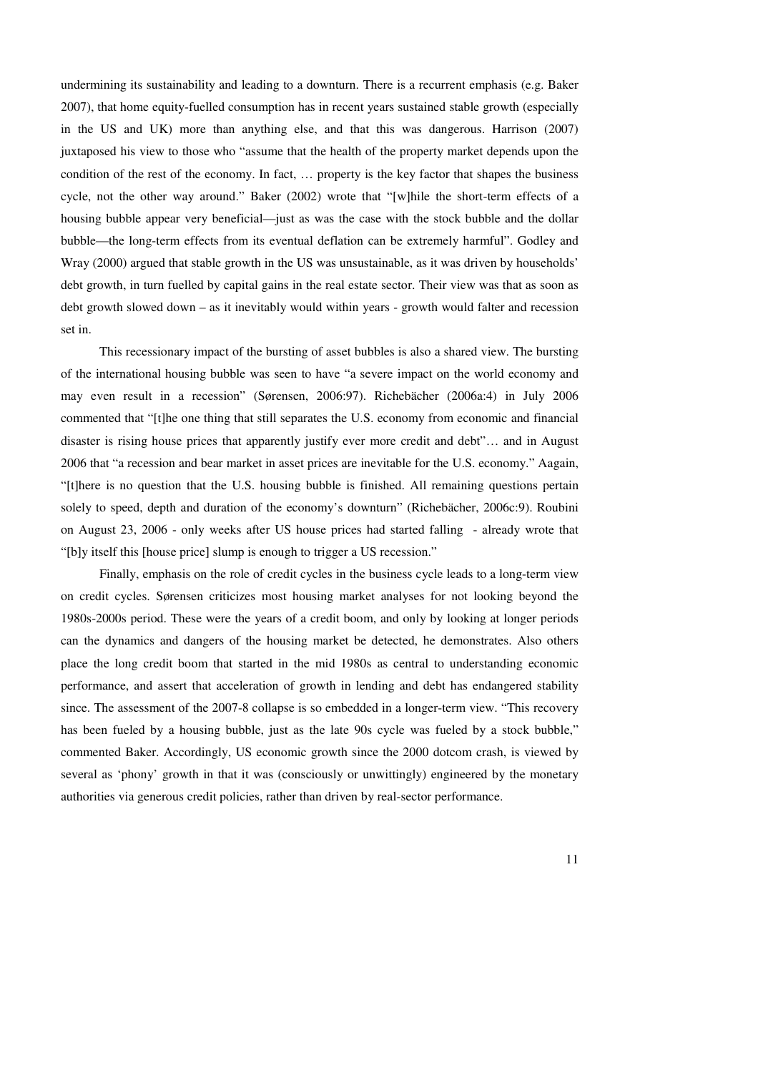undermining its sustainability and leading to a downturn. There is a recurrent emphasis (e.g. Baker 2007), that home equity-fuelled consumption has in recent years sustained stable growth (especially in the US and UK) more than anything else, and that this was dangerous. Harrison (2007) juxtaposed his view to those who "assume that the health of the property market depends upon the condition of the rest of the economy. In fact, … property is the key factor that shapes the business cycle, not the other way around." Baker (2002) wrote that "[w]hile the short-term effects of a housing bubble appear very beneficial—just as was the case with the stock bubble and the dollar bubble—the long-term effects from its eventual deflation can be extremely harmful". Godley and Wray (2000) argued that stable growth in the US was unsustainable, as it was driven by households' debt growth, in turn fuelled by capital gains in the real estate sector. Their view was that as soon as debt growth slowed down – as it inevitably would within years - growth would falter and recession set in.

This recessionary impact of the bursting of asset bubbles is also a shared view. The bursting of the international housing bubble was seen to have "a severe impact on the world economy and may even result in a recession" (Sørensen, 2006:97). Richebächer (2006a:4) in July 2006 commented that "[t]he one thing that still separates the U.S. economy from economic and financial disaster is rising house prices that apparently justify ever more credit and debt"… and in August 2006 that "a recession and bear market in asset prices are inevitable for the U.S. economy." Aagain, "[t]here is no question that the U.S. housing bubble is finished. All remaining questions pertain solely to speed, depth and duration of the economy's downturn" (Richebächer, 2006c:9). Roubini on August 23, 2006 - only weeks after US house prices had started falling - already wrote that "[b]y itself this [house price] slump is enough to trigger a US recession."

Finally, emphasis on the role of credit cycles in the business cycle leads to a long-term view on credit cycles. Sørensen criticizes most housing market analyses for not looking beyond the 1980s-2000s period. These were the years of a credit boom, and only by looking at longer periods can the dynamics and dangers of the housing market be detected, he demonstrates. Also others place the long credit boom that started in the mid 1980s as central to understanding economic performance, and assert that acceleration of growth in lending and debt has endangered stability since. The assessment of the 2007-8 collapse is so embedded in a longer-term view. "This recovery has been fueled by a housing bubble, just as the late 90s cycle was fueled by a stock bubble," commented Baker. Accordingly, US economic growth since the 2000 dotcom crash, is viewed by several as 'phony' growth in that it was (consciously or unwittingly) engineered by the monetary authorities via generous credit policies, rather than driven by real-sector performance.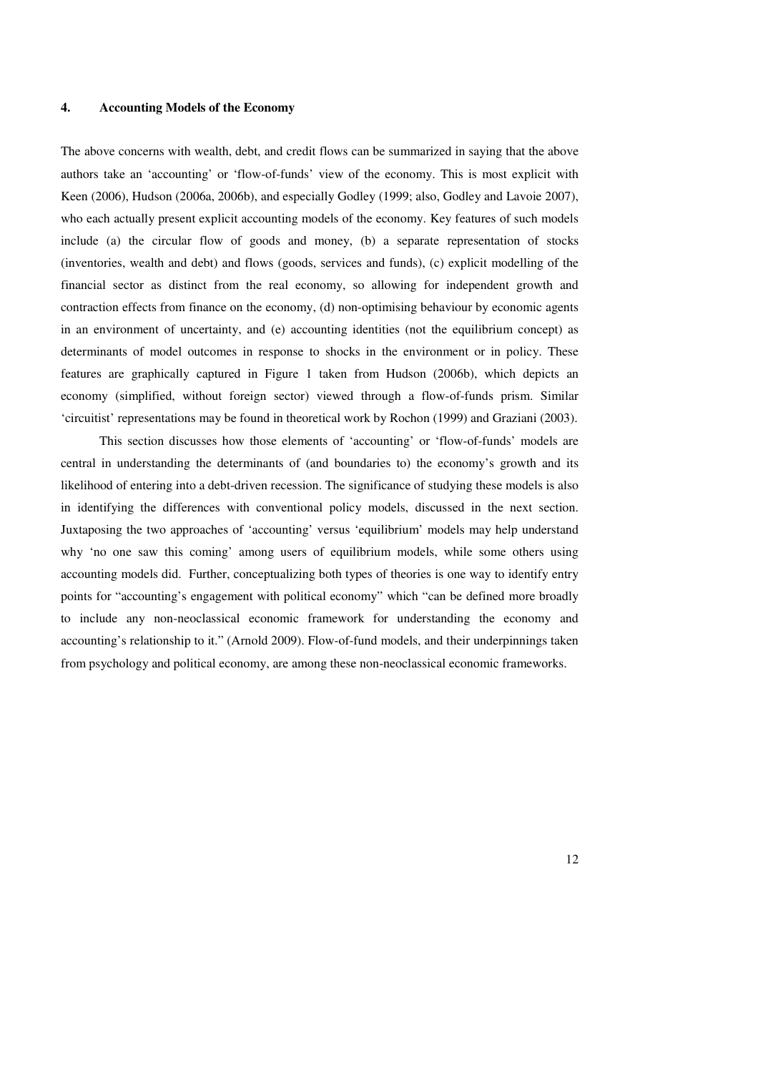#### **4. Accounting Models of the Economy**

The above concerns with wealth, debt, and credit flows can be summarized in saying that the above authors take an 'accounting' or 'flow-of-funds' view of the economy. This is most explicit with Keen (2006), Hudson (2006a, 2006b), and especially Godley (1999; also, Godley and Lavoie 2007), who each actually present explicit accounting models of the economy. Key features of such models include (a) the circular flow of goods and money, (b) a separate representation of stocks (inventories, wealth and debt) and flows (goods, services and funds), (c) explicit modelling of the financial sector as distinct from the real economy, so allowing for independent growth and contraction effects from finance on the economy, (d) non-optimising behaviour by economic agents in an environment of uncertainty, and (e) accounting identities (not the equilibrium concept) as determinants of model outcomes in response to shocks in the environment or in policy. These features are graphically captured in Figure 1 taken from Hudson (2006b), which depicts an economy (simplified, without foreign sector) viewed through a flow-of-funds prism. Similar 'circuitist' representations may be found in theoretical work by Rochon (1999) and Graziani (2003).

This section discusses how those elements of 'accounting' or 'flow-of-funds' models are central in understanding the determinants of (and boundaries to) the economy's growth and its likelihood of entering into a debt-driven recession. The significance of studying these models is also in identifying the differences with conventional policy models, discussed in the next section. Juxtaposing the two approaches of 'accounting' versus 'equilibrium' models may help understand why 'no one saw this coming' among users of equilibrium models, while some others using accounting models did. Further, conceptualizing both types of theories is one way to identify entry points for "accounting's engagement with political economy" which "can be defined more broadly to include any non-neoclassical economic framework for understanding the economy and accounting's relationship to it." (Arnold 2009). Flow-of-fund models, and their underpinnings taken from psychology and political economy, are among these non-neoclassical economic frameworks.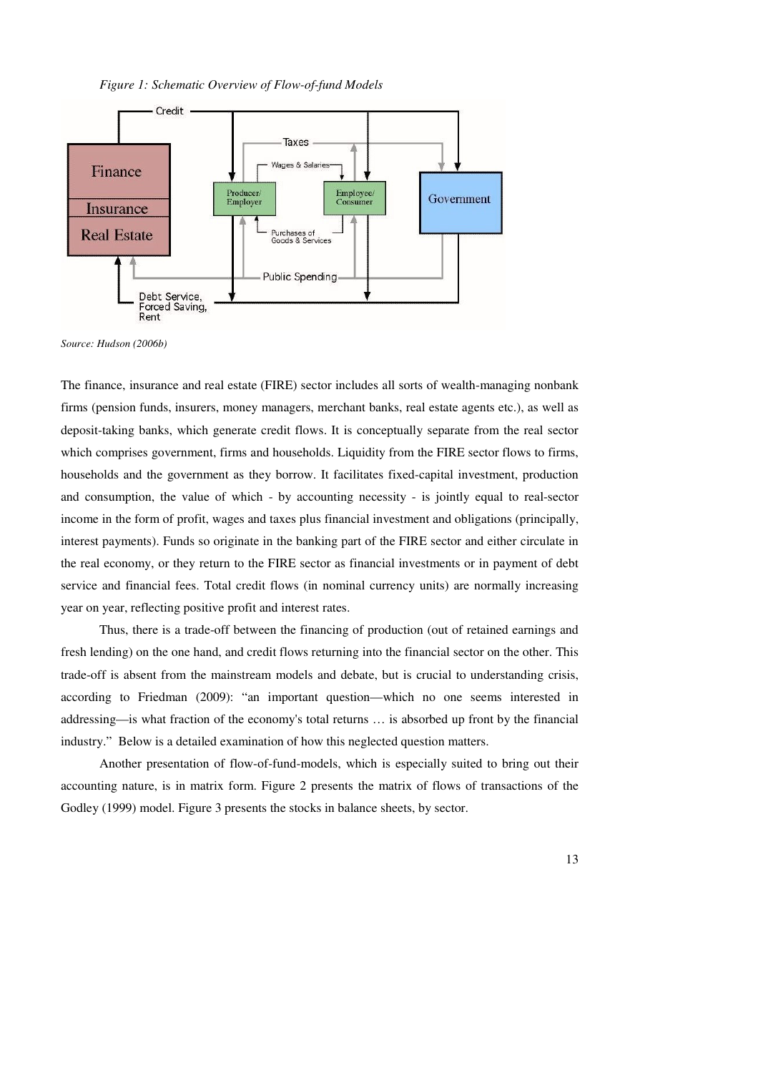*Figure 1: Schematic Overview of Flow-of-fund Models*



*Source: Hudson (2006b)*

The finance, insurance and real estate (FIRE) sector includes all sorts of wealth-managing nonbank firms (pension funds, insurers, money managers, merchant banks, real estate agents etc.), as well as deposit-taking banks, which generate credit flows. It is conceptually separate from the real sector which comprises government, firms and households. Liquidity from the FIRE sector flows to firms, households and the government as they borrow. It facilitates fixed-capital investment, production and consumption, the value of which - by accounting necessity - is jointly equal to real-sector income in the form of profit, wages and taxes plus financial investment and obligations (principally, interest payments). Funds so originate in the banking part of the FIRE sector and either circulate in the real economy, or they return to the FIRE sector as financial investments or in payment of debt service and financial fees. Total credit flows (in nominal currency units) are normally increasing year on year, reflecting positive profit and interest rates.

Thus, there is a trade-off between the financing of production (out of retained earnings and fresh lending) on the one hand, and credit flows returning into the financial sector on the other. This trade-off is absent from the mainstream models and debate, but is crucial to understanding crisis, according to Friedman (2009): "an important question—which no one seems interested in addressing—is what fraction of the economy's total returns … is absorbed up front by the financial industry." Below is a detailed examination of how this neglected question matters.

Another presentation of flow-of-fund-models, which is especially suited to bring out their accounting nature, is in matrix form. Figure 2 presents the matrix of flows of transactions of the Godley (1999) model. Figure 3 presents the stocks in balance sheets, by sector.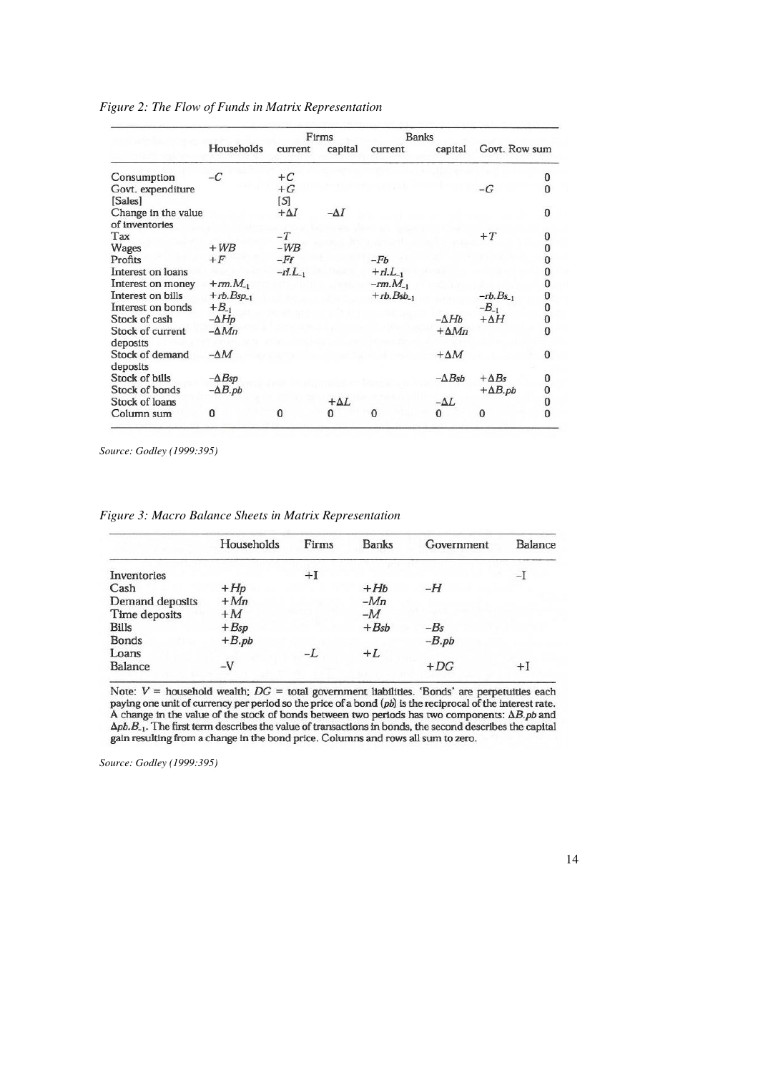|                                       |                          | Firms        |              | <b>Banks</b>             |                |                         |              |
|---------------------------------------|--------------------------|--------------|--------------|--------------------------|----------------|-------------------------|--------------|
|                                       | Households               | current      | capital      | current                  | capital        | Govt. Row sum           |              |
| Consumption                           | -C                       | $+C$         |              |                          |                |                         | 0            |
| Govt. expenditure<br>[Sales]          |                          | $+G$<br>[S]  |              |                          |                | -G                      | $\Omega$     |
| Change in the value<br>of inventories |                          | $+\Delta I$  | $-\Delta I$  |                          |                |                         | $\Omega$     |
| Tax                                   |                          | $-T$         |              |                          |                | $+T$                    | 0            |
| Wages                                 | $+WB$                    | $-WB$        |              |                          |                |                         | 0            |
| Profits                               | $+F$                     | $-Ff$        |              | $-Fb$                    |                |                         | 0            |
| Interest on loans                     |                          | $-rl.L_{-1}$ |              | $+$ rl.L <sub>-1</sub>   |                |                         | 0            |
| Interest on money                     | $+m.M1$                  |              |              | $-rm.M_{-1}$             |                |                         | 0            |
| Interest on bills                     | $+$ rb.Bsp <sub>-1</sub> |              |              | $+$ rb.Bsb <sub>-1</sub> |                | $-rb.$ Bs <sub>-1</sub> | 0            |
| Interest on bonds                     | $+B_{-1}$                |              |              |                          |                | $-B_{-1}$               | 0            |
| Stock of cash                         | $-\Delta H p$            |              |              |                          | $-\Delta Hb$   | $+ \Delta H$            | 0            |
| Stock of current<br>deposits          | $-\Delta Mn$             |              |              |                          | $+\Delta Mn$   |                         | $\Omega$     |
| Stock of demand<br>deposits           | $-\Delta M$              |              |              |                          | $+\Delta M$    |                         | $\Omega$     |
| Stock of bills                        | $-\Delta Bsp$            |              |              |                          | $-\Delta B$ sb | $+\Delta Bs$            | 0            |
| Stock of bonds                        | $-\Delta B$ .pb          |              |              |                          |                | $+\Delta B$ .pb         | 0            |
| Stock of loans                        |                          |              | $+ \Delta L$ |                          | $-\Delta L$    |                         | 0            |
| Column sum                            | $\Omega$                 | 0            | <sup>0</sup> | $\Omega$                 | $\Omega$       | $\Omega$                | $\mathbf{0}$ |

*Figure 2: The Flow of Funds in Matrix Representation*

*Source: Godley (1999:395)*

*Figure 3: Macro Balance Sheets in Matrix Representation*

|                 | Households | Firms | <b>Banks</b> | Government | Balance |
|-----------------|------------|-------|--------------|------------|---------|
| Inventories     |            | $+I$  |              |            | $-I$    |
| Cash            | $+Hp$      |       | $+Hb$        | $-H$       |         |
| Demand deposits | $+Mn$      |       | $-Mn$        |            |         |
| Time deposits   | $+M$       |       | -M           |            |         |
| <b>Bills</b>    | $+ Bsp$    |       | $+ Bsb$      | $-Bs$      |         |
| <b>Bonds</b>    | $+B$ .pb   |       |              | $-B$ .pb   |         |
| Loans           |            | $-L$  | $+L$         |            |         |
| Balance         | $-V$       |       |              | $+DG$      | +I      |

Note:  $V =$  household wealth;  $DG =$  total government liabilities. 'Bonds' are perpetuities each paying one unit of currency per period so the price of a bond  $(pb)$  is the reciprocal of the interest rate. A change in the val  $\Delta pb. B_{-1}$ . The first term describes the value of transactions in bonds, the second describes the capital gain resulting from a change in the bond price. Columns and rows all sum to zero.

*Source: Godley (1999:395)*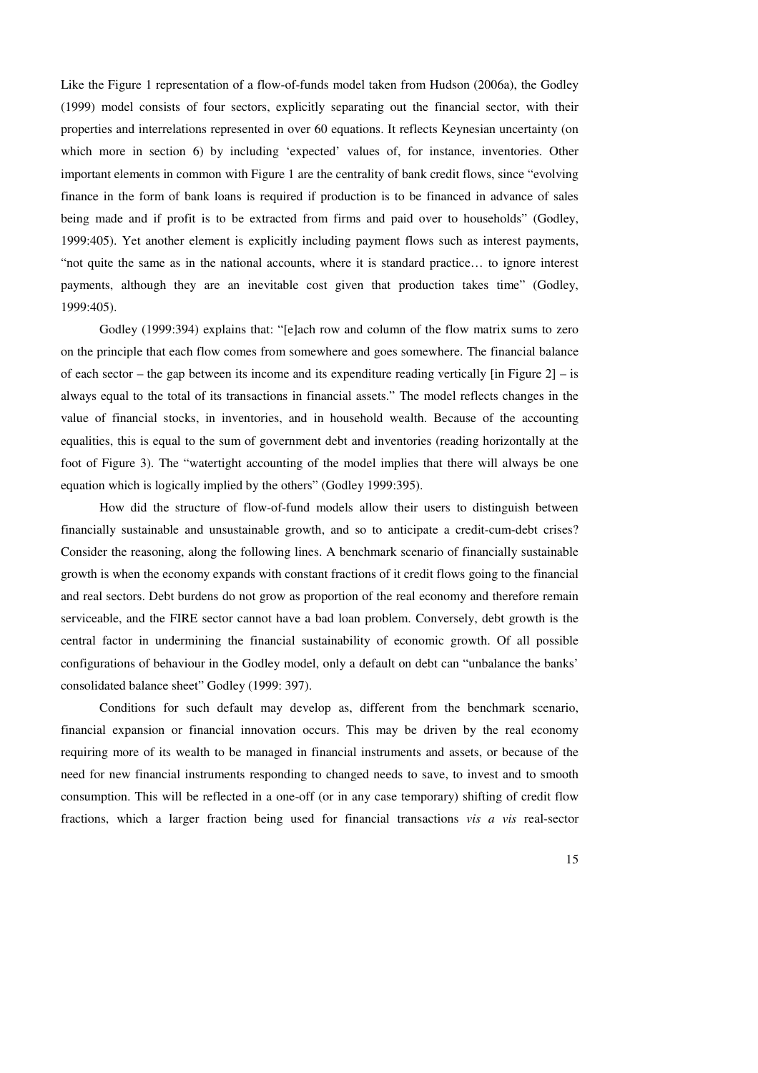Like the Figure 1 representation of a flow-of-funds model taken from Hudson (2006a), the Godley (1999) model consists of four sectors, explicitly separating out the financial sector, with their properties and interrelations represented in over 60 equations. It reflects Keynesian uncertainty (on which more in section 6) by including 'expected' values of, for instance, inventories. Other important elements in common with Figure 1 are the centrality of bank credit flows, since "evolving finance in the form of bank loans is required if production is to be financed in advance of sales being made and if profit is to be extracted from firms and paid over to households" (Godley, 1999:405). Yet another element is explicitly including payment flows such as interest payments, "not quite the same as in the national accounts, where it is standard practice… to ignore interest payments, although they are an inevitable cost given that production takes time" (Godley, 1999:405).

Godley (1999:394) explains that: "[e]ach row and column of the flow matrix sums to zero on the principle that each flow comes from somewhere and goes somewhere. The financial balance of each sector – the gap between its income and its expenditure reading vertically [in Figure 2] – is always equal to the total of its transactions in financial assets." The model reflects changes in the value of financial stocks, in inventories, and in household wealth. Because of the accounting equalities, this is equal to the sum of government debt and inventories (reading horizontally at the foot of Figure 3). The "watertight accounting of the model implies that there will always be one equation which is logically implied by the others" (Godley 1999:395).

How did the structure of flow-of-fund models allow their users to distinguish between financially sustainable and unsustainable growth, and so to anticipate a credit-cum-debt crises? Consider the reasoning, along the following lines. A benchmark scenario of financially sustainable growth is when the economy expands with constant fractions of it credit flows going to the financial and real sectors. Debt burdens do not grow as proportion of the real economy and therefore remain serviceable, and the FIRE sector cannot have a bad loan problem. Conversely, debt growth is the central factor in undermining the financial sustainability of economic growth. Of all possible configurations of behaviour in the Godley model, only a default on debt can "unbalance the banks' consolidated balance sheet" Godley (1999: 397).

Conditions for such default may develop as, different from the benchmark scenario, financial expansion or financial innovation occurs. This may be driven by the real economy requiring more of its wealth to be managed in financial instruments and assets, or because of the need for new financial instruments responding to changed needs to save, to invest and to smooth consumption. This will be reflected in a one-off (or in any case temporary) shifting of credit flow fractions, which a larger fraction being used for financial transactions *vis a vis* real-sector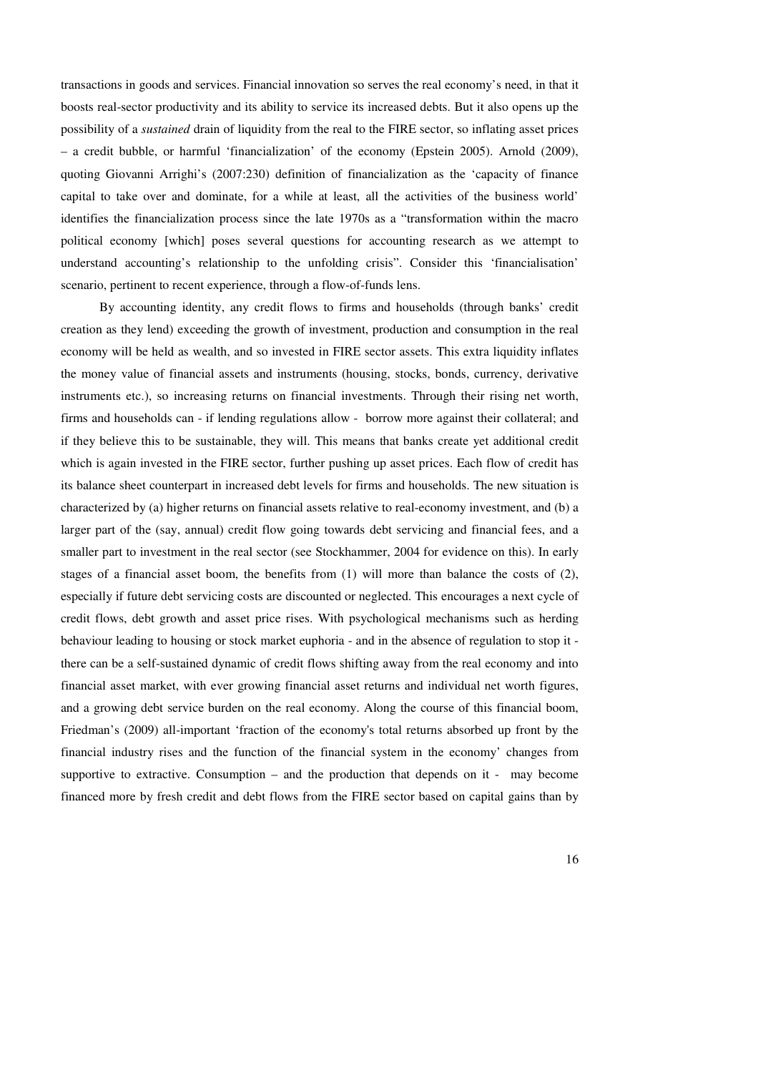transactions in goods and services. Financial innovation so serves the real economy's need, in that it boosts real-sector productivity and its ability to service its increased debts. But it also opens up the possibility of a *sustained* drain of liquidity from the real to the FIRE sector, so inflating asset prices – a credit bubble, or harmful 'financialization' of the economy (Epstein 2005). Arnold (2009), quoting Giovanni Arrighi's (2007:230) definition of financialization as the 'capacity of finance capital to take over and dominate, for a while at least, all the activities of the business world' identifies the financialization process since the late 1970s as a "transformation within the macro political economy [which] poses several questions for accounting research as we attempt to understand accounting's relationship to the unfolding crisis". Consider this 'financialisation' scenario, pertinent to recent experience, through a flow-of-funds lens.

By accounting identity, any credit flows to firms and households (through banks' credit creation as they lend) exceeding the growth of investment, production and consumption in the real economy will be held as wealth, and so invested in FIRE sector assets. This extra liquidity inflates the money value of financial assets and instruments (housing, stocks, bonds, currency, derivative instruments etc.), so increasing returns on financial investments. Through their rising net worth, firms and households can - if lending regulations allow - borrow more against their collateral; and if they believe this to be sustainable, they will. This means that banks create yet additional credit which is again invested in the FIRE sector, further pushing up asset prices. Each flow of credit has its balance sheet counterpart in increased debt levels for firms and households. The new situation is characterized by (a) higher returns on financial assets relative to real-economy investment, and (b) a larger part of the (say, annual) credit flow going towards debt servicing and financial fees, and a smaller part to investment in the real sector (see Stockhammer, 2004 for evidence on this). In early stages of a financial asset boom, the benefits from  $(1)$  will more than balance the costs of  $(2)$ , especially if future debt servicing costs are discounted or neglected. This encourages a next cycle of credit flows, debt growth and asset price rises. With psychological mechanisms such as herding behaviour leading to housing or stock market euphoria - and in the absence of regulation to stop it there can be a self-sustained dynamic of credit flows shifting away from the real economy and into financial asset market, with ever growing financial asset returns and individual net worth figures, and a growing debt service burden on the real economy. Along the course of this financial boom, Friedman's (2009) all-important 'fraction of the economy's total returns absorbed up front by the financial industry rises and the function of the financial system in the economy' changes from supportive to extractive. Consumption – and the production that depends on it - may become financed more by fresh credit and debt flows from the FIRE sector based on capital gains than by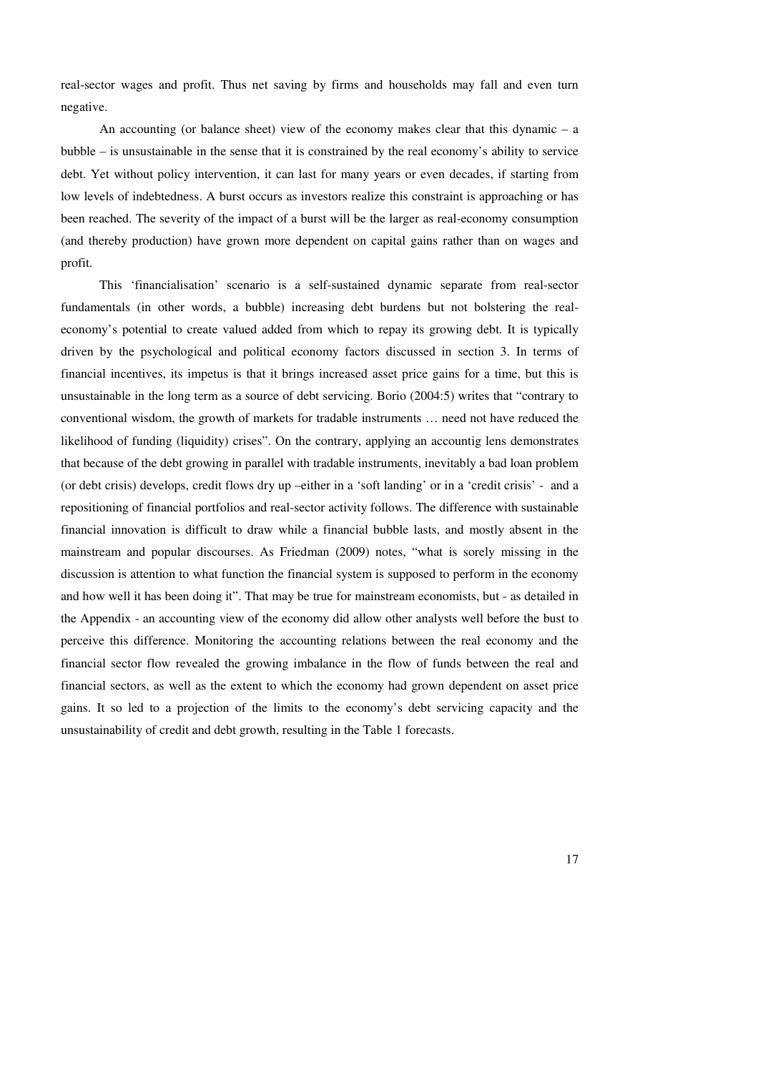real-sector wages and profit. Thus net saving by firms and households may fall and even turn negative.

An accounting (or balance sheet) view of the economy makes clear that this dynamic – a bubble – is unsustainable in the sense that it is constrained by the real economy's ability to service debt. Yet without policy intervention, it can last for many years or even decades, if starting from low levels of indebtedness. A burst occurs as investors realize this constraint is approaching or has been reached. The severity of the impact of a burst will be the larger as real-economy consumption (and thereby production) have grown more dependent on capital gains rather than on wages and profit.

This 'financialisation' scenario is a self-sustained dynamic separate from real-sector fundamentals (in other words, a bubble) increasing debt burdens but not bolstering the realeconomy's potential to create valued added from which to repay its growing debt. It is typically driven by the psychological and political economy factors discussed in section 3. In terms of financial incentives, its impetus is that it brings increased asset price gains for a time, but this is unsustainable in the long term as a source of debt servicing. Borio (2004:5) writes that "contrary to conventional wisdom, the growth of markets for tradable instruments … need not have reduced the likelihood of funding (liquidity) crises". On the contrary, applying an accountig lens demonstrates that because of the debt growing in parallel with tradable instruments, inevitably a bad loan problem (or debt crisis) develops, credit flows dry up –either in a 'soft landing' or in a 'credit crisis' - and a repositioning of financial portfolios and real-sector activity follows. The difference with sustainable financial innovation is difficult to draw while a financial bubble lasts, and mostly absent in the mainstream and popular discourses. As Friedman (2009) notes, "what is sorely missing in the discussion is attention to what function the financial system is supposed to perform in the economy and how well it has been doing it". That may be true for mainstream economists, but - as detailed in the Appendix - an accounting view of the economy did allow other analysts well before the bust to perceive this difference. Monitoring the accounting relations between the real economy and the financial sector flow revealed the growing imbalance in the flow of funds between the real and financial sectors, as well as the extent to which the economy had grown dependent on asset price gains. It so led to a projection of the limits to the economy's debt servicing capacity and the unsustainability of credit and debt growth, resulting in the Table 1 forecasts.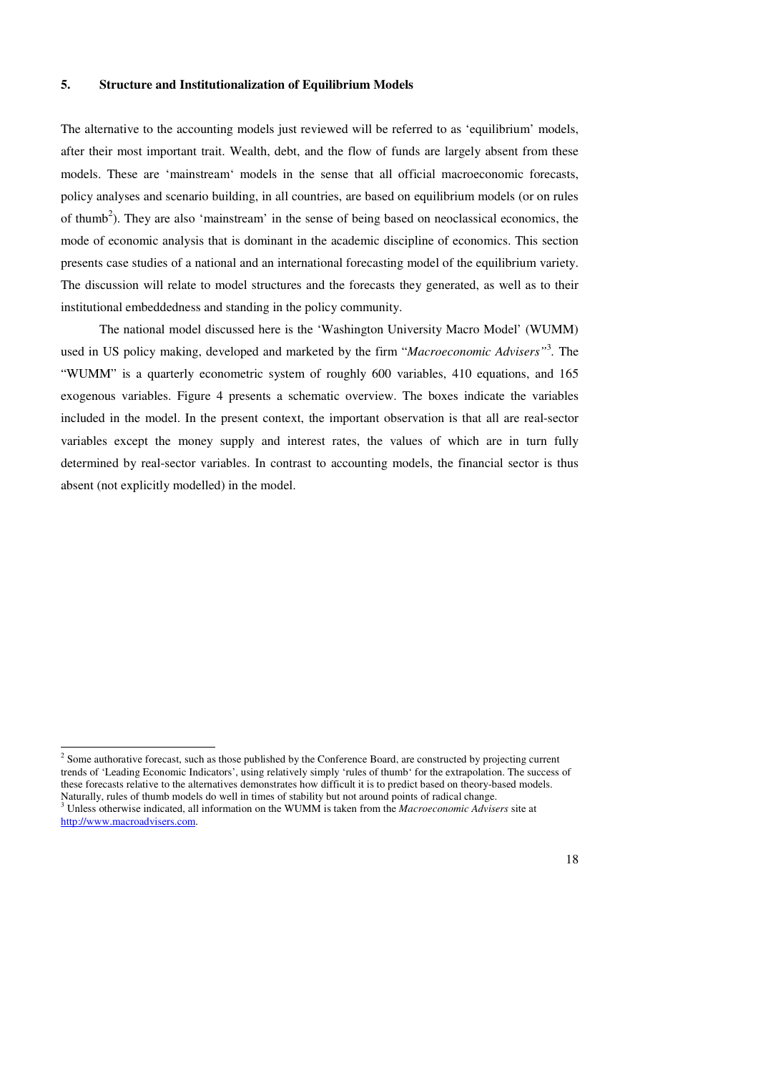#### **5. Structure and Institutionalization of Equilibrium Models**

The alternative to the accounting models just reviewed will be referred to as 'equilibrium' models, after their most important trait. Wealth, debt, and the flow of funds are largely absent from these models. These are 'mainstream' models in the sense that all official macroeconomic forecasts, policy analyses and scenario building, in all countries, are based on equilibrium models (or on rules of thumb<sup>2</sup>). They are also 'mainstream' in the sense of being based on neoclassical economics, the mode of economic analysis that is dominant in the academic discipline of economics. This section presents case studies of a national and an international forecasting model of the equilibrium variety. The discussion will relate to model structures and the forecasts they generated, as well as to their institutional embeddedness and standing in the policy community.

The national model discussed here is the 'Washington University Macro Model' (WUMM) used in US policy making, developed and marketed by the firm "*Macroeconomic Advisers"* 3 *.* The "WUMM" is a quarterly econometric system of roughly 600 variables, 410 equations, and 165 exogenous variables. Figure 4 presents a schematic overview. The boxes indicate the variables included in the model. In the present context, the important observation is that all are real-sector variables except the money supply and interest rates, the values of which are in turn fully determined by real-sector variables. In contrast to accounting models, the financial sector is thus absent (not explicitly modelled) in the model.

<sup>&</sup>lt;sup>2</sup> Some authorative forecast, such as those published by the Conference Board, are constructed by projecting current trends of 'Leading Economic Indicators', using relatively simply 'rules of thumb' for the extrapolation. The success of these forecasts relative to the alternatives demonstrates how difficult it is to predict based on theory-based models. Naturally, rules of thumb models do well in times of stability but not around points of radical change. <sup>3</sup> Unless otherwise indicated, all information on the WUMM is taken from the *Macroeconomic Advisers* site at http://www.macroadvisers.com.

<sup>18</sup>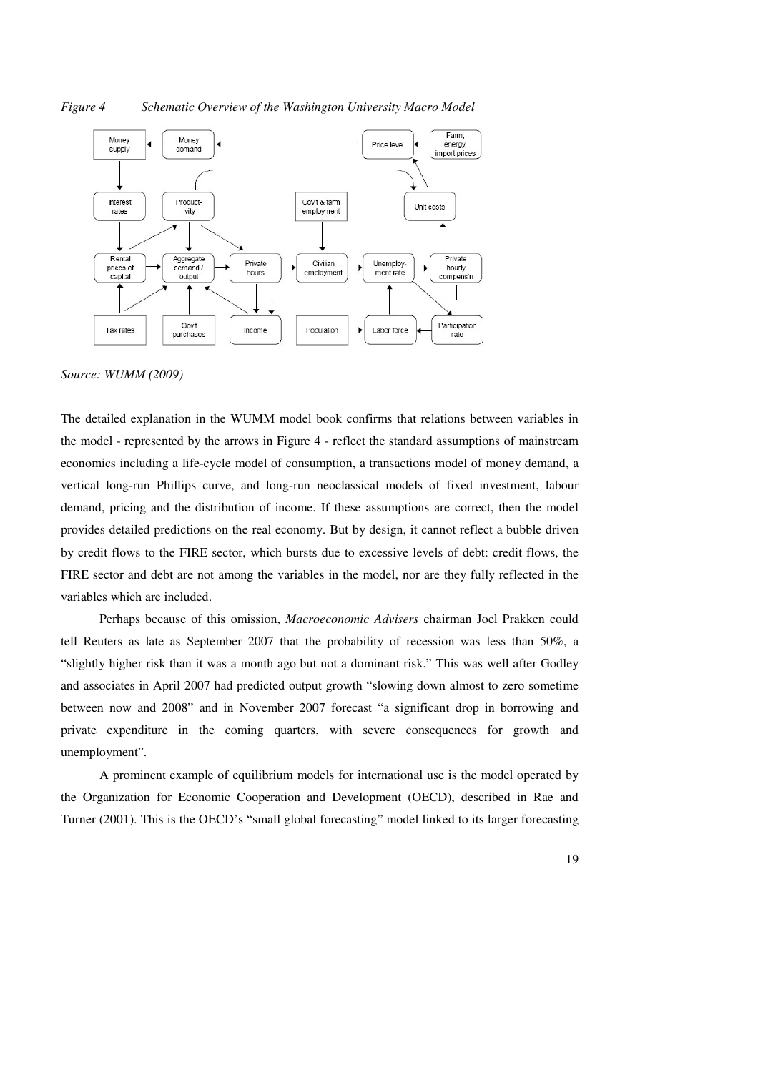



*Source: WUMM (2009)*

The detailed explanation in the WUMM model book confirms that relations between variables in the model - represented by the arrows in Figure 4 - reflect the standard assumptions of mainstream economics including a life-cycle model of consumption, a transactions model of money demand, a vertical long-run Phillips curve, and long-run neoclassical models of fixed investment, labour demand, pricing and the distribution of income. If these assumptions are correct, then the model provides detailed predictions on the real economy. But by design, it cannot reflect a bubble driven by credit flows to the FIRE sector, which bursts due to excessive levels of debt: credit flows, the FIRE sector and debt are not among the variables in the model, nor are they fully reflected in the variables which are included.

Perhaps because of this omission, *Macroeconomic Advisers* chairman Joel Prakken could tell Reuters as late as September 2007 that the probability of recession was less than 50%, a "slightly higher risk than it was a month ago but not a dominant risk." This was well after Godley and associates in April 2007 had predicted output growth "slowing down almost to zero sometime between now and 2008" and in November 2007 forecast "a significant drop in borrowing and private expenditure in the coming quarters, with severe consequences for growth and unemployment".

A prominent example of equilibrium models for international use is the model operated by the Organization for Economic Cooperation and Development (OECD), described in Rae and Turner (2001). This is the OECD's "small global forecasting" model linked to its larger forecasting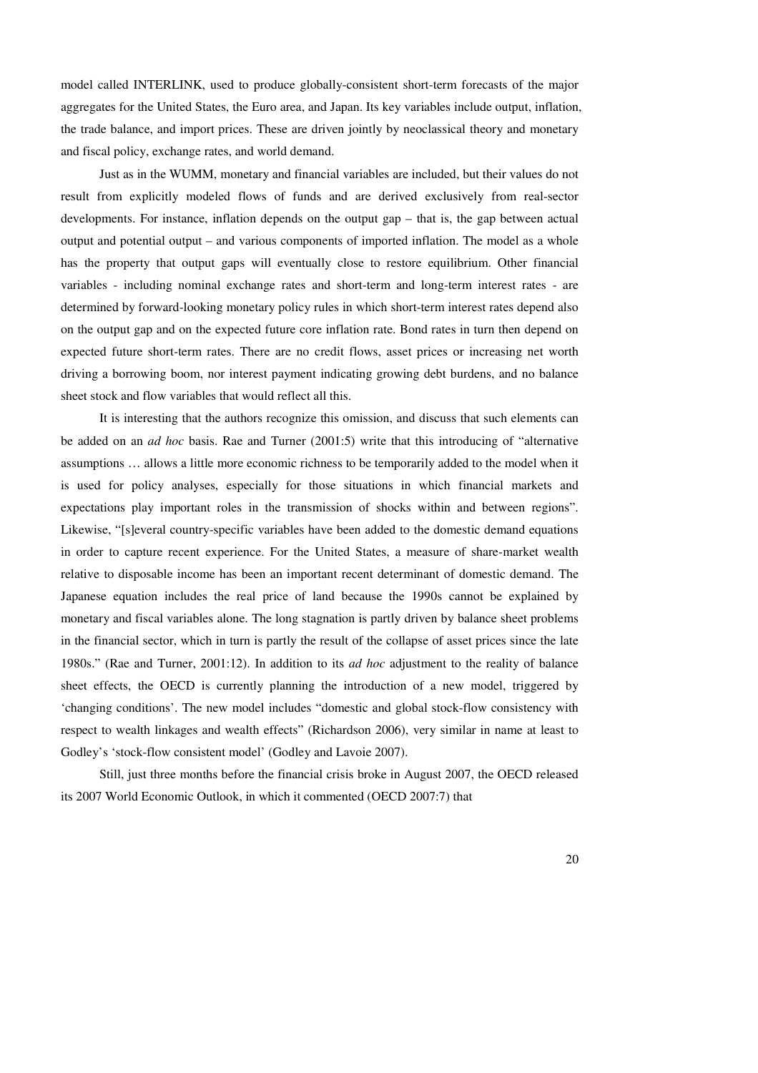model called INTERLINK, used to produce globally-consistent short-term forecasts of the major aggregates for the United States, the Euro area, and Japan. Its key variables include output, inflation, the trade balance, and import prices. These are driven jointly by neoclassical theory and monetary and fiscal policy, exchange rates, and world demand.

Just as in the WUMM, monetary and financial variables are included, but their values do not result from explicitly modeled flows of funds and are derived exclusively from real-sector developments. For instance, inflation depends on the output gap – that is, the gap between actual output and potential output – and various components of imported inflation. The model as a whole has the property that output gaps will eventually close to restore equilibrium. Other financial variables - including nominal exchange rates and short-term and long-term interest rates - are determined by forward-looking monetary policy rules in which short-term interest rates depend also on the output gap and on the expected future core inflation rate. Bond rates in turn then depend on expected future short-term rates. There are no credit flows, asset prices or increasing net worth driving a borrowing boom, nor interest payment indicating growing debt burdens, and no balance sheet stock and flow variables that would reflect all this.

It is interesting that the authors recognize this omission, and discuss that such elements can be added on an *ad hoc* basis. Rae and Turner (2001:5) write that this introducing of "alternative assumptions … allows a little more economic richness to be temporarily added to the model when it is used for policy analyses, especially for those situations in which financial markets and expectations play important roles in the transmission of shocks within and between regions". Likewise, "[s]everal country-specific variables have been added to the domestic demand equations in order to capture recent experience. For the United States, a measure of share-market wealth relative to disposable income has been an important recent determinant of domestic demand. The Japanese equation includes the real price of land because the 1990s cannot be explained by monetary and fiscal variables alone. The long stagnation is partly driven by balance sheet problems in the financial sector, which in turn is partly the result of the collapse of asset prices since the late 1980s." (Rae and Turner, 2001:12). In addition to its *ad hoc* adjustment to the reality of balance sheet effects, the OECD is currently planning the introduction of a new model, triggered by 'changing conditions'. The new model includes "domestic and global stock-flow consistency with respect to wealth linkages and wealth effects" (Richardson 2006), very similar in name at least to Godley's 'stock-flow consistent model' (Godley and Lavoie 2007).

Still, just three months before the financial crisis broke in August 2007, the OECD released its 2007 World Economic Outlook, in which it commented (OECD 2007:7) that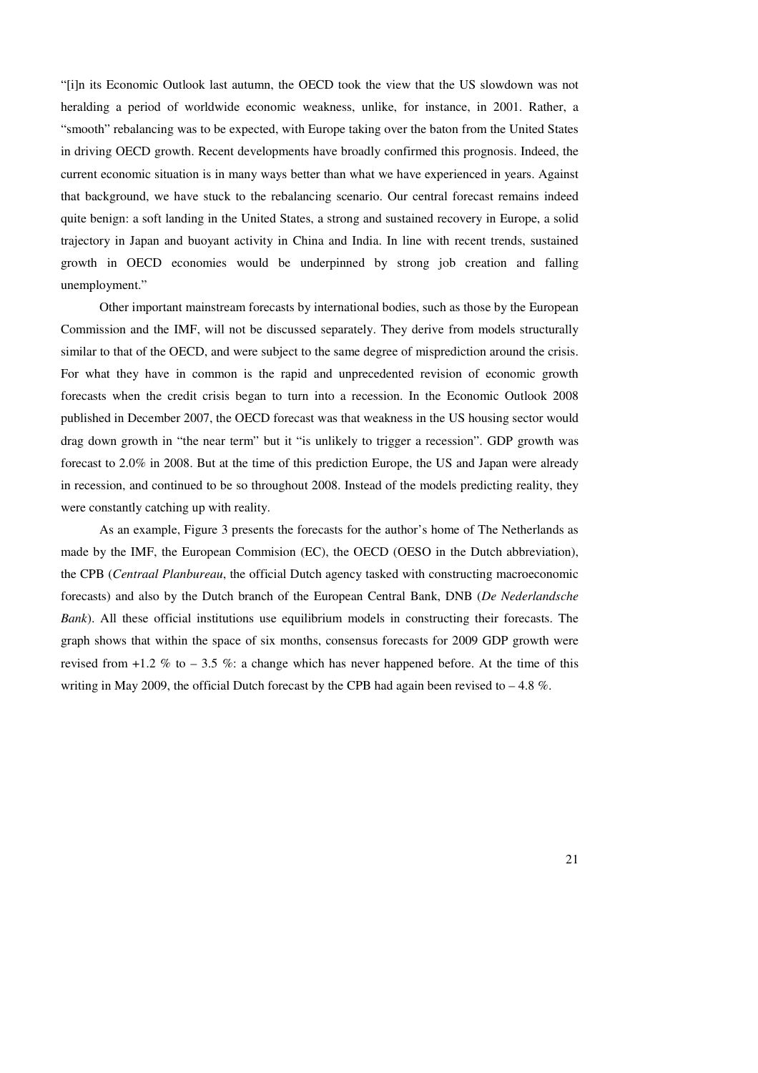"[i]n its Economic Outlook last autumn, the OECD took the view that the US slowdown was not heralding a period of worldwide economic weakness, unlike, for instance, in 2001. Rather, a "smooth" rebalancing was to be expected, with Europe taking over the baton from the United States in driving OECD growth. Recent developments have broadly confirmed this prognosis. Indeed, the current economic situation is in many ways better than what we have experienced in years. Against that background, we have stuck to the rebalancing scenario. Our central forecast remains indeed quite benign: a soft landing in the United States, a strong and sustained recovery in Europe, a solid trajectory in Japan and buoyant activity in China and India. In line with recent trends, sustained growth in OECD economies would be underpinned by strong job creation and falling unemployment."

Other important mainstream forecasts by international bodies, such as those by the European Commission and the IMF, will not be discussed separately. They derive from models structurally similar to that of the OECD, and were subject to the same degree of misprediction around the crisis. For what they have in common is the rapid and unprecedented revision of economic growth forecasts when the credit crisis began to turn into a recession. In the Economic Outlook 2008 published in December 2007, the OECD forecast was that weakness in the US housing sector would drag down growth in "the near term" but it "is unlikely to trigger a recession". GDP growth was forecast to 2.0% in 2008. But at the time of this prediction Europe, the US and Japan were already in recession, and continued to be so throughout 2008. Instead of the models predicting reality, they were constantly catching up with reality.

As an example, Figure 3 presents the forecasts for the author's home of The Netherlands as made by the IMF, the European Commision (EC), the OECD (OESO in the Dutch abbreviation), the CPB (*Centraal Planbureau*, the official Dutch agency tasked with constructing macroeconomic forecasts) and also by the Dutch branch of the European Central Bank, DNB (*De Nederlandsche Bank*). All these official institutions use equilibrium models in constructing their forecasts. The graph shows that within the space of six months, consensus forecasts for 2009 GDP growth were revised from  $+1.2$  % to  $-3.5$  %: a change which has never happened before. At the time of this writing in May 2009, the official Dutch forecast by the CPB had again been revised to  $-4.8\%$ .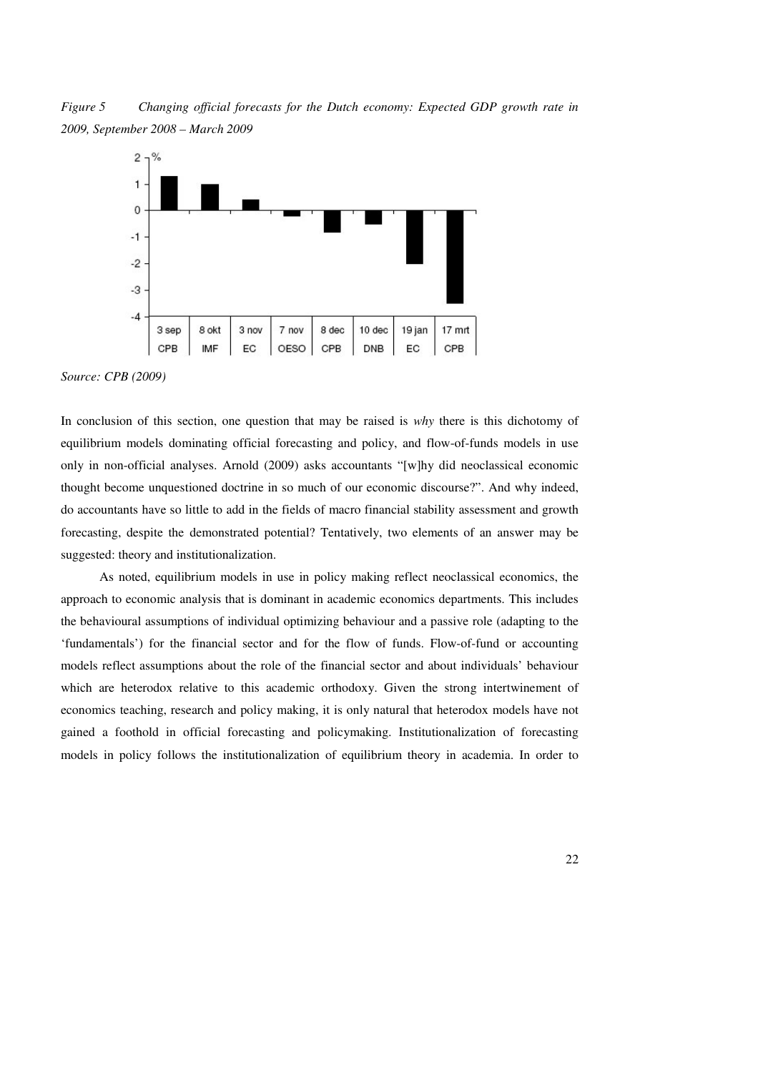*Figure 5 Changing official forecasts for the Dutch economy: Expected GDP growth rate in 2009, September 2008 – March 2009*



*Source: CPB (2009)*

In conclusion of this section, one question that may be raised is *why* there is this dichotomy of equilibrium models dominating official forecasting and policy, and flow-of-funds models in use only in non-official analyses. Arnold (2009) asks accountants "[w]hy did neoclassical economic thought become unquestioned doctrine in so much of our economic discourse?". And why indeed, do accountants have so little to add in the fields of macro financial stability assessment and growth forecasting, despite the demonstrated potential? Tentatively, two elements of an answer may be suggested: theory and institutionalization.

As noted, equilibrium models in use in policy making reflect neoclassical economics, the approach to economic analysis that is dominant in academic economics departments. This includes the behavioural assumptions of individual optimizing behaviour and a passive role (adapting to the 'fundamentals') for the financial sector and for the flow of funds. Flow-of-fund or accounting models reflect assumptions about the role of the financial sector and about individuals' behaviour which are heterodox relative to this academic orthodoxy. Given the strong intertwinement of economics teaching, research and policy making, it is only natural that heterodox models have not gained a foothold in official forecasting and policymaking. Institutionalization of forecasting models in policy follows the institutionalization of equilibrium theory in academia. In order to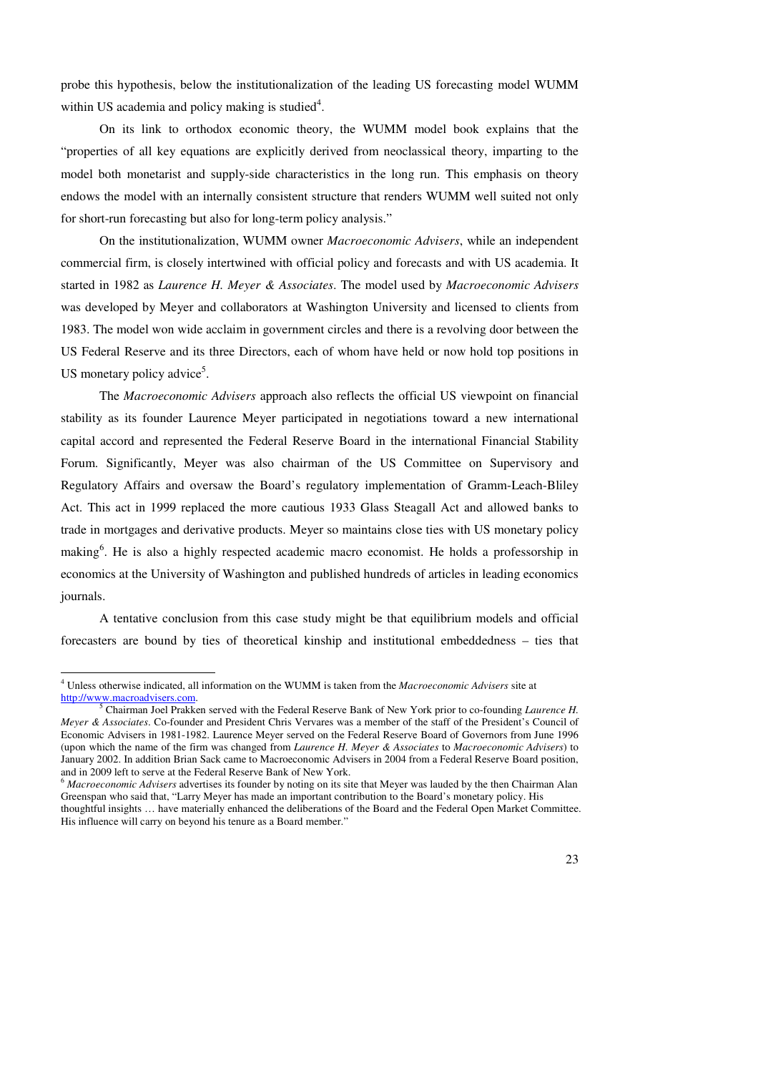probe this hypothesis, below the institutionalization of the leading US forecasting model WUMM within US academia and policy making is studied<sup>4</sup>.

On its link to orthodox economic theory, the WUMM model book explains that the "properties of all key equations are explicitly derived from neoclassical theory, imparting to the model both monetarist and supply-side characteristics in the long run. This emphasis on theory endows the model with an internally consistent structure that renders WUMM well suited not only for short-run forecasting but also for long-term policy analysis."

On the institutionalization, WUMM owner *Macroeconomic Advisers*, while an independent commercial firm, is closely intertwined with official policy and forecasts and with US academia. It started in 1982 as *Laurence H. Meyer & Associates*. The model used by *Macroeconomic Advisers* was developed by Meyer and collaborators at Washington University and licensed to clients from 1983. The model won wide acclaim in government circles and there is a revolving door between the US Federal Reserve and its three Directors, each of whom have held or now hold top positions in US monetary policy advice<sup>5</sup>.

The *Macroeconomic Advisers* approach also reflects the official US viewpoint on financial stability as its founder Laurence Meyer participated in negotiations toward a new international capital accord and represented the Federal Reserve Board in the international Financial Stability Forum. Significantly, Meyer was also chairman of the US Committee on Supervisory and Regulatory Affairs and oversaw the Board's regulatory implementation of Gramm-Leach-Bliley Act. This act in 1999 replaced the more cautious 1933 Glass Steagall Act and allowed banks to trade in mortgages and derivative products. Meyer so maintains close ties with US monetary policy making 6 . He is also a highly respected academic macro economist. He holds a professorship in economics at the University of Washington and published hundreds of articles in leading economics journals.

A tentative conclusion from this case study might be that equilibrium models and official forecasters are bound by ties of theoretical kinship and institutional embeddedness – ties that

thoughtful insights … have materially enhanced the deliberations of the Board and the Federal Open Market Committee. His influence will carry on beyond his tenure as a Board member."



<sup>4</sup> Unless otherwise indicated, all information on the WUMM is taken from the *Macroeconomic Advisers* site at http://www.macroadvisers.com.

<sup>5</sup> Chairman Joel Prakken served with the Federal Reserve Bank of New York prior to co-founding *Laurence H. Meyer & Associates*. Co-founder and President Chris Vervares was a member of the staff of the President's Council of Economic Advisers in 1981-1982. Laurence Meyer served on the Federal Reserve Board of Governors from June 1996 (upon which the name of the firm was changed from *Laurence H. Meyer & Associates* to *Macroeconomic Advisers*) to January 2002. In addition Brian Sack came to Macroeconomic Advisers in 2004 from a Federal Reserve Board position, and in 2009 left to serve at the Federal Reserve Bank of New York.

<sup>6</sup> *Macroeconomic Advisers* advertises its founder by noting on its site that Meyer was lauded by the then Chairman Alan Greenspan who said that, "Larry Meyer has made an important contribution to the Board's monetary policy. His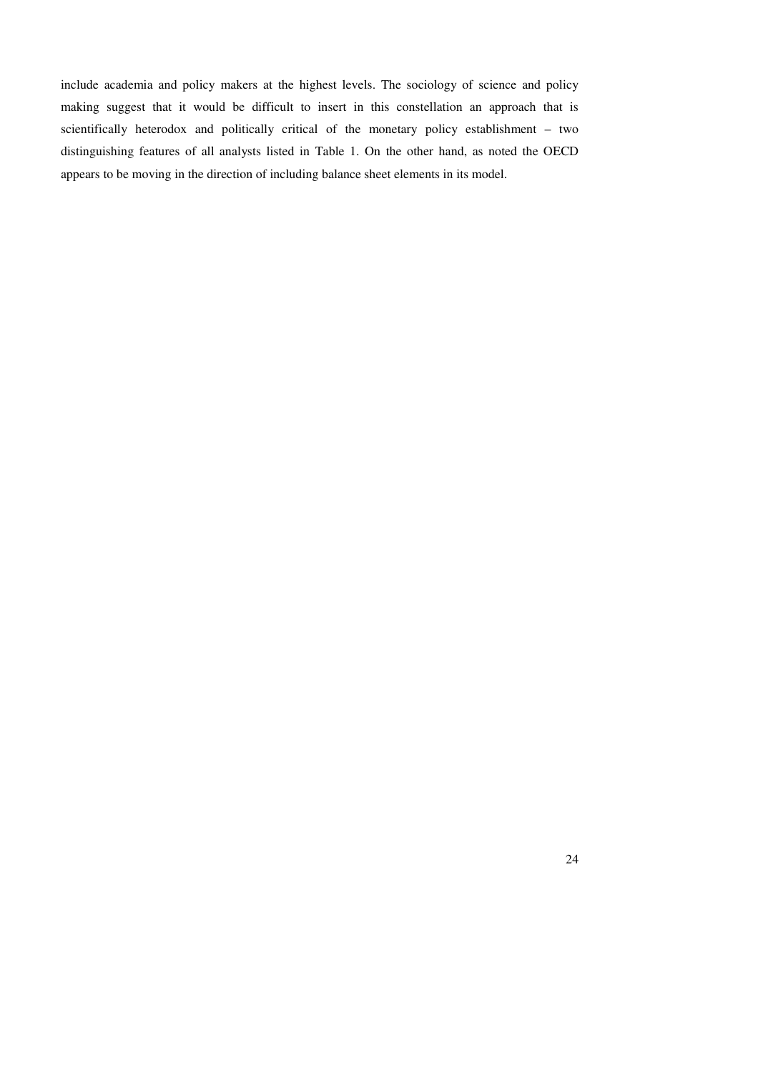include academia and policy makers at the highest levels. The sociology of science and policy making suggest that it would be difficult to insert in this constellation an approach that is scientifically heterodox and politically critical of the monetary policy establishment – two distinguishing features of all analysts listed in Table 1. On the other hand, as noted the OECD appears to be moving in the direction of including balance sheet elements in its model.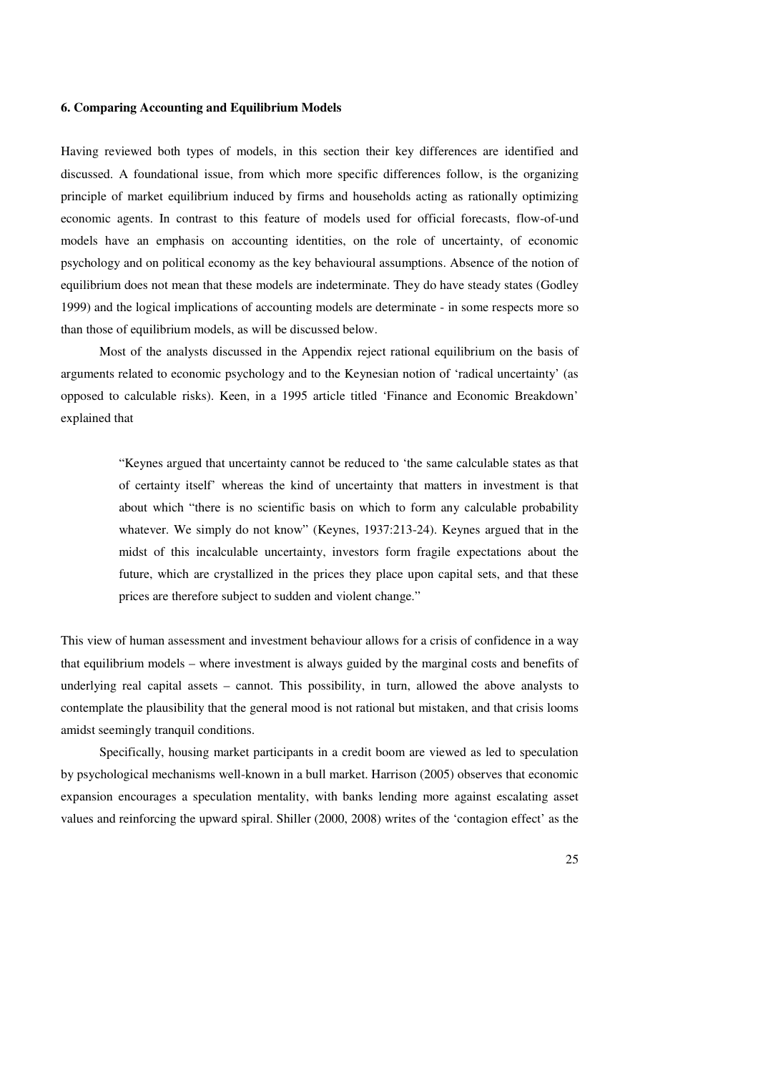#### **6. Comparing Accounting and Equilibrium Models**

Having reviewed both types of models, in this section their key differences are identified and discussed. A foundational issue, from which more specific differences follow, is the organizing principle of market equilibrium induced by firms and households acting as rationally optimizing economic agents. In contrast to this feature of models used for official forecasts, flow-of-und models have an emphasis on accounting identities, on the role of uncertainty, of economic psychology and on political economy as the key behavioural assumptions. Absence of the notion of equilibrium does not mean that these models are indeterminate. They do have steady states (Godley 1999) and the logical implications of accounting models are determinate - in some respects more so than those of equilibrium models, as will be discussed below.

Most of the analysts discussed in the Appendix reject rational equilibrium on the basis of arguments related to economic psychology and to the Keynesian notion of 'radical uncertainty' (as opposed to calculable risks). Keen, in a 1995 article titled 'Finance and Economic Breakdown' explained that

> "Keynes argued that uncertainty cannot be reduced to 'the same calculable states as that of certainty itself' whereas the kind of uncertainty that matters in investment is that about which "there is no scientific basis on which to form any calculable probability whatever. We simply do not know" (Keynes, 1937:213-24). Keynes argued that in the midst of this incalculable uncertainty, investors form fragile expectations about the future, which are crystallized in the prices they place upon capital sets, and that these prices are therefore subject to sudden and violent change."

This view of human assessment and investment behaviour allows for a crisis of confidence in a way that equilibrium models – where investment is always guided by the marginal costs and benefits of underlying real capital assets – cannot. This possibility, in turn, allowed the above analysts to contemplate the plausibility that the general mood is not rational but mistaken, and that crisis looms amidst seemingly tranquil conditions.

Specifically, housing market participants in a credit boom are viewed as led to speculation by psychological mechanisms well-known in a bull market. Harrison (2005) observes that economic expansion encourages a speculation mentality, with banks lending more against escalating asset values and reinforcing the upward spiral. Shiller (2000, 2008) writes of the 'contagion effect' as the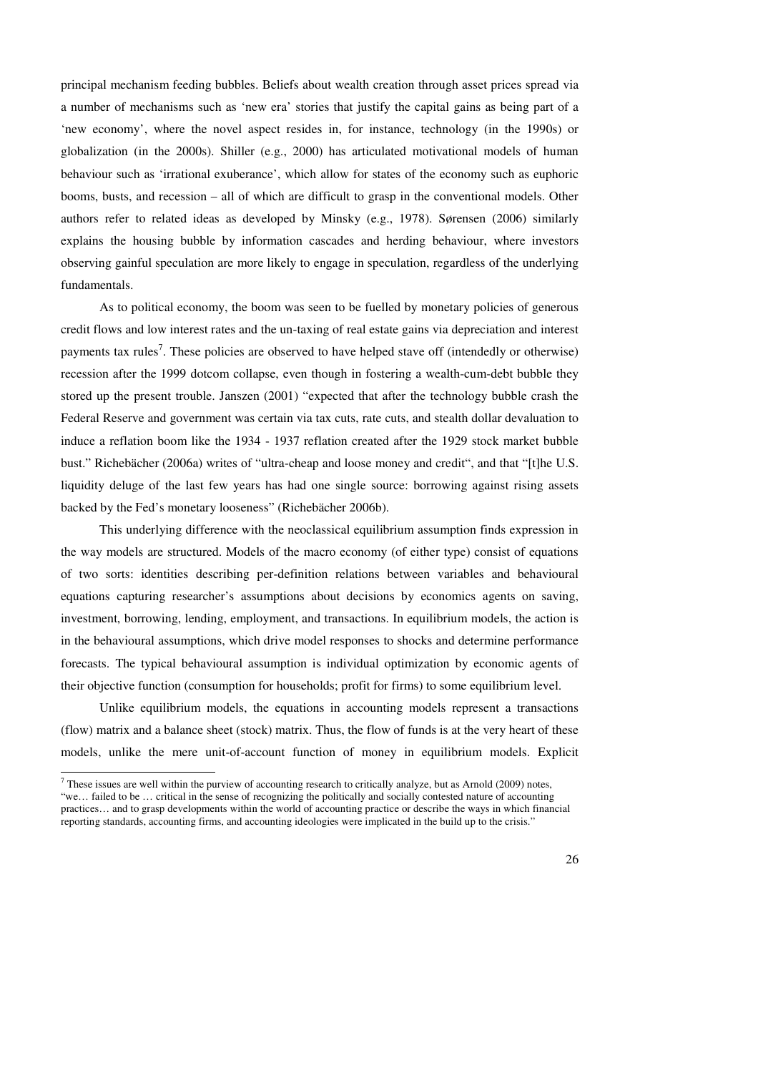principal mechanism feeding bubbles. Beliefs about wealth creation through asset prices spread via a number of mechanisms such as 'new era' stories that justify the capital gains as being part of a 'new economy', where the novel aspect resides in, for instance, technology (in the 1990s) or globalization (in the 2000s). Shiller (e.g., 2000) has articulated motivational models of human behaviour such as 'irrational exuberance', which allow for states of the economy such as euphoric booms, busts, and recession – all of which are difficult to grasp in the conventional models. Other authors refer to related ideas as developed by Minsky (e.g., 1978). Sørensen (2006) similarly explains the housing bubble by information cascades and herding behaviour, where investors observing gainful speculation are more likely to engage in speculation, regardless of the underlying fundamentals.

As to political economy, the boom was seen to be fuelled by monetary policies of generous credit flows and low interest rates and the un-taxing of real estate gains via depreciation and interest payments tax rules<sup>7</sup>. These policies are observed to have helped stave off (intendedly or otherwise) recession after the 1999 dotcom collapse, even though in fostering a wealth-cum-debt bubble they stored up the present trouble. Janszen (2001) "expected that after the technology bubble crash the Federal Reserve and government was certain via tax cuts, rate cuts, and stealth dollar devaluation to induce a reflation boom like the 1934 - 1937 reflation created after the 1929 stock market bubble bust." Richebächer (2006a) writes of "ultra-cheap and loose money and credit", and that "[t]he U.S. liquidity deluge of the last few years has had one single source: borrowing against rising assets backed by the Fed's monetary looseness" (Richebächer 2006b).

This underlying difference with the neoclassical equilibrium assumption finds expression in the way models are structured. Models of the macro economy (of either type) consist of equations of two sorts: identities describing per-definition relations between variables and behavioural equations capturing researcher's assumptions about decisions by economics agents on saving, investment, borrowing, lending, employment, and transactions. In equilibrium models, the action is in the behavioural assumptions, which drive model responses to shocks and determine performance forecasts. The typical behavioural assumption is individual optimization by economic agents of their objective function (consumption for households; profit for firms) to some equilibrium level.

Unlike equilibrium models, the equations in accounting models represent a transactions (flow) matrix and a balance sheet (stock) matrix. Thus, the flow of funds is at the very heart of these models, unlike the mere unit-of-account function of money in equilibrium models. Explicit

 $^7$  These issues are well within the purview of accounting research to critically analyze, but as Arnold (2009) notes, "we… failed to be … critical in the sense of recognizing the politically and socially contested nature of accounting practices… and to grasp developments within the world of accounting practice or describe the ways in which financial reporting standards, accounting firms, and accounting ideologies were implicated in the build up to the crisis."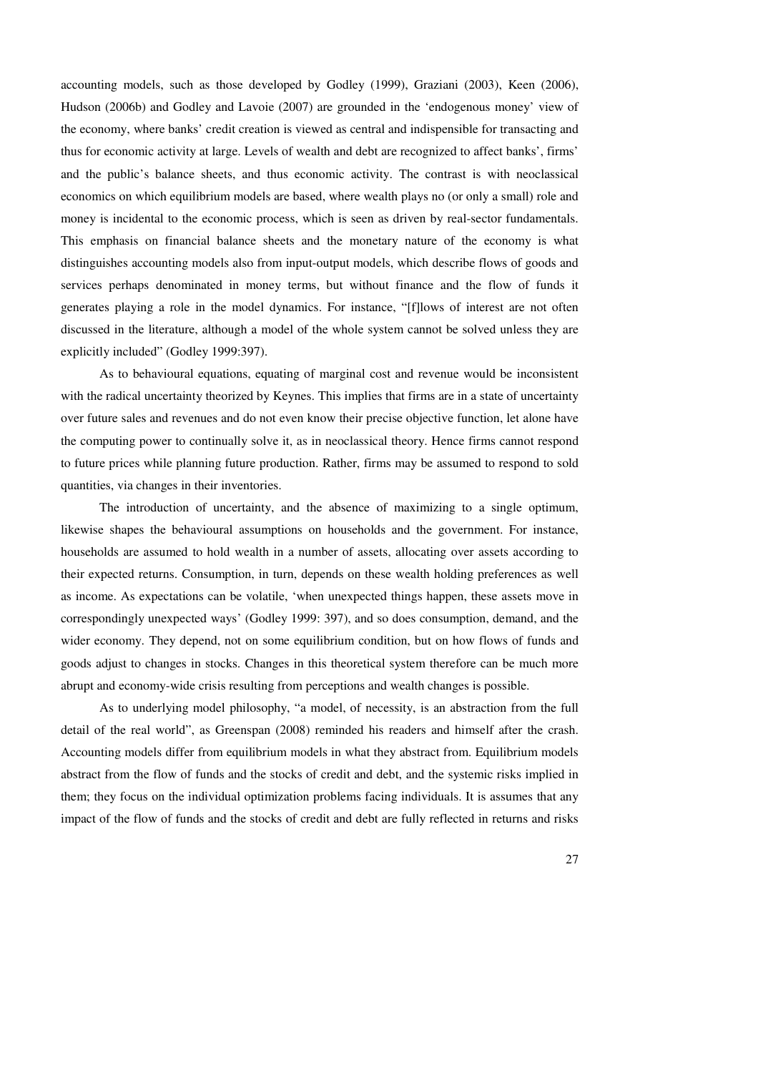accounting models, such as those developed by Godley (1999), Graziani (2003), Keen (2006), Hudson (2006b) and Godley and Lavoie (2007) are grounded in the 'endogenous money' view of the economy, where banks' credit creation is viewed as central and indispensible for transacting and thus for economic activity at large. Levels of wealth and debt are recognized to affect banks', firms' and the public's balance sheets, and thus economic activity. The contrast is with neoclassical economics on which equilibrium models are based, where wealth plays no (or only a small) role and money is incidental to the economic process, which is seen as driven by real-sector fundamentals. This emphasis on financial balance sheets and the monetary nature of the economy is what distinguishes accounting models also from input-output models, which describe flows of goods and services perhaps denominated in money terms, but without finance and the flow of funds it generates playing a role in the model dynamics. For instance, "[f]lows of interest are not often discussed in the literature, although a model of the whole system cannot be solved unless they are explicitly included" (Godley 1999:397).

As to behavioural equations, equating of marginal cost and revenue would be inconsistent with the radical uncertainty theorized by Keynes. This implies that firms are in a state of uncertainty over future sales and revenues and do not even know their precise objective function, let alone have the computing power to continually solve it, as in neoclassical theory. Hence firms cannot respond to future prices while planning future production. Rather, firms may be assumed to respond to sold quantities, via changes in their inventories.

The introduction of uncertainty, and the absence of maximizing to a single optimum, likewise shapes the behavioural assumptions on households and the government. For instance, households are assumed to hold wealth in a number of assets, allocating over assets according to their expected returns. Consumption, in turn, depends on these wealth holding preferences as well as income. As expectations can be volatile, 'when unexpected things happen, these assets move in correspondingly unexpected ways' (Godley 1999: 397), and so does consumption, demand, and the wider economy. They depend, not on some equilibrium condition, but on how flows of funds and goods adjust to changes in stocks. Changes in this theoretical system therefore can be much more abrupt and economy-wide crisis resulting from perceptions and wealth changes is possible.

As to underlying model philosophy, "a model, of necessity, is an abstraction from the full detail of the real world", as Greenspan (2008) reminded his readers and himself after the crash. Accounting models differ from equilibrium models in what they abstract from. Equilibrium models abstract from the flow of funds and the stocks of credit and debt, and the systemic risks implied in them; they focus on the individual optimization problems facing individuals. It is assumes that any impact of the flow of funds and the stocks of credit and debt are fully reflected in returns and risks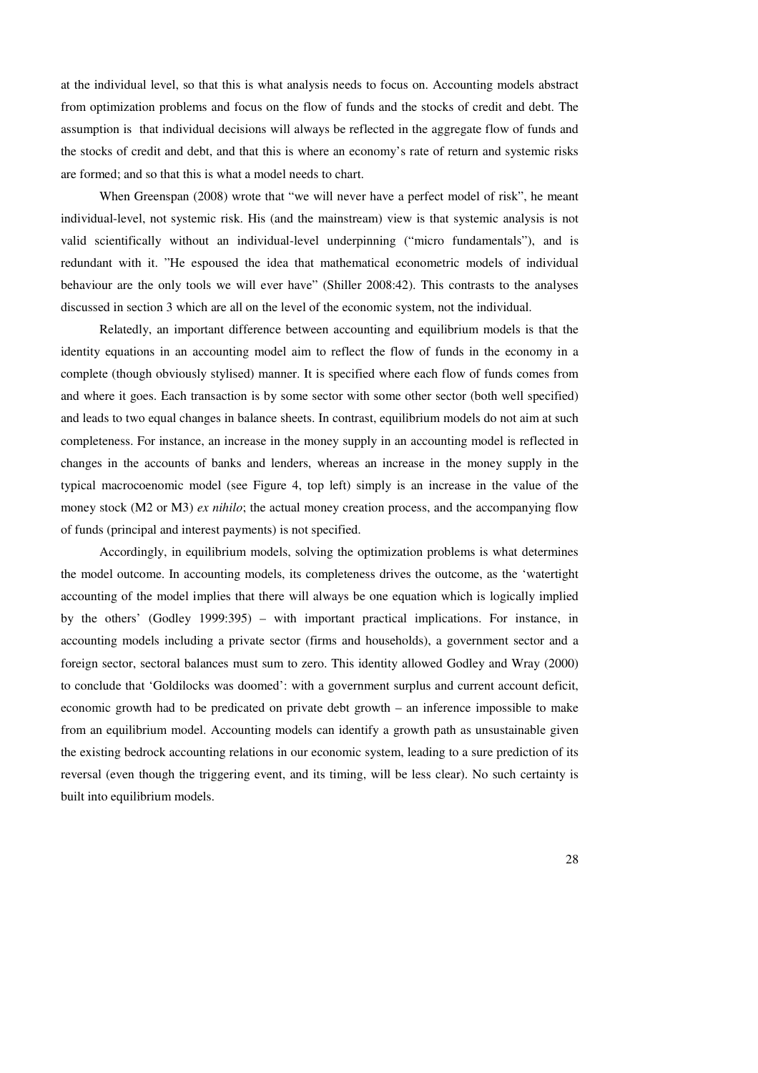at the individual level, so that this is what analysis needs to focus on. Accounting models abstract from optimization problems and focus on the flow of funds and the stocks of credit and debt. The assumption is that individual decisions will always be reflected in the aggregate flow of funds and the stocks of credit and debt, and that this is where an economy's rate of return and systemic risks are formed; and so that this is what a model needs to chart.

When Greenspan (2008) wrote that "we will never have a perfect model of risk", he meant individual-level, not systemic risk. His (and the mainstream) view is that systemic analysis is not valid scientifically without an individual-level underpinning ("micro fundamentals"), and is redundant with it. "He espoused the idea that mathematical econometric models of individual behaviour are the only tools we will ever have" (Shiller 2008:42). This contrasts to the analyses discussed in section 3 which are all on the level of the economic system, not the individual.

Relatedly, an important difference between accounting and equilibrium models is that the identity equations in an accounting model aim to reflect the flow of funds in the economy in a complete (though obviously stylised) manner. It is specified where each flow of funds comes from and where it goes. Each transaction is by some sector with some other sector (both well specified) and leads to two equal changes in balance sheets. In contrast, equilibrium models do not aim at such completeness. For instance, an increase in the money supply in an accounting model is reflected in changes in the accounts of banks and lenders, whereas an increase in the money supply in the typical macrocoenomic model (see Figure 4, top left) simply is an increase in the value of the money stock (M2 or M3) *ex nihilo*; the actual money creation process, and the accompanying flow of funds (principal and interest payments) is not specified.

Accordingly, in equilibrium models, solving the optimization problems is what determines the model outcome. In accounting models, its completeness drives the outcome, as the 'watertight accounting of the model implies that there will always be one equation which is logically implied by the others' (Godley 1999:395) – with important practical implications. For instance, in accounting models including a private sector (firms and households), a government sector and a foreign sector, sectoral balances must sum to zero. This identity allowed Godley and Wray (2000) to conclude that 'Goldilocks was doomed': with a government surplus and current account deficit, economic growth had to be predicated on private debt growth – an inference impossible to make from an equilibrium model. Accounting models can identify a growth path as unsustainable given the existing bedrock accounting relations in our economic system, leading to a sure prediction of its reversal (even though the triggering event, and its timing, will be less clear). No such certainty is built into equilibrium models.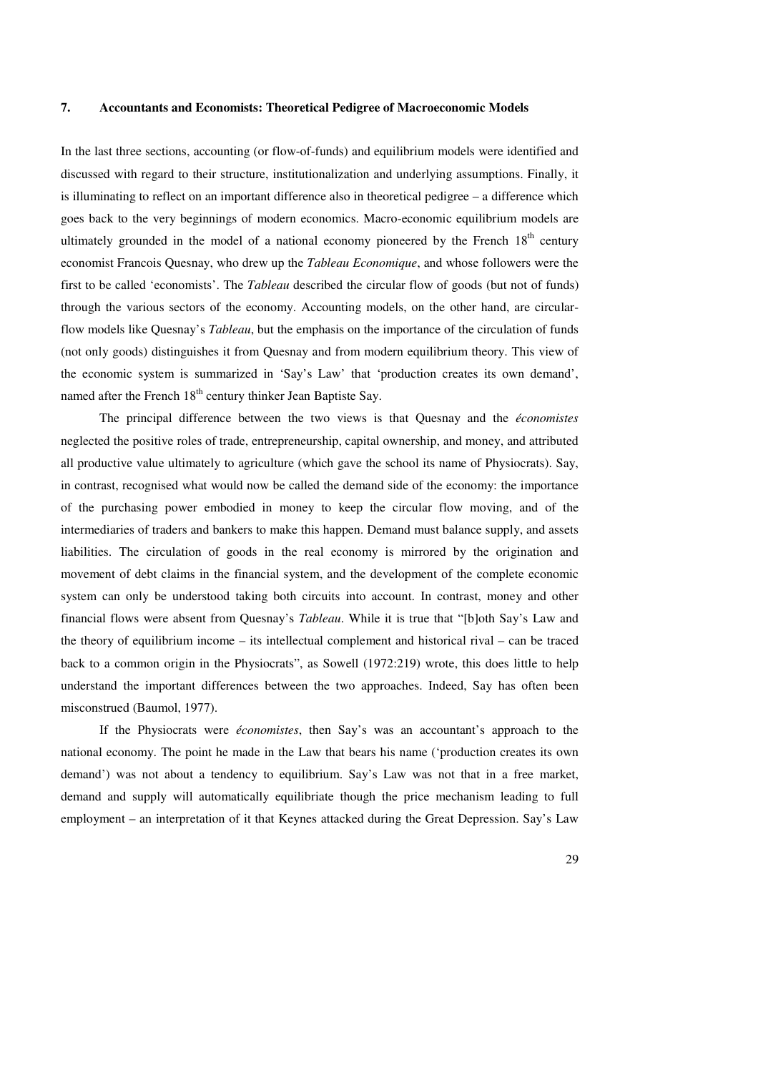#### **7. Accountants and Economists: Theoretical Pedigree of Macroeconomic Models**

In the last three sections, accounting (or flow-of-funds) and equilibrium models were identified and discussed with regard to their structure, institutionalization and underlying assumptions. Finally, it is illuminating to reflect on an important difference also in theoretical pedigree – a difference which goes back to the very beginnings of modern economics. Macro-economic equilibrium models are ultimately grounded in the model of a national economy pioneered by the French 18<sup>th</sup> century economist Francois Quesnay, who drew up the *Tableau Economique*, and whose followers were the first to be called 'economists'. The *Tableau* described the circular flow of goods (but not of funds) through the various sectors of the economy. Accounting models, on the other hand, are circularflow models like Quesnay's *Tableau*, but the emphasis on the importance of the circulation of funds (not only goods) distinguishes it from Quesnay and from modern equilibrium theory. This view of the economic system is summarized in 'Say's Law' that 'production creates its own demand', named after the French 18<sup>th</sup> century thinker Jean Baptiste Say.

The principal difference between the two views is that Quesnay and the *économistes* neglected the positive roles of trade, entrepreneurship, capital ownership, and money, and attributed all productive value ultimately to agriculture (which gave the school its name of Physiocrats). Say, in contrast, recognised what would now be called the demand side of the economy: the importance of the purchasing power embodied in money to keep the circular flow moving, and of the intermediaries of traders and bankers to make this happen. Demand must balance supply, and assets liabilities. The circulation of goods in the real economy is mirrored by the origination and movement of debt claims in the financial system, and the development of the complete economic system can only be understood taking both circuits into account. In contrast, money and other financial flows were absent from Quesnay's *Tableau*. While it is true that "[b]oth Say's Law and the theory of equilibrium income – its intellectual complement and historical rival – can be traced back to a common origin in the Physiocrats", as Sowell (1972:219) wrote, this does little to help understand the important differences between the two approaches. Indeed, Say has often been misconstrued (Baumol, 1977).

If the Physiocrats were *économistes*, then Say's was an accountant's approach to the national economy. The point he made in the Law that bears his name ('production creates its own demand') was not about a tendency to equilibrium. Say's Law was not that in a free market, demand and supply will automatically equilibriate though the price mechanism leading to full employment – an interpretation of it that Keynes attacked during the Great Depression. Say's Law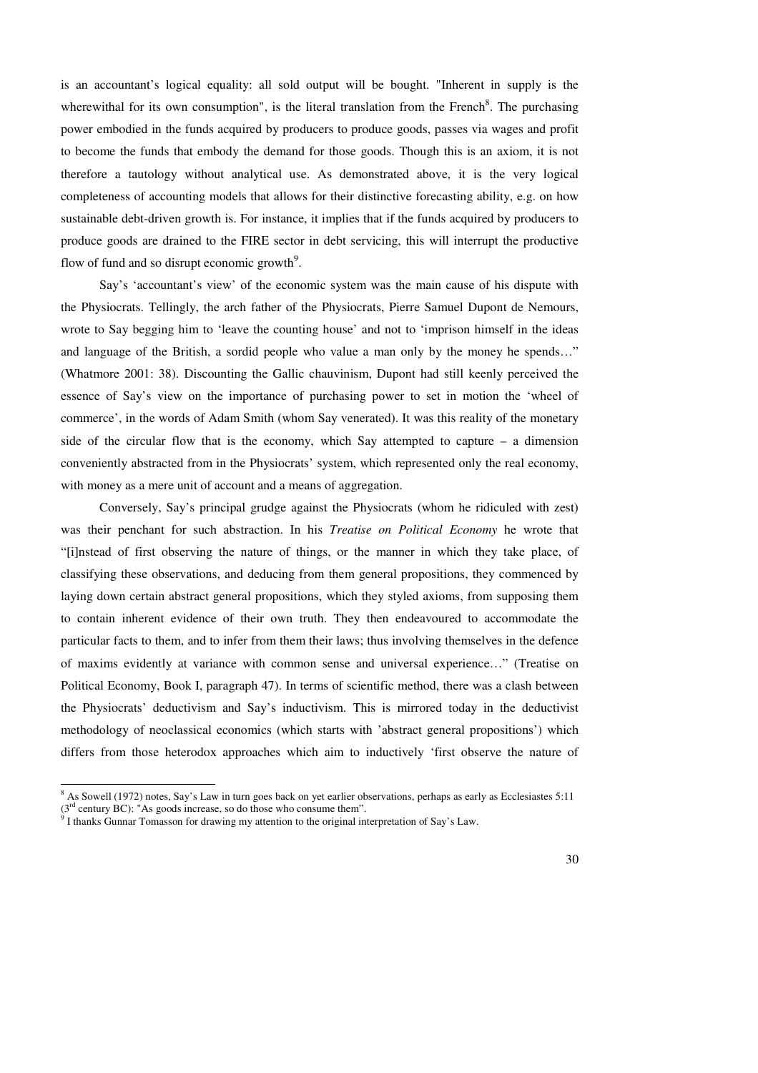is an accountant's logical equality: all sold output will be bought. "Inherent in supply is the wherewithal for its own consumption", is the literal translation from the French<sup>8</sup>. The purchasing power embodied in the funds acquired by producers to produce goods, passes via wages and profit to become the funds that embody the demand for those goods. Though this is an axiom, it is not therefore a tautology without analytical use. As demonstrated above, it is the very logical completeness of accounting models that allows for their distinctive forecasting ability, e.g. on how sustainable debt-driven growth is. For instance, it implies that if the funds acquired by producers to produce goods are drained to the FIRE sector in debt servicing, this will interrupt the productive flow of fund and so disrupt economic growth<sup>9</sup>.

Say's 'accountant's view' of the economic system was the main cause of his dispute with the Physiocrats. Tellingly, the arch father of the Physiocrats, Pierre Samuel Dupont de Nemours, wrote to Say begging him to 'leave the counting house' and not to 'imprison himself in the ideas and language of the British, a sordid people who value a man only by the money he spends…" (Whatmore 2001: 38). Discounting the Gallic chauvinism, Dupont had still keenly perceived the essence of Say's view on the importance of purchasing power to set in motion the 'wheel of commerce', in the words of Adam Smith (whom Say venerated). It was this reality of the monetary side of the circular flow that is the economy, which Say attempted to capture  $-$  a dimension conveniently abstracted from in the Physiocrats' system, which represented only the real economy, with money as a mere unit of account and a means of aggregation.

Conversely, Say's principal grudge against the Physiocrats (whom he ridiculed with zest) was their penchant for such abstraction. In his *Treatise on Political Economy* he wrote that "[i]nstead of first observing the nature of things, or the manner in which they take place, of classifying these observations, and deducing from them general propositions, they commenced by laying down certain abstract general propositions, which they styled axioms, from supposing them to contain inherent evidence of their own truth. They then endeavoured to accommodate the particular facts to them, and to infer from them their laws; thus involving themselves in the defence of maxims evidently at variance with common sense and universal experience…" (Treatise on Political Economy, Book I, paragraph 47). In terms of scientific method, there was a clash between the Physiocrats' deductivism and Say's inductivism. This is mirrored today in the deductivist methodology of neoclassical economics (which starts with 'abstract general propositions') which differs from those heterodox approaches which aim to inductively 'first observe the nature of

<sup>&</sup>lt;sup>8</sup> As Sowell (1972) notes, Say's Law in turn goes back on yet earlier observations, perhaps as early as Ecclesiastes 5:11  $(3<sup>rd</sup>$  century BC): "As goods increase, so do those who consume them".<br><sup>9</sup> I thanks Gunnar Tomasson for drawing my attention to the original interpretation of Say's Law.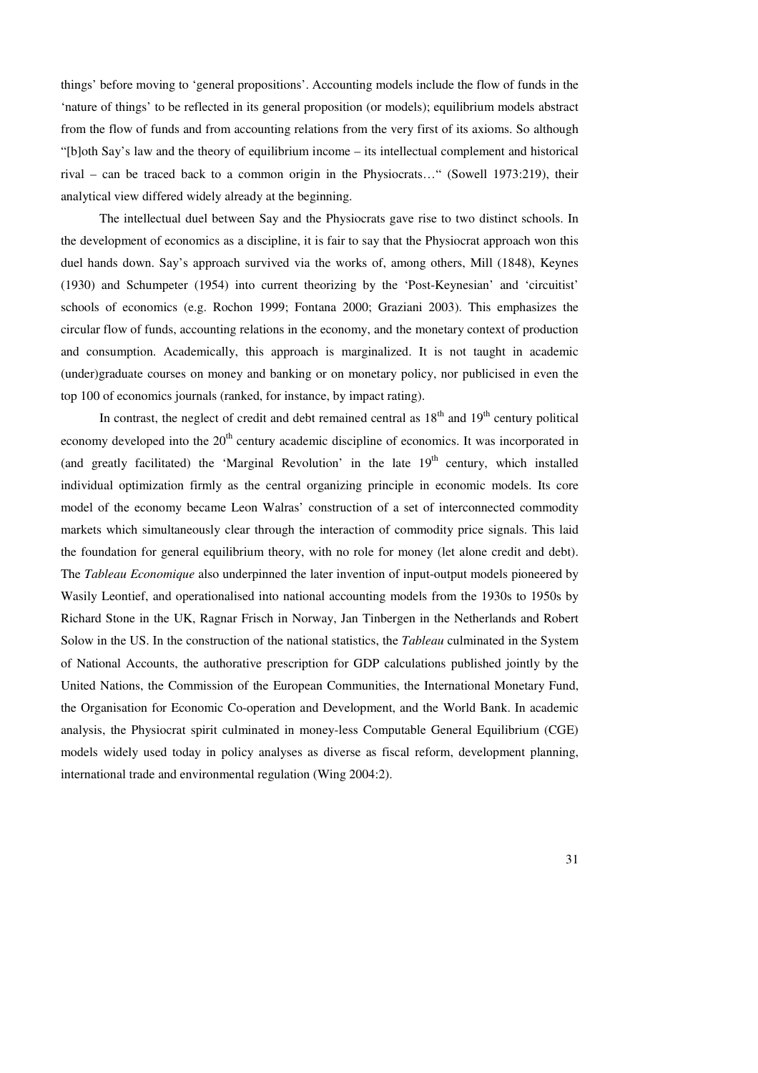things' before moving to 'general propositions'. Accounting models include the flow of funds in the 'nature of things' to be reflected in its general proposition (or models); equilibrium models abstract from the flow of funds and from accounting relations from the very first of its axioms. So although "[b]oth Say's law and the theory of equilibrium income – its intellectual complement and historical rival – can be traced back to a common origin in the Physiocrats…" (Sowell 1973:219), their analytical view differed widely already at the beginning.

The intellectual duel between Say and the Physiocrats gave rise to two distinct schools. In the development of economics as a discipline, it is fair to say that the Physiocrat approach won this duel hands down. Say's approach survived via the works of, among others, Mill (1848), Keynes (1930) and Schumpeter (1954) into current theorizing by the 'Post-Keynesian' and 'circuitist' schools of economics (e.g. Rochon 1999; Fontana 2000; Graziani 2003). This emphasizes the circular flow of funds, accounting relations in the economy, and the monetary context of production and consumption. Academically, this approach is marginalized. It is not taught in academic (under)graduate courses on money and banking or on monetary policy, nor publicised in even the top 100 of economics journals (ranked, for instance, by impact rating).

In contrast, the neglect of credit and debt remained central as  $18<sup>th</sup>$  and  $19<sup>th</sup>$  century political economy developed into the 20<sup>th</sup> century academic discipline of economics. It was incorporated in (and greatly facilitated) the 'Marginal Revolution' in the late 19<sup>th</sup> century, which installed individual optimization firmly as the central organizing principle in economic models. Its core model of the economy became Leon Walras' construction of a set of interconnected commodity markets which simultaneously clear through the interaction of commodity price signals. This laid the foundation for general equilibrium theory, with no role for money (let alone credit and debt). The *Tableau Economique* also underpinned the later invention of input-output models pioneered by Wasily Leontief, and operationalised into national accounting models from the 1930s to 1950s by Richard Stone in the UK, Ragnar Frisch in Norway, Jan Tinbergen in the Netherlands and Robert Solow in the US. In the construction of the national statistics, the *Tableau* culminated in the System of National Accounts, the authorative prescription for GDP calculations published jointly by the United Nations, the Commission of the European Communities, the International Monetary Fund, the Organisation for Economic Co-operation and Development, and the World Bank. In academic analysis, the Physiocrat spirit culminated in money-less Computable General Equilibrium (CGE) models widely used today in policy analyses as diverse as fiscal reform, development planning, international trade and environmental regulation (Wing 2004:2).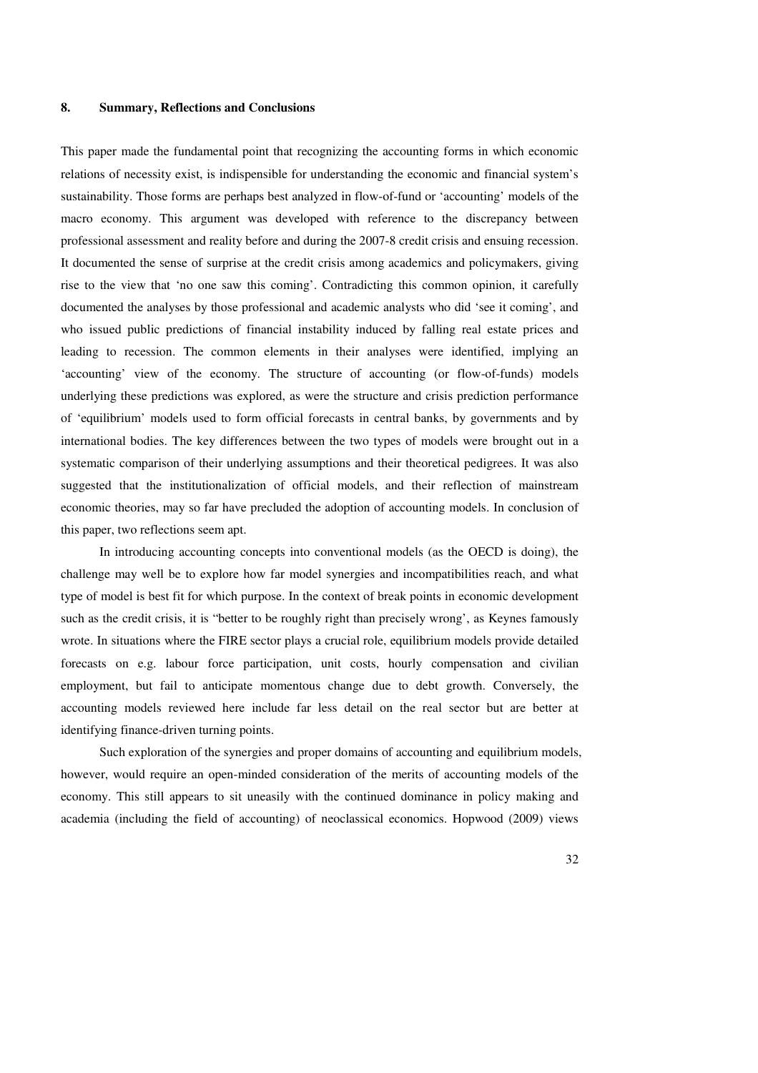#### **8. Summary, Reflections and Conclusions**

This paper made the fundamental point that recognizing the accounting forms in which economic relations of necessity exist, is indispensible for understanding the economic and financial system's sustainability. Those forms are perhaps best analyzed in flow-of-fund or 'accounting' models of the macro economy. This argument was developed with reference to the discrepancy between professional assessment and reality before and during the 2007-8 credit crisis and ensuing recession. It documented the sense of surprise at the credit crisis among academics and policymakers, giving rise to the view that 'no one saw this coming'. Contradicting this common opinion, it carefully documented the analyses by those professional and academic analysts who did 'see it coming', and who issued public predictions of financial instability induced by falling real estate prices and leading to recession. The common elements in their analyses were identified, implying an 'accounting' view of the economy. The structure of accounting (or flow-of-funds) models underlying these predictions was explored, as were the structure and crisis prediction performance of 'equilibrium' models used to form official forecasts in central banks, by governments and by international bodies. The key differences between the two types of models were brought out in a systematic comparison of their underlying assumptions and their theoretical pedigrees. It was also suggested that the institutionalization of official models, and their reflection of mainstream economic theories, may so far have precluded the adoption of accounting models. In conclusion of this paper, two reflections seem apt.

In introducing accounting concepts into conventional models (as the OECD is doing), the challenge may well be to explore how far model synergies and incompatibilities reach, and what type of model is best fit for which purpose. In the context of break points in economic development such as the credit crisis, it is "better to be roughly right than precisely wrong', as Keynes famously wrote. In situations where the FIRE sector plays a crucial role, equilibrium models provide detailed forecasts on e.g. labour force participation, unit costs, hourly compensation and civilian employment, but fail to anticipate momentous change due to debt growth. Conversely, the accounting models reviewed here include far less detail on the real sector but are better at identifying finance-driven turning points.

Such exploration of the synergies and proper domains of accounting and equilibrium models, however, would require an open-minded consideration of the merits of accounting models of the economy. This still appears to sit uneasily with the continued dominance in policy making and academia (including the field of accounting) of neoclassical economics. Hopwood (2009) views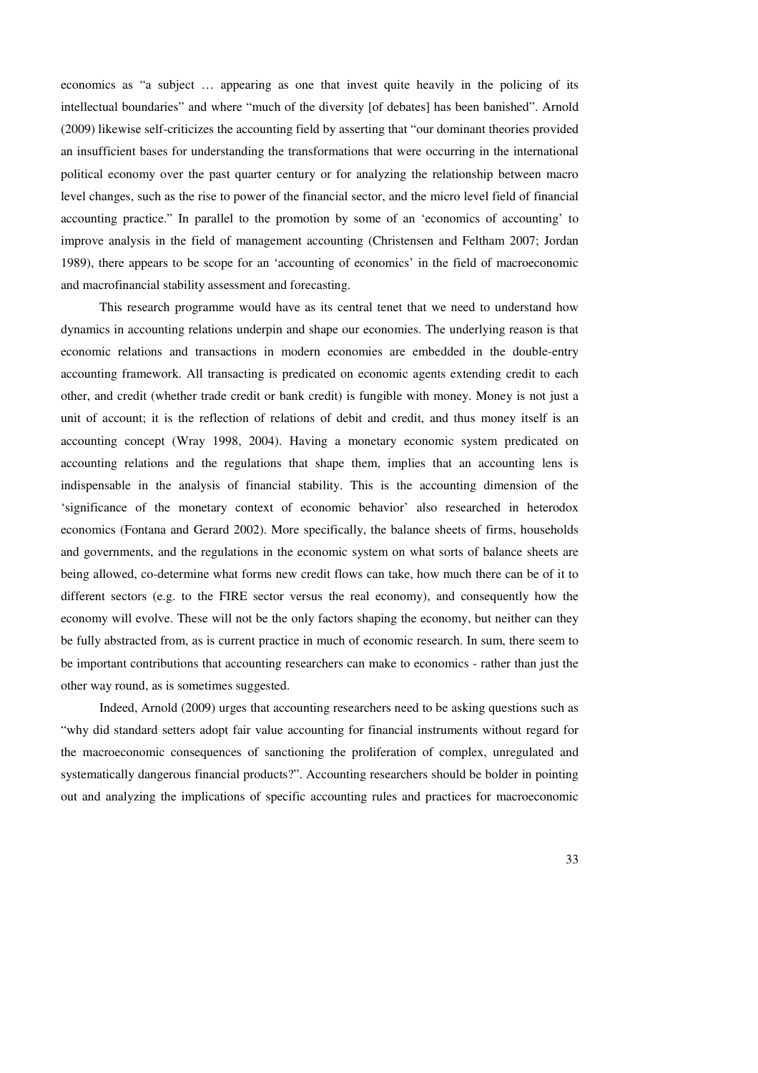economics as "a subject … appearing as one that invest quite heavily in the policing of its intellectual boundaries" and where "much of the diversity [of debates] has been banished". Arnold (2009) likewise self-criticizes the accounting field by asserting that "our dominant theories provided an insufficient bases for understanding the transformations that were occurring in the international political economy over the past quarter century or for analyzing the relationship between macro level changes, such as the rise to power of the financial sector, and the micro level field of financial accounting practice." In parallel to the promotion by some of an 'economics of accounting' to improve analysis in the field of management accounting (Christensen and Feltham 2007; Jordan 1989), there appears to be scope for an 'accounting of economics' in the field of macroeconomic and macrofinancial stability assessment and forecasting.

This research programme would have as its central tenet that we need to understand how dynamics in accounting relations underpin and shape our economies. The underlying reason is that economic relations and transactions in modern economies are embedded in the double-entry accounting framework. All transacting is predicated on economic agents extending credit to each other, and credit (whether trade credit or bank credit) is fungible with money. Money is not just a unit of account; it is the reflection of relations of debit and credit, and thus money itself is an accounting concept (Wray 1998, 2004). Having a monetary economic system predicated on accounting relations and the regulations that shape them, implies that an accounting lens is indispensable in the analysis of financial stability. This is the accounting dimension of the 'significance of the monetary context of economic behavior' also researched in heterodox economics (Fontana and Gerard 2002). More specifically, the balance sheets of firms, households and governments, and the regulations in the economic system on what sorts of balance sheets are being allowed, co-determine what forms new credit flows can take, how much there can be of it to different sectors (e.g. to the FIRE sector versus the real economy), and consequently how the economy will evolve. These will not be the only factors shaping the economy, but neither can they be fully abstracted from, as is current practice in much of economic research. In sum, there seem to be important contributions that accounting researchers can make to economics - rather than just the other way round, as is sometimes suggested.

Indeed, Arnold (2009) urges that accounting researchers need to be asking questions such as "why did standard setters adopt fair value accounting for financial instruments without regard for the macroeconomic consequences of sanctioning the proliferation of complex, unregulated and systematically dangerous financial products?". Accounting researchers should be bolder in pointing out and analyzing the implications of specific accounting rules and practices for macroeconomic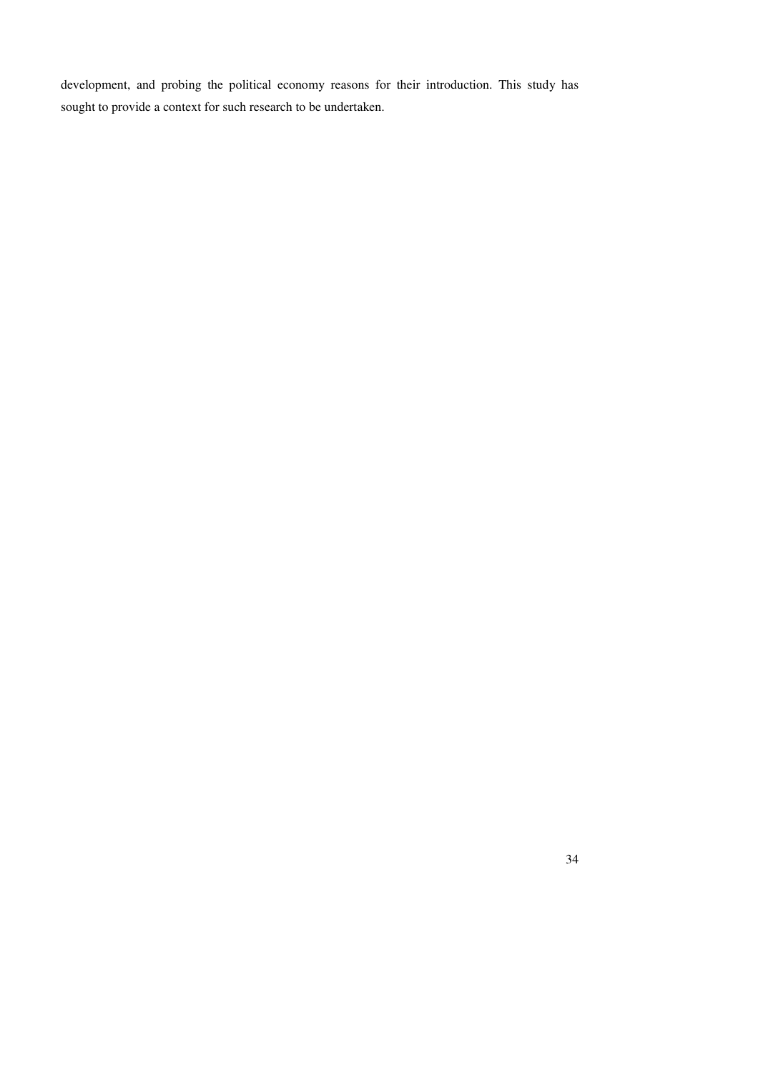development, and probing the political economy reasons for their introduction. This study has sought to provide a context for such research to be undertaken.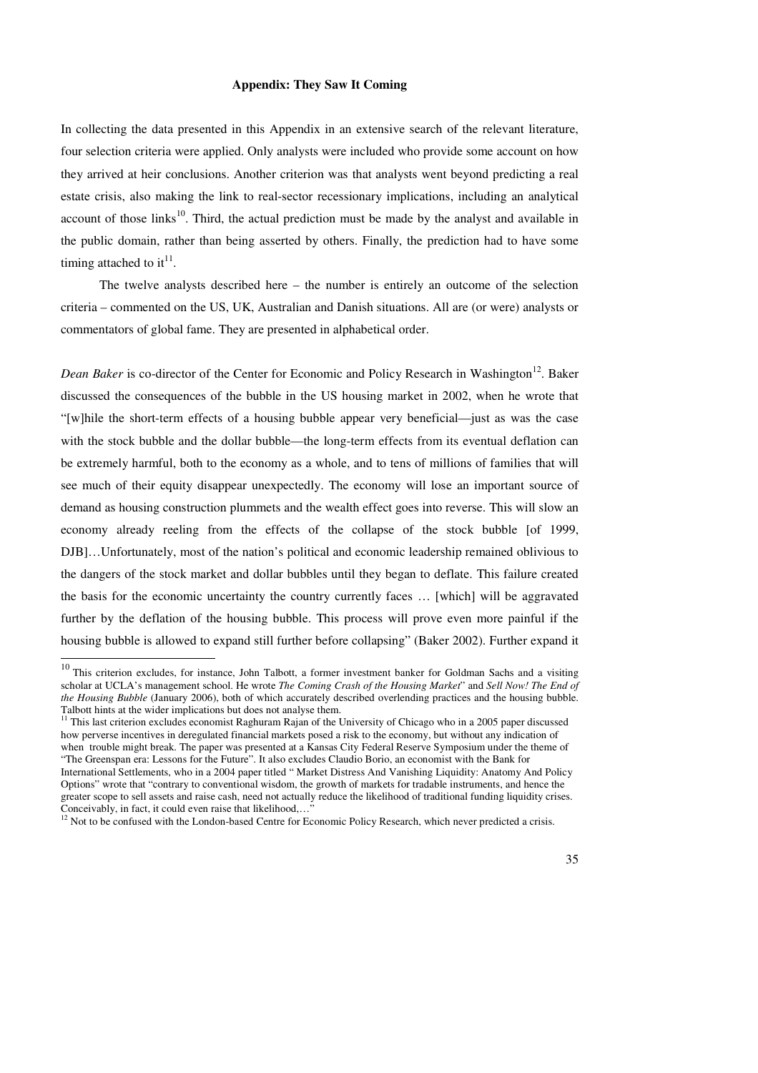#### **Appendix: They Saw It Coming**

In collecting the data presented in this Appendix in an extensive search of the relevant literature, four selection criteria were applied. Only analysts were included who provide some account on how they arrived at heir conclusions. Another criterion was that analysts went beyond predicting a real estate crisis, also making the link to real-sector recessionary implications, including an analytical account of those links<sup>10</sup>. Third, the actual prediction must be made by the analyst and available in the public domain, rather than being asserted by others. Finally, the prediction had to have some timing attached to it<sup>11</sup>.

The twelve analysts described here – the number is entirely an outcome of the selection criteria – commented on the US, UK, Australian and Danish situations. All are (or were) analysts or commentators of global fame. They are presented in alphabetical order.

Dean Baker is co-director of the Center for Economic and Policy Research in Washington<sup>12</sup>. Baker discussed the consequences of the bubble in the US housing market in 2002, when he wrote that "[w]hile the short-term effects of a housing bubble appear very beneficial—just as was the case with the stock bubble and the dollar bubble—the long-term effects from its eventual deflation can be extremely harmful, both to the economy as a whole, and to tens of millions of families that will see much of their equity disappear unexpectedly. The economy will lose an important source of demand as housing construction plummets and the wealth effect goes into reverse. This will slow an economy already reeling from the effects of the collapse of the stock bubble [of 1999, DJB]…Unfortunately, most of the nation's political and economic leadership remained oblivious to the dangers of the stock market and dollar bubbles until they began to deflate. This failure created the basis for the economic uncertainty the country currently faces … [which] will be aggravated further by the deflation of the housing bubble. This process will prove even more painful if the housing bubble is allowed to expand still further before collapsing" (Baker 2002). Further expand it

<sup>&</sup>lt;sup>10</sup> This criterion excludes, for instance, John Talbott, a former investment banker for Goldman Sachs and a visiting scholar at UCLA's management school. He wrote *The Coming Crash of the Housing Market*" and *Sell Now! The End of the Housing Bubble* (January 2006), both of which accurately described overlending practices and the housing bubble. Talbott hints at the wider implications but does not analyse them.

<sup>&</sup>lt;sup>11</sup> This last criterion excludes economist Raghuram Rajan of the University of Chicago who in a 2005 paper discussed how perverse incentives in deregulated financial markets posed a risk to the economy, but without any indication of when trouble might break. The paper was presented at a Kansas City Federal Reserve Symposium under the theme of "The Greenspan era: Lessons for the Future". It also excludes Claudio Borio, an economist with the Bank for International Settlements, who in a 2004 paper titled " Market Distress And Vanishing Liquidity: Anatomy And Policy Options" wrote that "contrary to conventional wisdom, the growth of markets for tradable instruments, and hence the greater scope to sell assets and raise cash, need not actually reduce the likelihood of traditional funding liquidity crises.

Conceivably, in fact, it could even raise that likelihood,…"

 $12$  Not to be confused with the London-based Centre for Economic Policy Research, which never predicted a crisis.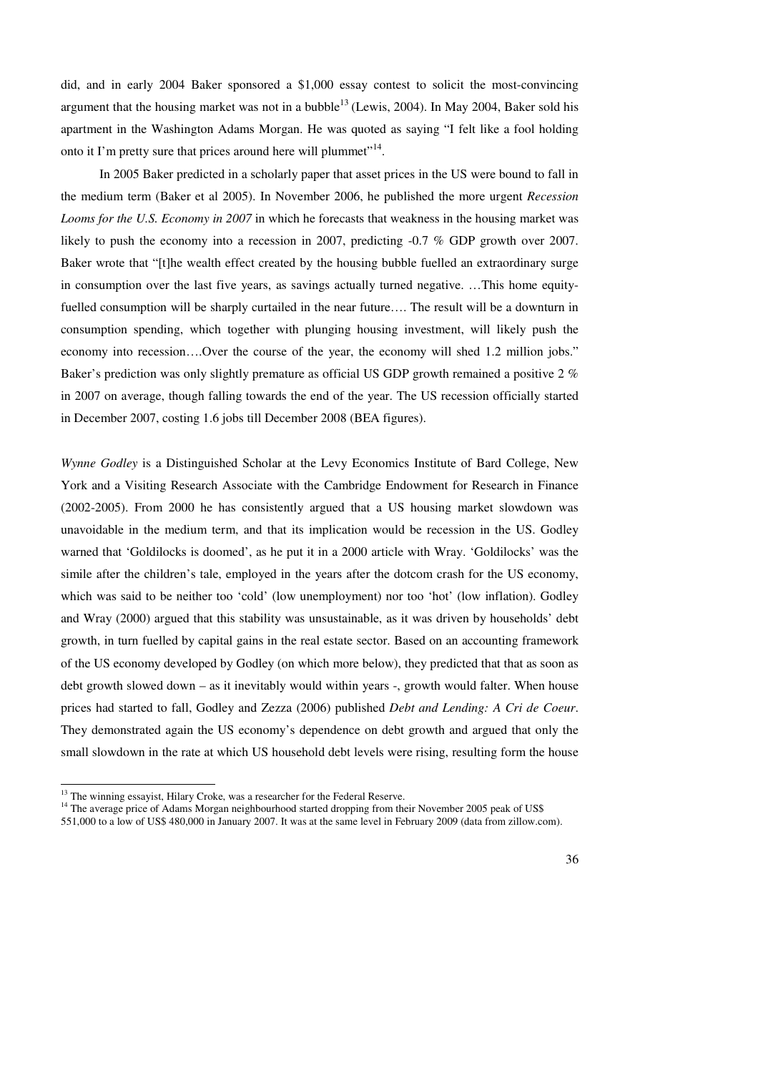did, and in early 2004 Baker sponsored a \$1,000 essay contest to solicit the most-convincing argument that the housing market was not in a bubble<sup>13</sup> (Lewis, 2004). In May 2004, Baker sold his apartment in the Washington Adams Morgan. He was quoted as saying "I felt like a fool holding onto it I'm pretty sure that prices around here will plummet"<sup>14</sup>.

In 2005 Baker predicted in a scholarly paper that asset prices in the US were bound to fall in the medium term (Baker et al 2005). In November 2006, he published the more urgent *Recession Looms for the U.S. Economy in 2007* in which he forecasts that weakness in the housing market was likely to push the economy into a recession in 2007, predicting -0.7 % GDP growth over 2007. Baker wrote that "[t]he wealth effect created by the housing bubble fuelled an extraordinary surge in consumption over the last five years, as savings actually turned negative. …This home equityfuelled consumption will be sharply curtailed in the near future…. The result will be a downturn in consumption spending, which together with plunging housing investment, will likely push the economy into recession….Over the course of the year, the economy will shed 1.2 million jobs." Baker's prediction was only slightly premature as official US GDP growth remained a positive 2 % in 2007 on average, though falling towards the end of the year. The US recession officially started in December 2007, costing 1.6 jobs till December 2008 (BEA figures).

*Wynne Godley* is a Distinguished Scholar at the Levy Economics Institute of Bard College, New York and a Visiting Research Associate with the Cambridge Endowment for Research in Finance (2002-2005). From 2000 he has consistently argued that a US housing market slowdown was unavoidable in the medium term, and that its implication would be recession in the US. Godley warned that 'Goldilocks is doomed', as he put it in a 2000 article with Wray. 'Goldilocks' was the simile after the children's tale, employed in the years after the dotcom crash for the US economy, which was said to be neither too 'cold' (low unemployment) nor too 'hot' (low inflation). Godley and Wray (2000) argued that this stability was unsustainable, as it was driven by households' debt growth, in turn fuelled by capital gains in the real estate sector. Based on an accounting framework of the US economy developed by Godley (on which more below), they predicted that that as soon as debt growth slowed down – as it inevitably would within years -, growth would falter. When house prices had started to fall, Godley and Zezza (2006) published *Debt and Lending: A Cri de Coeur*. They demonstrated again the US economy's dependence on debt growth and argued that only the small slowdown in the rate at which US household debt levels were rising, resulting form the house

<sup>&</sup>lt;sup>13</sup> The winning essayist, Hilary Croke, was a researcher for the Federal Reserve.

<sup>&</sup>lt;sup>14</sup> The average price of Adams Morgan neighbourhood started dropping from their November 2005 peak of US\$

<sup>551,000</sup> to a low of US\$ 480,000 in January 2007. It was at the same level in February 2009 (data from zillow.com).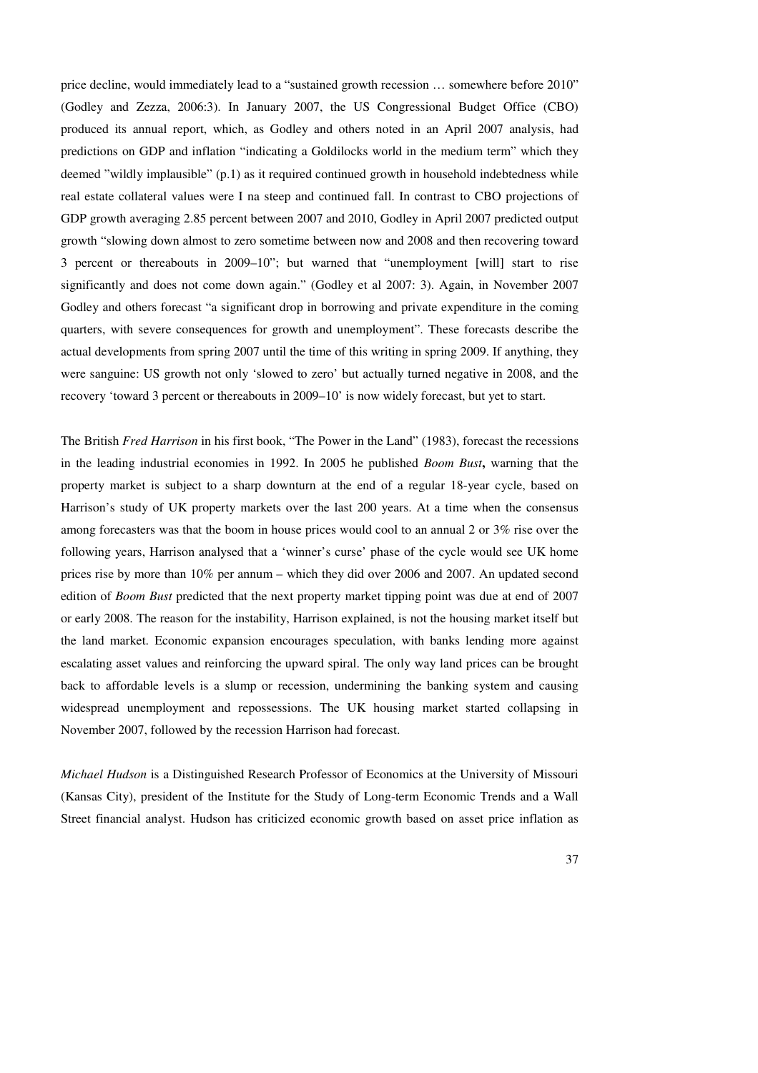price decline, would immediately lead to a "sustained growth recession … somewhere before 2010" (Godley and Zezza, 2006:3). In January 2007, the US Congressional Budget Office (CBO) produced its annual report, which, as Godley and others noted in an April 2007 analysis, had predictions on GDP and inflation "indicating a Goldilocks world in the medium term" which they deemed "wildly implausible" (p.1) as it required continued growth in household indebtedness while real estate collateral values were I na steep and continued fall. In contrast to CBO projections of GDP growth averaging 2.85 percent between 2007 and 2010, Godley in April 2007 predicted output growth "slowing down almost to zero sometime between now and 2008 and then recovering toward 3 percent or thereabouts in 2009–10"; but warned that "unemployment [will] start to rise significantly and does not come down again." (Godley et al 2007: 3). Again, in November 2007 Godley and others forecast "a significant drop in borrowing and private expenditure in the coming quarters, with severe consequences for growth and unemployment". These forecasts describe the actual developments from spring 2007 until the time of this writing in spring 2009. If anything, they were sanguine: US growth not only 'slowed to zero' but actually turned negative in 2008, and the recovery 'toward 3 percent or thereabouts in 2009–10' is now widely forecast, but yet to start.

The British *Fred Harrison* in his first book, "The Power in the Land" (1983), forecast the recessions in the leading industrial economies in 1992. In 2005 he published *Boom Bust***,** warning that the property market is subject to a sharp downturn at the end of a regular 18-year cycle, based on Harrison's study of UK property markets over the last 200 years. At a time when the consensus among forecasters was that the boom in house prices would cool to an annual 2 or 3% rise over the following years, Harrison analysed that a 'winner's curse' phase of the cycle would see UK home prices rise by more than 10% per annum – which they did over 2006 and 2007. An updated second edition of *Boom Bust* predicted that the next property market tipping point was due at end of 2007 or early 2008. The reason for the instability, Harrison explained, is not the housing market itself but the land market. Economic expansion encourages speculation, with banks lending more against escalating asset values and reinforcing the upward spiral. The only way land prices can be brought back to affordable levels is a slump or recession, undermining the banking system and causing widespread unemployment and repossessions. The UK housing market started collapsing in November 2007, followed by the recession Harrison had forecast.

*Michael Hudson* is a Distinguished Research Professor of Economics at the University of Missouri (Kansas City), president of the Institute for the Study of Long-term Economic Trends and a Wall Street financial analyst. Hudson has criticized economic growth based on asset price inflation as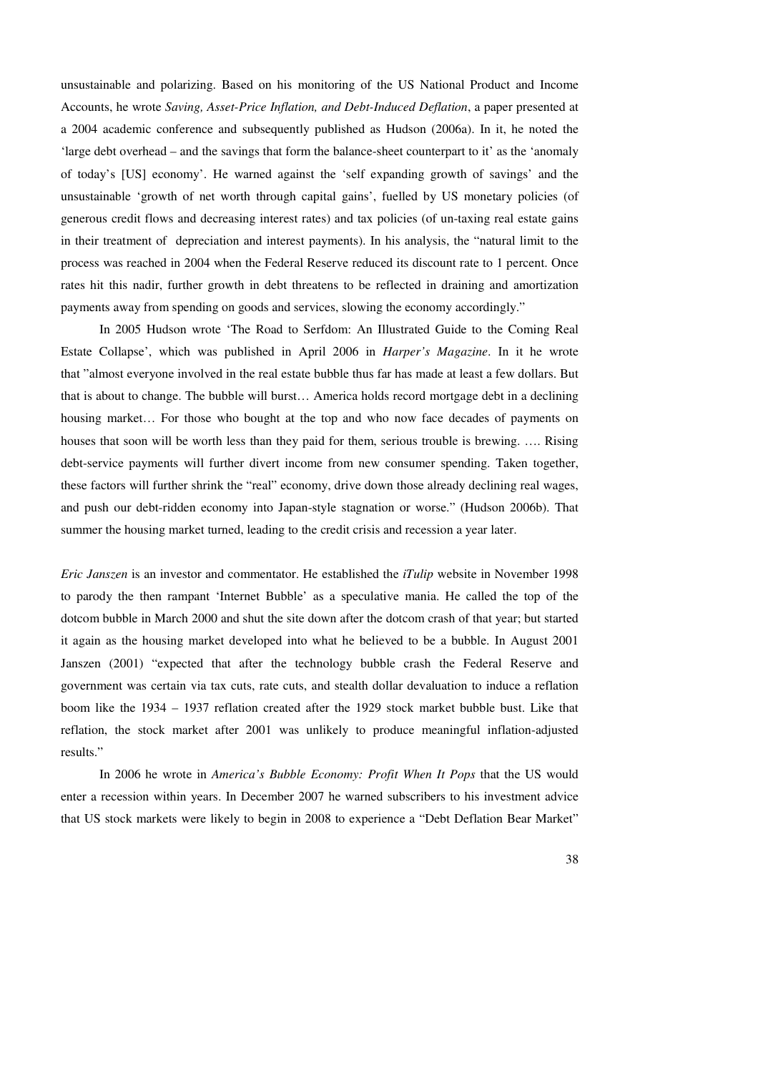unsustainable and polarizing. Based on his monitoring of the US National Product and Income Accounts, he wrote *Saving, Asset-Price Inflation, and Debt-Induced Deflation*, a paper presented at a 2004 academic conference and subsequently published as Hudson (2006a). In it, he noted the 'large debt overhead – and the savings that form the balance-sheet counterpart to it' as the 'anomaly of today's [US] economy'. He warned against the 'self expanding growth of savings' and the unsustainable 'growth of net worth through capital gains', fuelled by US monetary policies (of generous credit flows and decreasing interest rates) and tax policies (of un-taxing real estate gains in their treatment of depreciation and interest payments). In his analysis, the "natural limit to the process was reached in 2004 when the Federal Reserve reduced its discount rate to 1 percent. Once rates hit this nadir, further growth in debt threatens to be reflected in draining and amortization payments away from spending on goods and services, slowing the economy accordingly."

In 2005 Hudson wrote 'The Road to Serfdom: An Illustrated Guide to the Coming Real Estate Collapse', which was published in April 2006 in *Harper's Magazine*. In it he wrote that "almost everyone involved in the real estate bubble thus far has made at least a few dollars. But that is about to change. The bubble will burst… America holds record mortgage debt in a declining housing market… For those who bought at the top and who now face decades of payments on houses that soon will be worth less than they paid for them, serious trouble is brewing. …. Rising debt-service payments will further divert income from new consumer spending. Taken together, these factors will further shrink the "real" economy, drive down those already declining real wages, and push our debt-ridden economy into Japan-style stagnation or worse." (Hudson 2006b). That summer the housing market turned, leading to the credit crisis and recession a year later.

*Eric Janszen* is an investor and commentator. He established the *iTulip* website in November 1998 to parody the then rampant 'Internet Bubble' as a speculative mania. He called the top of the dotcom bubble in March 2000 and shut the site down after the dotcom crash of that year; but started it again as the housing market developed into what he believed to be a bubble. In August 2001 Janszen (2001) "expected that after the technology bubble crash the Federal Reserve and government was certain via tax cuts, rate cuts, and stealth dollar devaluation to induce a reflation boom like the 1934 – 1937 reflation created after the 1929 stock market bubble bust. Like that reflation, the stock market after 2001 was unlikely to produce meaningful inflation-adjusted results."

In 2006 he wrote in *America's Bubble Economy: Profit When It Pops* that the US would enter a recession within years. In December 2007 he warned subscribers to his investment advice that US stock markets were likely to begin in 2008 to experience a "Debt Deflation Bear Market"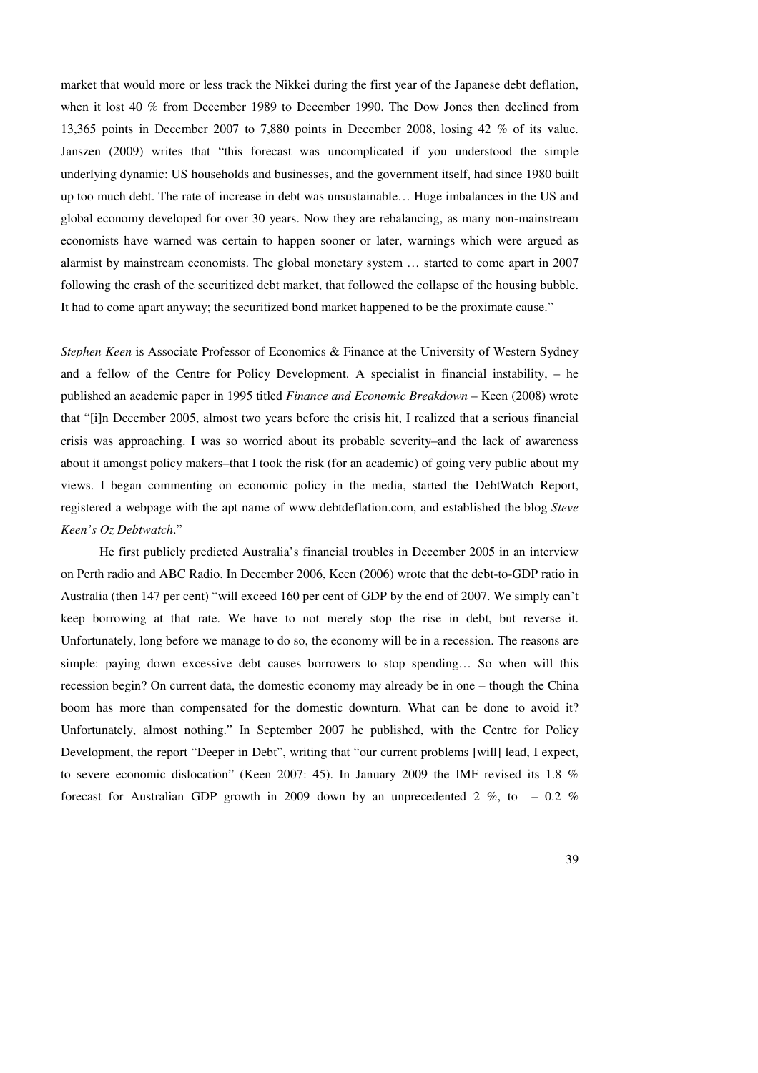market that would more or less track the Nikkei during the first year of the Japanese debt deflation, when it lost 40 % from December 1989 to December 1990. The Dow Jones then declined from 13,365 points in December 2007 to 7,880 points in December 2008, losing 42 % of its value. Janszen (2009) writes that "this forecast was uncomplicated if you understood the simple underlying dynamic: US households and businesses, and the government itself, had since 1980 built up too much debt. The rate of increase in debt was unsustainable… Huge imbalances in the US and global economy developed for over 30 years. Now they are rebalancing, as many non-mainstream economists have warned was certain to happen sooner or later, warnings which were argued as alarmist by mainstream economists. The global monetary system … started to come apart in 2007 following the crash of the securitized debt market, that followed the collapse of the housing bubble. It had to come apart anyway; the securitized bond market happened to be the proximate cause."

*Stephen Keen* is Associate Professor of Economics & Finance at the University of Western Sydney and a fellow of the Centre for Policy Development. A specialist in financial instability, – he published an academic paper in 1995 titled *Finance and Economic Breakdown* – Keen (2008) wrote that "[i]n December 2005, almost two years before the crisis hit, I realized that a serious financial crisis was approaching. I was so worried about its probable severity–and the lack of awareness about it amongst policy makers–that I took the risk (for an academic) of going very public about my views. I began commenting on economic policy in the media, started the DebtWatch Report, registered a webpage with the apt name of www.debtdeflation.com, and established the blog *Steve Keen's Oz Debtwatch*."

He first publicly predicted Australia's financial troubles in December 2005 in an interview on Perth radio and ABC Radio. In December 2006, Keen (2006) wrote that the debt-to-GDP ratio in Australia (then 147 per cent) "will exceed 160 per cent of GDP by the end of 2007. We simply can't keep borrowing at that rate. We have to not merely stop the rise in debt, but reverse it. Unfortunately, long before we manage to do so, the economy will be in a recession. The reasons are simple: paying down excessive debt causes borrowers to stop spending… So when will this recession begin? On current data, the domestic economy may already be in one – though the China boom has more than compensated for the domestic downturn. What can be done to avoid it? Unfortunately, almost nothing." In September 2007 he published, with the Centre for Policy Development, the report "Deeper in Debt", writing that "our current problems [will] lead, I expect, to severe economic dislocation" (Keen 2007: 45). In January 2009 the IMF revised its 1.8 % forecast for Australian GDP growth in 2009 down by an unprecedented 2  $\%$ , to – 0.2  $\%$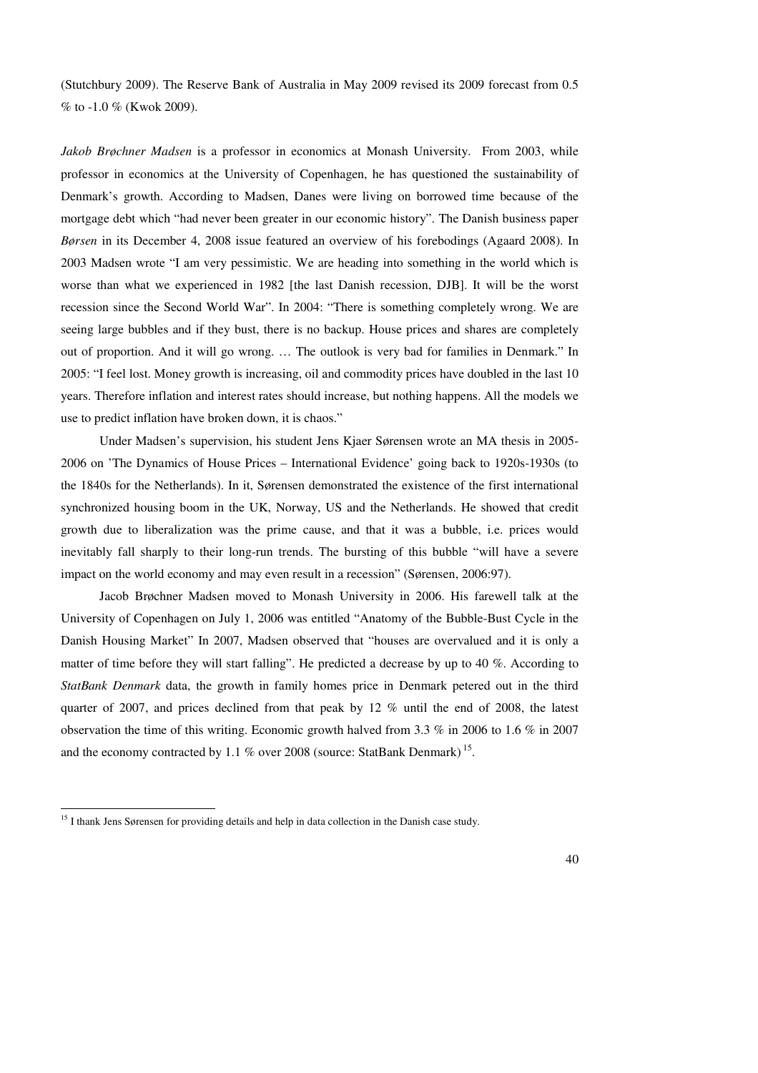(Stutchbury 2009). The Reserve Bank of Australia in May 2009 revised its 2009 forecast from 0.5 % to  $-1.0$  % (Kwok 2009).

*Jakob Brøchner Madsen* is a professor in economics at Monash University. From 2003, while professor in economics at the University of Copenhagen, he has questioned the sustainability of Denmark's growth. According to Madsen, Danes were living on borrowed time because of the mortgage debt which "had never been greater in our economic history". The Danish business paper *Børsen* in its December 4, 2008 issue featured an overview of his forebodings (Agaard 2008). In 2003 Madsen wrote "I am very pessimistic. We are heading into something in the world which is worse than what we experienced in 1982 [the last Danish recession, DJB]. It will be the worst recession since the Second World War". In 2004: "There is something completely wrong. We are seeing large bubbles and if they bust, there is no backup. House prices and shares are completely out of proportion. And it will go wrong. … The outlook is very bad for families in Denmark." In 2005: "I feel lost. Money growth is increasing, oil and commodity prices have doubled in the last 10 years. Therefore inflation and interest rates should increase, but nothing happens. All the models we use to predict inflation have broken down, it is chaos."

Under Madsen's supervision, his student Jens Kjaer Sørensen wrote an MA thesis in 2005- 2006 on 'The Dynamics of House Prices – International Evidence' going back to 1920s-1930s (to the 1840s for the Netherlands). In it, Sørensen demonstrated the existence of the first international synchronized housing boom in the UK, Norway, US and the Netherlands. He showed that credit growth due to liberalization was the prime cause, and that it was a bubble, i.e. prices would inevitably fall sharply to their long-run trends. The bursting of this bubble "will have a severe impact on the world economy and may even result in a recession" (Sørensen, 2006:97).

Jacob Brøchner Madsen moved to Monash University in 2006. His farewell talk at the University of Copenhagen on July 1, 2006 was entitled "Anatomy of the Bubble-Bust Cycle in the Danish Housing Market" In 2007, Madsen observed that "houses are overvalued and it is only a matter of time before they will start falling". He predicted a decrease by up to 40 %. According to *StatBank Denmark* data, the growth in family homes price in Denmark petered out in the third quarter of 2007, and prices declined from that peak by 12 % until the end of 2008, the latest observation the time of this writing. Economic growth halved from 3.3 % in 2006 to 1.6 % in 2007 and the economy contracted by 1.1 % over 2008 (source: StatBank Denmark)<sup>15</sup>.

<sup>&</sup>lt;sup>15</sup> I thank Jens Sørensen for providing details and help in data collection in the Danish case study.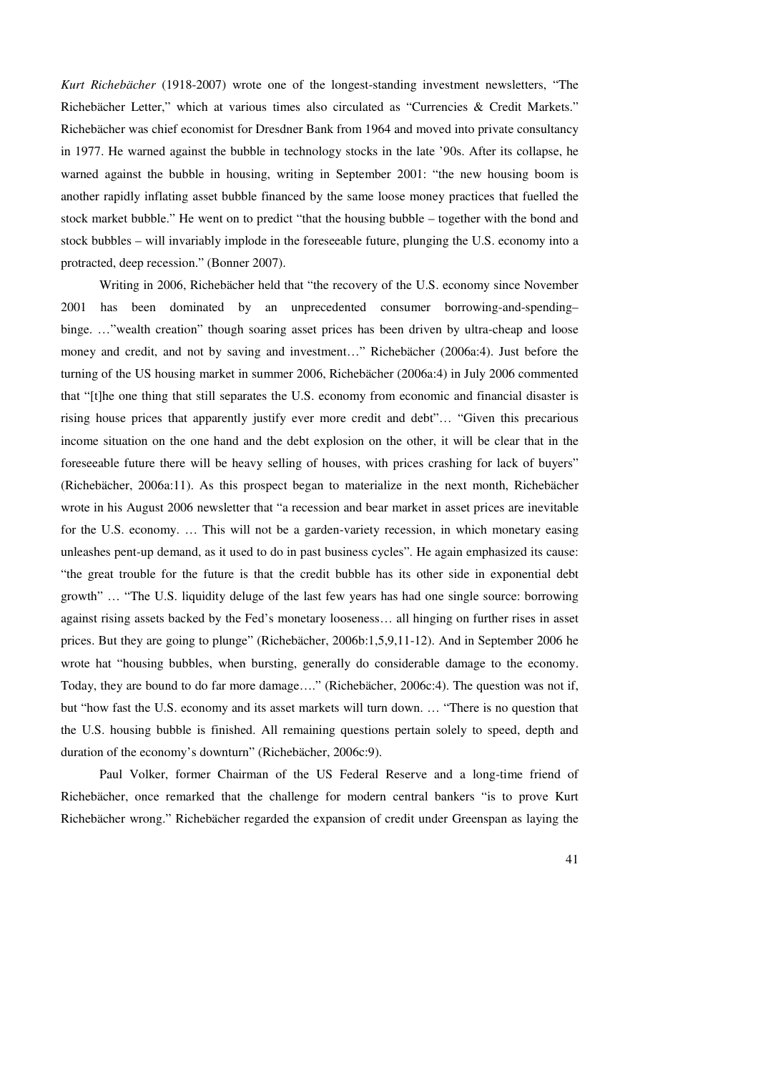*Kurt Richebächer* (1918-2007) wrote one of the longest-standing investment newsletters, "The Richebächer Letter," which at various times also circulated as "Currencies & Credit Markets." Richebächer was chief economist for Dresdner Bank from 1964 and moved into private consultancy in 1977. He warned against the bubble in technology stocks in the late '90s. After its collapse, he warned against the bubble in housing, writing in September 2001: "the new housing boom is another rapidly inflating asset bubble financed by the same loose money practices that fuelled the stock market bubble." He went on to predict "that the housing bubble – together with the bond and stock bubbles – will invariably implode in the foreseeable future, plunging the U.S. economy into a protracted, deep recession." (Bonner 2007).

Writing in 2006, Richebächer held that "the recovery of the U.S. economy since November 2001 has been dominated by an unprecedented consumer borrowing-and-spending– binge. …"wealth creation" though soaring asset prices has been driven by ultra-cheap and loose money and credit, and not by saving and investment…" Richebächer (2006a:4). Just before the turning of the US housing market in summer 2006, Richebächer (2006a:4) in July 2006 commented that "[t]he one thing that still separates the U.S. economy from economic and financial disaster is rising house prices that apparently justify ever more credit and debt"… "Given this precarious income situation on the one hand and the debt explosion on the other, it will be clear that in the foreseeable future there will be heavy selling of houses, with prices crashing for lack of buyers" (Richebächer, 2006a:11). As this prospect began to materialize in the next month, Richebächer wrote in his August 2006 newsletter that "a recession and bear market in asset prices are inevitable for the U.S. economy. … This will not be a garden-variety recession, in which monetary easing unleashes pent-up demand, as it used to do in past business cycles". He again emphasized its cause: "the great trouble for the future is that the credit bubble has its other side in exponential debt growth" … "The U.S. liquidity deluge of the last few years has had one single source: borrowing against rising assets backed by the Fed's monetary looseness… all hinging on further rises in asset prices. But they are going to plunge" (Richebächer, 2006b:1,5,9,11-12). And in September 2006 he wrote hat "housing bubbles, when bursting, generally do considerable damage to the economy. Today, they are bound to do far more damage…." (Richebächer, 2006c:4). The question was not if, but "how fast the U.S. economy and its asset markets will turn down. … "There is no question that the U.S. housing bubble is finished. All remaining questions pertain solely to speed, depth and duration of the economy's downturn" (Richebächer, 2006c:9).

Paul Volker, former Chairman of the US Federal Reserve and a long-time friend of Richebächer, once remarked that the challenge for modern central bankers "is to prove Kurt Richebächer wrong." Richebächer regarded the expansion of credit under Greenspan as laying the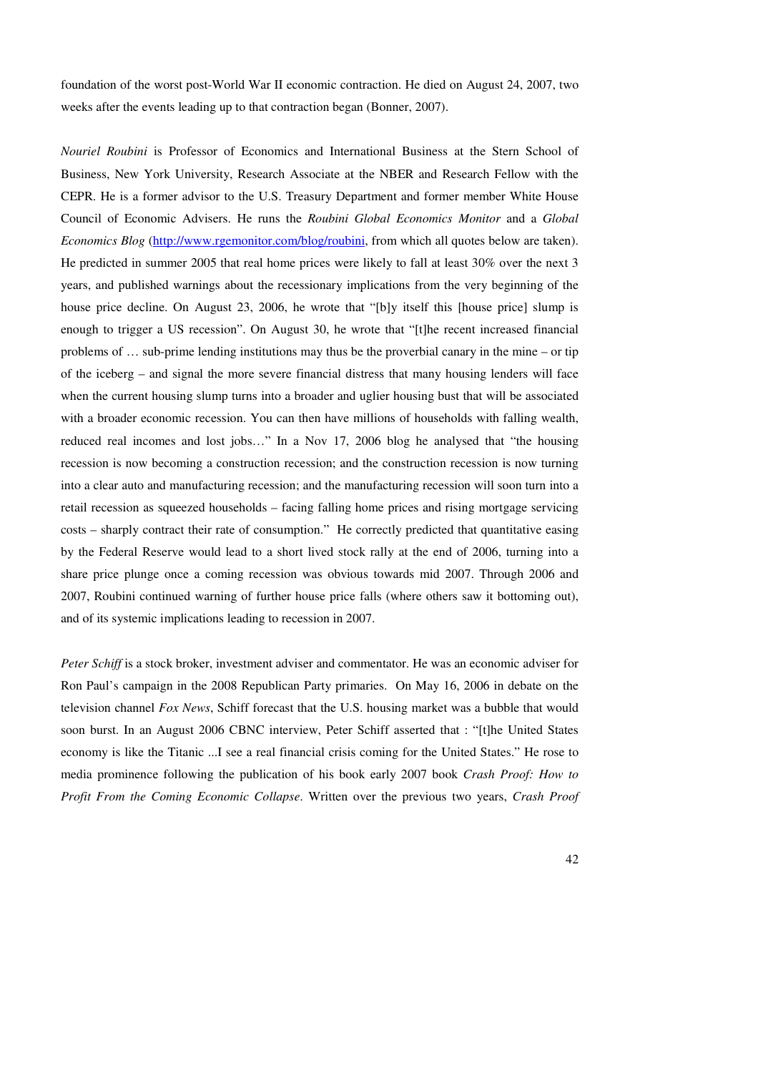foundation of the worst post-World War II economic contraction. He died on August 24, 2007, two weeks after the events leading up to that contraction began (Bonner, 2007).

*Nouriel Roubini* is Professor of Economics and International Business at the Stern School of Business, New York University, Research Associate at the NBER and Research Fellow with the CEPR. He is a former advisor to the U.S. Treasury Department and former member White House Council of Economic Advisers. He runs the *Roubini Global Economics Monitor* and a *Global Economics Blog* (http://www.rgemonitor.com/blog/roubini, from which all quotes below are taken). He predicted in summer 2005 that real home prices were likely to fall at least 30% over the next 3 years, and published warnings about the recessionary implications from the very beginning of the house price decline. On August 23, 2006, he wrote that "[b]y itself this [house price] slump is enough to trigger a US recession". On August 30, he wrote that "[t]he recent increased financial problems of … sub-prime lending institutions may thus be the proverbial canary in the mine – or tip of the iceberg – and signal the more severe financial distress that many housing lenders will face when the current housing slump turns into a broader and uglier housing bust that will be associated with a broader economic recession. You can then have millions of households with falling wealth, reduced real incomes and lost jobs…" In a Nov 17, 2006 blog he analysed that "the housing recession is now becoming a construction recession; and the construction recession is now turning into a clear auto and manufacturing recession; and the manufacturing recession will soon turn into a retail recession as squeezed households – facing falling home prices and rising mortgage servicing costs – sharply contract their rate of consumption." He correctly predicted that quantitative easing by the Federal Reserve would lead to a short lived stock rally at the end of 2006, turning into a share price plunge once a coming recession was obvious towards mid 2007. Through 2006 and 2007, Roubini continued warning of further house price falls (where others saw it bottoming out), and of its systemic implications leading to recession in 2007.

*Peter Schiff* is a stock broker, investment adviser and commentator. He was an economic adviser for Ron Paul's campaign in the 2008 Republican Party primaries. On May 16, 2006 in debate on the television channel *Fox News*, Schiff forecast that the U.S. housing market was a bubble that would soon burst. In an August 2006 CBNC interview, Peter Schiff asserted that : "[t]he United States economy is like the Titanic ...I see a real financial crisis coming for the United States." He rose to media prominence following the publication of his book early 2007 book *Crash Proof: How to Profit From the Coming Economic Collapse*. Written over the previous two years, *Crash Proof*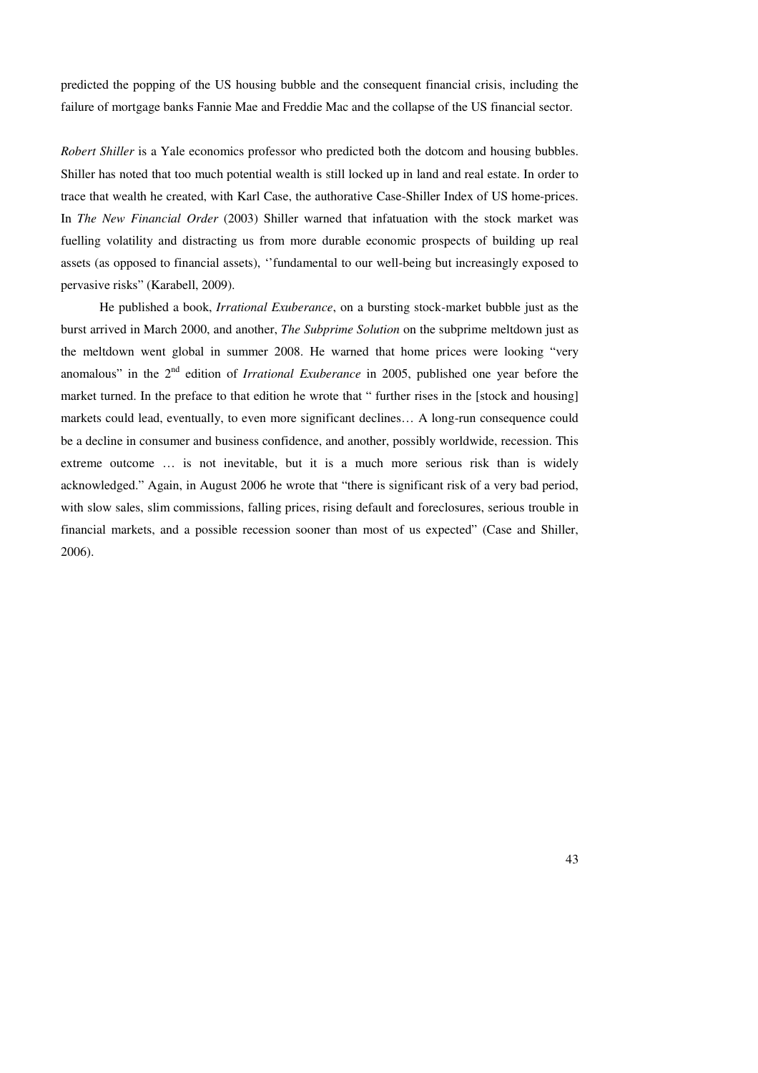predicted the popping of the US housing bubble and the consequent financial crisis, including the failure of mortgage banks Fannie Mae and Freddie Mac and the collapse of the US financial sector.

*Robert Shiller* is a Yale economics professor who predicted both the dotcom and housing bubbles. Shiller has noted that too much potential wealth is still locked up in land and real estate. In order to trace that wealth he created, with Karl Case, the authorative Case-Shiller Index of US home-prices. In *The New Financial Order* (2003) Shiller warned that infatuation with the stock market was fuelling volatility and distracting us from more durable economic prospects of building up real assets (as opposed to financial assets), ''fundamental to our well-being but increasingly exposed to pervasive risks" (Karabell, 2009).

He published a book, *Irrational Exuberance*, on a bursting stock-market bubble just as the burst arrived in March 2000, and another, *The Subprime Solution* on the subprime meltdown just as the meltdown went global in summer 2008. He warned that home prices were looking "very anomalous" in the 2<sup>nd</sup> edition of *Irrational Exuberance* in 2005, published one year before the market turned. In the preface to that edition he wrote that " further rises in the [stock and housing] markets could lead, eventually, to even more significant declines… A long-run consequence could be a decline in consumer and business confidence, and another, possibly worldwide, recession. This extreme outcome … is not inevitable, but it is a much more serious risk than is widely acknowledged." Again, in August 2006 he wrote that "there is significant risk of a very bad period, with slow sales, slim commissions, falling prices, rising default and foreclosures, serious trouble in financial markets, and a possible recession sooner than most of us expected" (Case and Shiller, 2006).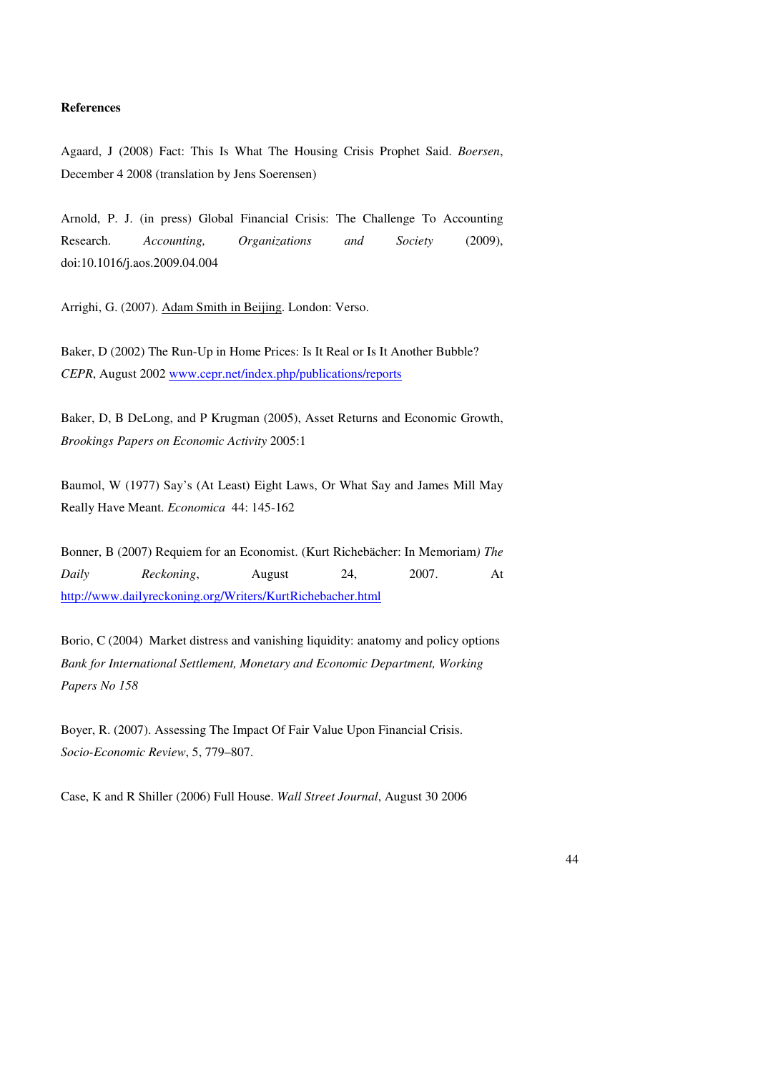#### **References**

Agaard, J (2008) Fact: This Is What The Housing Crisis Prophet Said. *Boersen*, December 4 2008 (translation by Jens Soerensen)

Arnold, P. J. (in press) Global Financial Crisis: The Challenge To Accounting Research. *Accounting, Organizations and Society* (2009), doi:10.1016/j.aos.2009.04.004

Arrighi, G. (2007). Adam Smith in Beijing. London: Verso.

Baker, D (2002) The Run-Up in Home Prices: Is It Real or Is It Another Bubble? *CEPR*, August 2002 www.cepr.net/index.php/publications/reports

Baker, D, B DeLong, and P Krugman (2005), Asset Returns and Economic Growth, *Brookings Papers on Economic Activity* 2005:1

Baumol, W (1977) Say's (At Least) Eight Laws, Or What Say and James Mill May Really Have Meant. *Economica* 44: 145-162

Bonner, B (2007) Requiem for an Economist. (Kurt Richebächer: In Memoriam*) The Daily Reckoning*, August 24, 2007. At http://www.dailyreckoning.org/Writers/KurtRichebacher.html

Borio, C (2004) Market distress and vanishing liquidity: anatomy and policy options *Bank for International Settlement, Monetary and Economic Department, Working Papers No 158*

Boyer, R. (2007). Assessing The Impact Of Fair Value Upon Financial Crisis. *Socio-Economic Review*, 5, 779–807.

Case, K and R Shiller (2006) Full House. *Wall Street Journal*, August 30 2006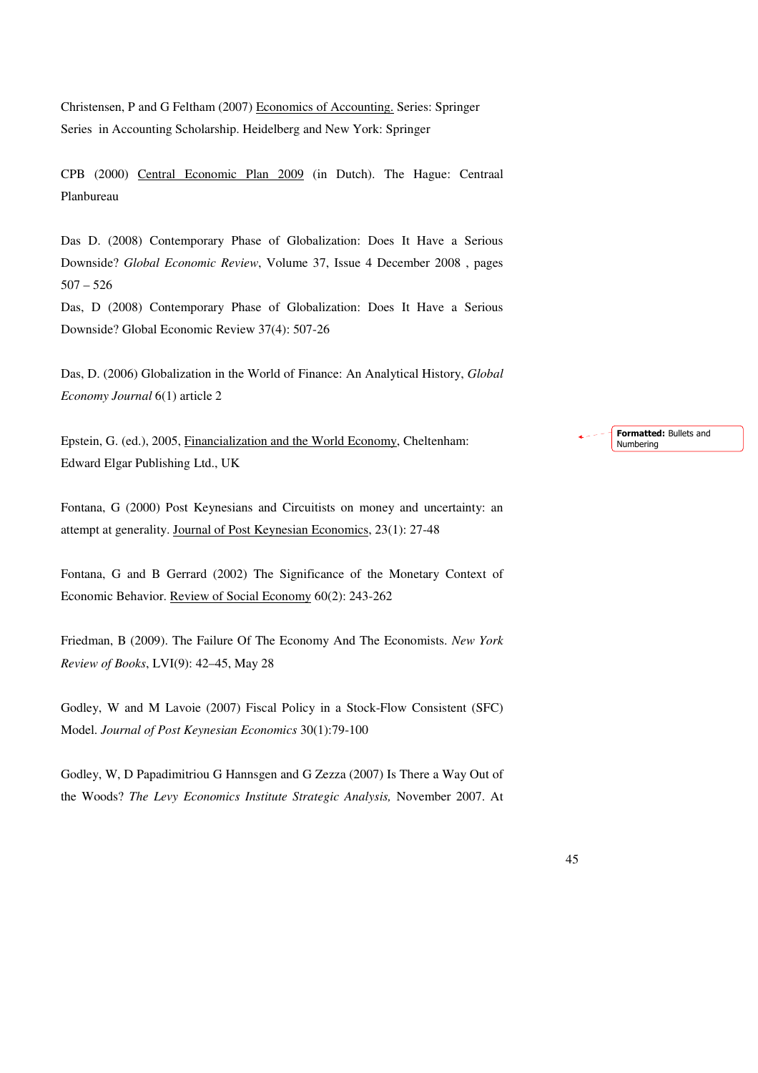Christensen, P and G Feltham (2007) Economics of Accounting. Series: Springer Series in Accounting Scholarship. Heidelberg and New York: Springer

CPB (2000) Central Economic Plan 2009 (in Dutch). The Hague: Centraal Planbureau

Das D. (2008) Contemporary Phase of Globalization: Does It Have a Serious Downside? *Global Economic Review*, Volume 37, Issue 4 December 2008 , pages 507 – 526

Das, D (2008) Contemporary Phase of Globalization: Does It Have a Serious Downside? Global Economic Review 37(4): 507-26

Das, D. (2006) Globalization in the World of Finance: An Analytical History, *Global Economy Journal* 6(1) article 2

Epstein, G. (ed.), 2005, Financialization and the World Economy, Cheltenham: Edward Elgar Publishing Ltd., UK

Fontana, G (2000) Post Keynesians and Circuitists on money and uncertainty: an attempt at generality. Journal of Post Keynesian Economics, 23(1): 27-48

Fontana, G and B Gerrard (2002) The Significance of the Monetary Context of Economic Behavior. Review of Social Economy 60(2): 243-262

Friedman, B (2009). The Failure Of The Economy And The Economists. *New York Review of Books*, LVI(9): 42–45, May 28

Godley, W and M Lavoie (2007) Fiscal Policy in a Stock-Flow Consistent (SFC) Model. *Journal of Post Keynesian Economics* 30(1):79-100

Godley, W, D Papadimitriou G Hannsgen and G Zezza (2007) Is There a Way Out of the Woods? *The Levy Economics Institute Strategic Analysis,* November 2007. At

Formatted: Bullets and Numbering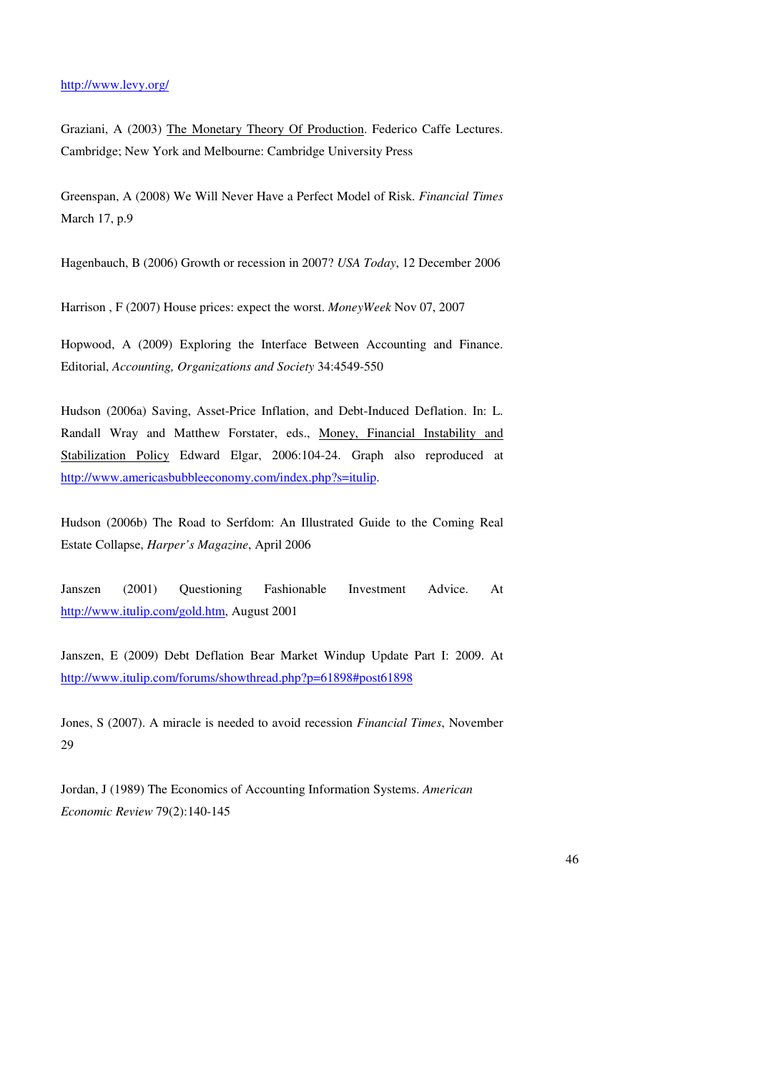Graziani, A (2003) The Monetary Theory Of Production. Federico Caffe Lectures. Cambridge; New York and Melbourne: Cambridge University Press

Greenspan, A (2008) We Will Never Have a Perfect Model of Risk. *Financial Times* March 17, p.9

Hagenbauch, B (2006) Growth or recession in 2007? *USA Today*, 12 December 2006

Harrison , F (2007) House prices: expect the worst. *MoneyWeek* Nov 07, 2007

Hopwood, A (2009) Exploring the Interface Between Accounting and Finance. Editorial, *Accounting, Organizations and Society* 34:4549-550

Hudson (2006a) Saving, Asset-Price Inflation, and Debt-Induced Deflation. In: L. Randall Wray and Matthew Forstater, eds., Money, Financial Instability and Stabilization Policy Edward Elgar, 2006:104-24. Graph also reproduced at http://www.americasbubbleeconomy.com/index.php?s=itulip.

Hudson (2006b) The Road to Serfdom: An Illustrated Guide to the Coming Real Estate Collapse, *Harper's Magazine*, April 2006

Janszen (2001) Questioning Fashionable Investment Advice. At http://www.itulip.com/gold.htm, August 2001

Janszen, E (2009) Debt Deflation Bear Market Windup Update Part I: 2009. At http://www.itulip.com/forums/showthread.php?p=61898#post61898

Jones, S (2007). A miracle is needed to avoid recession *Financial Times*, November 29

Jordan, J (1989) The Economics of Accounting Information Systems. *American Economic Review* 79(2):140-145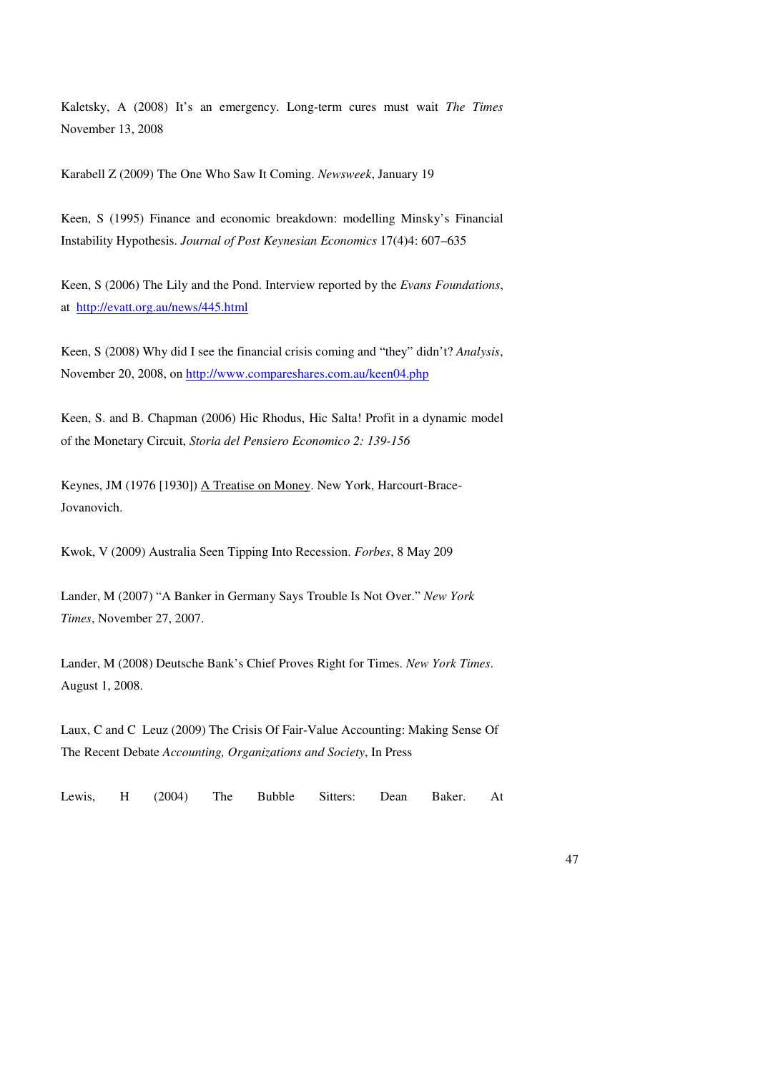Kaletsky, A (2008) It's an emergency. Long-term cures must wait *The Times* November 13, 2008

Karabell Z (2009) The One Who Saw It Coming. *Newsweek*, January 19

Keen, S (1995) Finance and economic breakdown: modelling Minsky's Financial Instability Hypothesis. *Journal of Post Keynesian Economics* 17(4)4: 607–635

Keen, S (2006) The Lily and the Pond. Interview reported by the *Evans Foundations*, at http://evatt.org.au/news/445.html

Keen, S (2008) Why did I see the financial crisis coming and "they" didn't? *Analysis*, November 20, 2008, on http://www.compareshares.com.au/keen04.php

Keen, S. and B. Chapman (2006) Hic Rhodus, Hic Salta! Profit in a dynamic model of the Monetary Circuit, *Storia del Pensiero Economico 2: 139-156*

Keynes, JM (1976 [1930]) A Treatise on Money. New York, Harcourt-Brace-Jovanovich.

Kwok, V (2009) Australia Seen Tipping Into Recession. *Forbes*, 8 May 209

Lander, M (2007) "A Banker in Germany Says Trouble Is Not Over." *New York Times*, November 27, 2007.

Lander, M (2008) Deutsche Bank's Chief Proves Right for Times. *New York Times*. August 1, 2008.

Laux, C and C Leuz (2009) The Crisis Of Fair-Value Accounting: Making Sense Of The Recent Debate *Accounting, Organizations and Society*, In Press

Lewis, H (2004) The Bubble Sitters: Dean Baker. At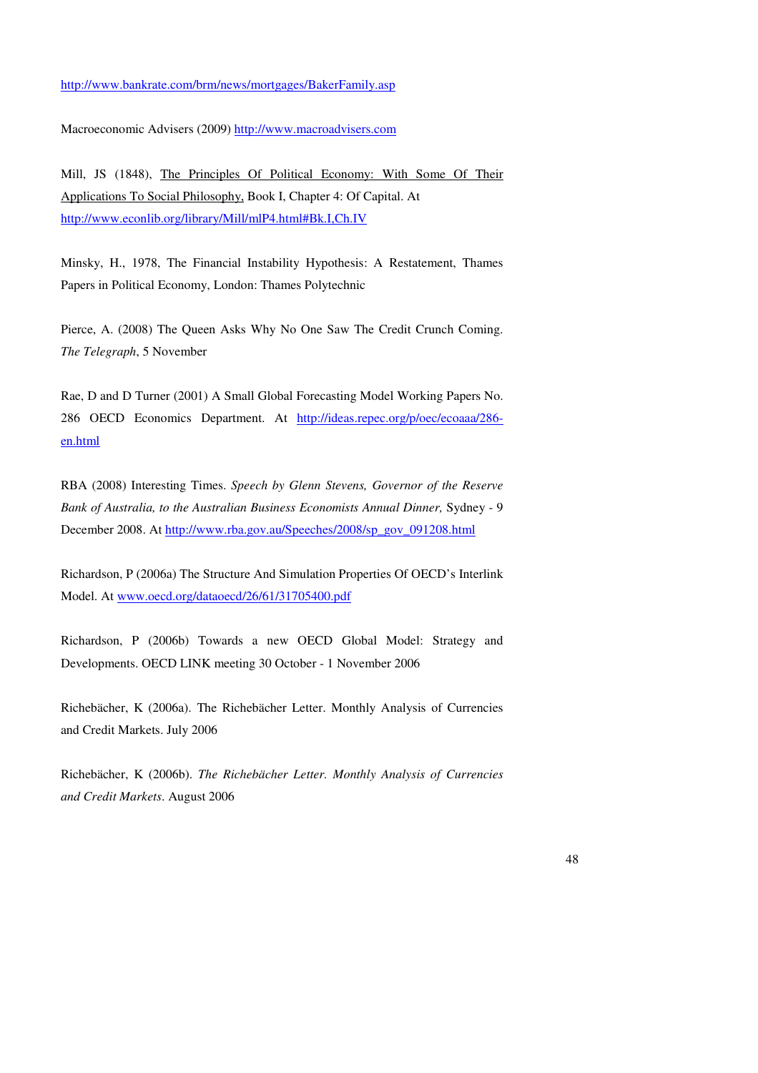# http://www.bankrate.com/brm/news/mortgages/BakerFamily.asp

Macroeconomic Advisers (2009) http://www.macroadvisers.com

Mill, JS (1848), The Principles Of Political Economy: With Some Of Their Applications To Social Philosophy, Book I, Chapter 4: Of Capital. At http://www.econlib.org/library/Mill/mlP4.html#Bk.I,Ch.IV

Minsky, H., 1978, The Financial Instability Hypothesis: A Restatement, Thames Papers in Political Economy, London: Thames Polytechnic

Pierce, A. (2008) The Queen Asks Why No One Saw The Credit Crunch Coming. *The Telegraph*, 5 November

Rae, D and D Turner (2001) A Small Global Forecasting Model Working Papers No. 286 OECD Economics Department. At http://ideas.repec.org/p/oec/ecoaaa/286 en.html

RBA (2008) Interesting Times. *Speech by Glenn Stevens, Governor of the Reserve Bank of Australia, to the Australian Business Economists Annual Dinner,* Sydney - 9 December 2008. At http://www.rba.gov.au/Speeches/2008/sp\_gov\_091208.html

Richardson, P (2006a) The Structure And Simulation Properties Of OECD's Interlink Model. At www.oecd.org/dataoecd/26/61/31705400.pdf

Richardson, P (2006b) Towards a new OECD Global Model: Strategy and Developments. OECD LINK meeting 30 October - 1 November 2006

Richebächer, K (2006a). The Richebächer Letter. Monthly Analysis of Currencies and Credit Markets. July 2006

Richebächer, K (2006b). *The Richebächer Letter. Monthly Analysis of Currencies and Credit Markets*. August 2006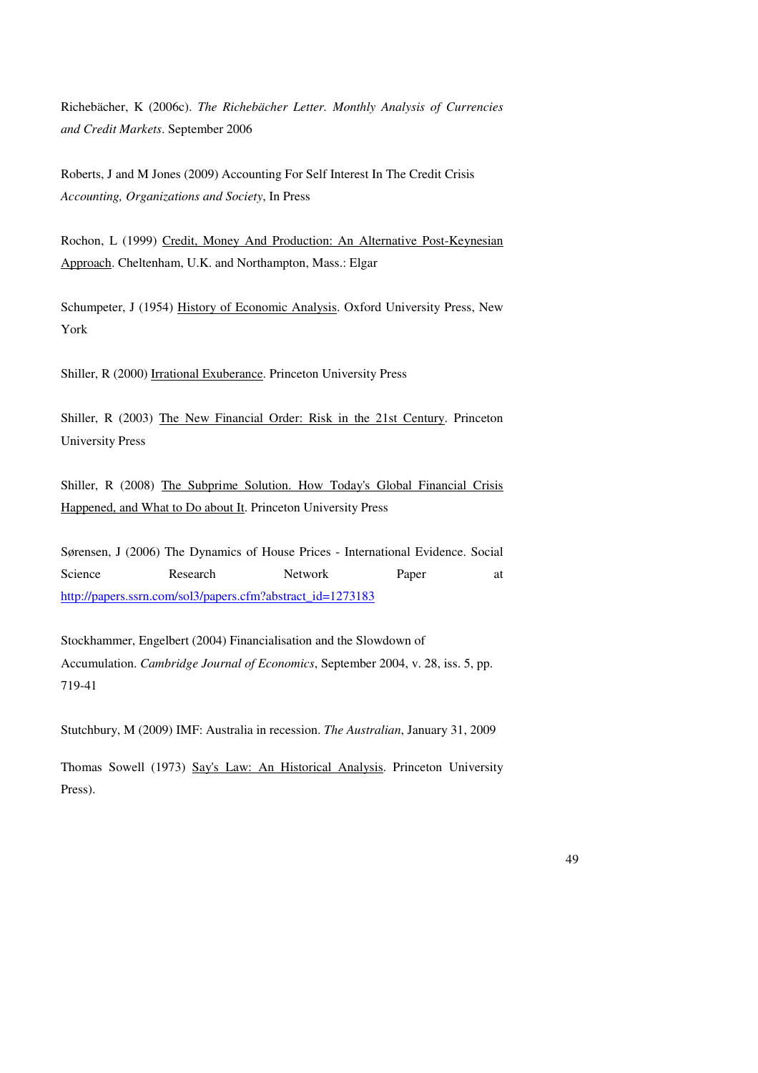Richebächer, K (2006c). *The Richebächer Letter. Monthly Analysis of Currencies and Credit Markets*. September 2006

Roberts, J and M Jones (2009) Accounting For Self Interest In The Credit Crisis *Accounting, Organizations and Society*, In Press

Rochon, L (1999) Credit, Money And Production: An Alternative Post-Keynesian Approach. Cheltenham, U.K. and Northampton, Mass.: Elgar

Schumpeter, J (1954) History of Economic Analysis. Oxford University Press, New York

Shiller, R (2000) Irrational Exuberance. Princeton University Press

Shiller, R (2003) The New Financial Order: Risk in the 21st Century. Princeton University Press

Shiller, R (2008) The Subprime Solution. How Today's Global Financial Crisis Happened, and What to Do about It. Princeton University Press

Sørensen, J (2006) The Dynamics of House Prices - International Evidence. Social Science Research Network Paper at http://papers.ssrn.com/sol3/papers.cfm?abstract\_id=1273183

Stockhammer, Engelbert (2004) Financialisation and the Slowdown of Accumulation. *Cambridge Journal of Economics*, September 2004, v. 28, iss. 5, pp. 719-41

Stutchbury, M (2009) IMF: Australia in recession. *The Australian*, January 31, 2009

Thomas Sowell (1973) Say's Law: An Historical Analysis. Princeton University Press).